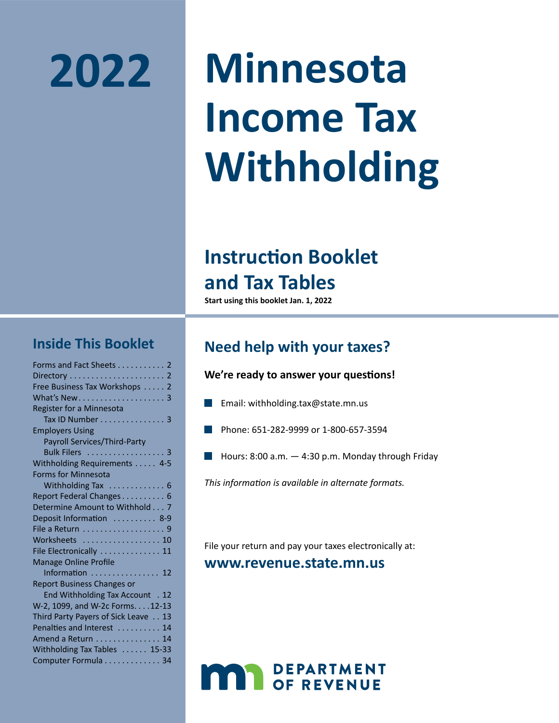# **2022**

# **Minnesota Income Tax Withholding**

## **Instruction Booklet and Tax Tables**

**Start using this booklet Jan. 1, 2022**

### **Inside This Booklet**

| Forms and Fact Sheets 2             |
|-------------------------------------|
|                                     |
| Free Business Tax Workshops 2       |
|                                     |
| Register for a Minnesota            |
| Tax ID Number 3                     |
| <b>Employers Using</b>              |
| Payroll Services/Third-Party        |
| Bulk Filers 3                       |
| Withholding Requirements  4-5       |
| <b>Forms for Minnesota</b>          |
| Withholding Tax  6                  |
| Report Federal Changes 6            |
| Determine Amount to Withhold 7      |
| Deposit Information  8-9            |
|                                     |
| Worksheets  10                      |
| File Electronically  11             |
| <b>Manage Online Profile</b>        |
| Information  12                     |
|                                     |
| <b>Report Business Changes or</b>   |
| End Withholding Tax Account . 12    |
| W-2, 1099, and W-2c Forms. 12-13    |
| Third Party Payers of Sick Leave 13 |
| Penalties and Interest  14          |
| Amend a Return 14                   |
| Withholding Tax Tables  15-33       |

### **Need help with your taxes?**

### **We're ready to answer your questions!**

- Email: withholding.tax@state.mn.us
- Phone: 651-282-9999 or 1-800-657-3594
- Hours: 8:00 a.m. 4:30 p.m. Monday through Friday

*This information is available in alternate formats.*

File your return and pay your taxes electronically at:

### **www.revenue.state.mn.us**

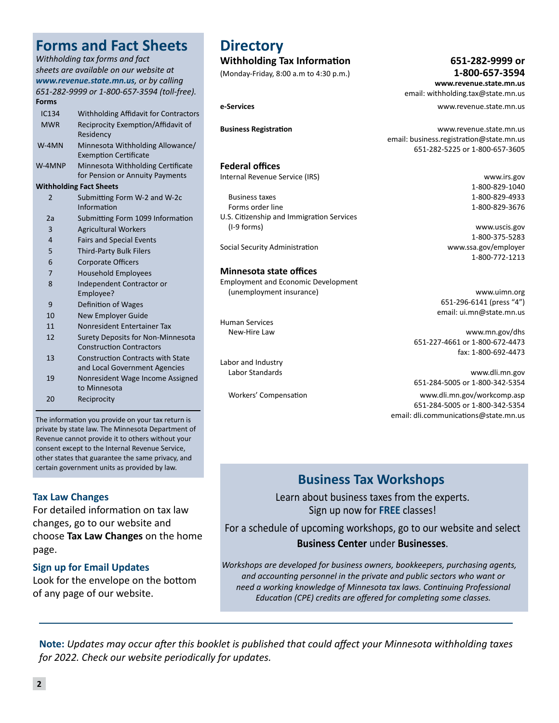#### *Withholding tax forms and fact sheets are available on our website at www.revenue.state.mn.us, or by calling 651-282-9999 or 1-800-657-3594 (toll-free).*

**Forms and Fact Sheets**

| <b>Forms</b>   |                                                                             |
|----------------|-----------------------------------------------------------------------------|
| <b>IC134</b>   | <b>Withholding Affidavit for Contractors</b>                                |
| <b>MWR</b>     | Reciprocity Exemption/Affidavit of<br>Residency                             |
| $W-4MN$        | Minnesota Withholding Allowance/<br><b>Exemption Certificate</b>            |
| W-4MNP         | Minnesota Withholding Certificate<br>for Pension or Annuity Payments        |
|                | <b>Withholding Fact Sheets</b>                                              |
| $\overline{2}$ | Submitting Form W-2 and W-2c<br>Information                                 |
| 2a             | Submitting Form 1099 Information                                            |
| $\overline{3}$ | <b>Agricultural Workers</b>                                                 |
| $\overline{4}$ | <b>Fairs and Special Events</b>                                             |
| 5              | <b>Third-Party Bulk Filers</b>                                              |
| 6              | <b>Corporate Officers</b>                                                   |
| 7              | <b>Household Employees</b>                                                  |
| 8              | Independent Contractor or<br>Employee?                                      |
| 9              | Definition of Wages                                                         |
| 10             | New Employer Guide                                                          |
| 11             | Nonresident Entertainer Tax                                                 |
| 12             | <b>Surety Deposits for Non-Minnesota</b><br><b>Construction Contractors</b> |
| 13             | <b>Construction Contracts with State</b><br>and Local Government Agencies   |
| 19             | Nonresident Wage Income Assigned<br>to Minnesota                            |
|                |                                                                             |

20 Reciprocity

The information you provide on your tax return is private by state law. The Minnesota Department of Revenue cannot provide it to others without your consent except to the Internal Revenue Service, other states that guarantee the same privacy, and certain government units as provided by law.

### **Tax Law Changes**

For detailed information on tax law changes, go to our website and choose **Tax Law Changes** on the home page.

### **Sign up for Email Updates**

Look for the envelope on the bottom of any page of our website.

### **Directory**

### **Withholding Tax Information 651-282-9999 or**

(Monday-Friday, 8:00 a.m to 4:30 p.m.) **1-800-657-3594**

#### **Federal offices**

Internal Revenue Service (IRS) www.irs.gov

Business taxes 1-800-829-4933 Forms order line 1-800-829-3676 U.S. Citizenship and Immigration Services

Social Security Administration www.ssa.gov/employer

#### **Minnesota state offices**

Employment and Economic Development (unemployment insurance) www.uimn.org

Human Services

Labor and Industry

 **www.revenue.state.mn.us** email: withholding.tax@state.mn.us

**e‑Services** www.revenue.state.mn.us

**Business Registration** www.revenue.state.mn.us email: business.registration@state.mn.us 651-282-5225 or 1-800-657-3605

1-800-829-1040

(I-9 forms) www.uscis.gov 1-800-375-5283 1-800-772-1213

> 651-296-6141 (press "4") email: ui.mn@state.mn.us

New-Hire Law www.mn.gov/dhs 651-227-4661 or 1-800-672-4473 fax: 1-800-692-4473

Labor Standards www.dli.mn.gov 651-284-5005 or 1-800-342-5354

Workers' Compensation www.dli.mn.gov/workcomp.asp 651-284-5005 or 1-800-342-5354 email: dli.communications@state.mn.us

### **Business Tax Workshops**

Learn about business taxes from the experts. Sign up now for **FREE** classes!

For a schedule of upcoming workshops, go to our website and select **Business Center** under **Businesses**.

*Workshops are developed for business owners, bookkeepers, purchasing agents, and accounting personnel in the private and public sectors who want or need a working knowledge of Minnesota tax laws. Continuing Professional Education (CPE) credits are offered for completing some classes.*

**Note:** *Updates may occur after this booklet is published that could affect your Minnesota withholding taxes for 2022. Check our website periodically for updates.*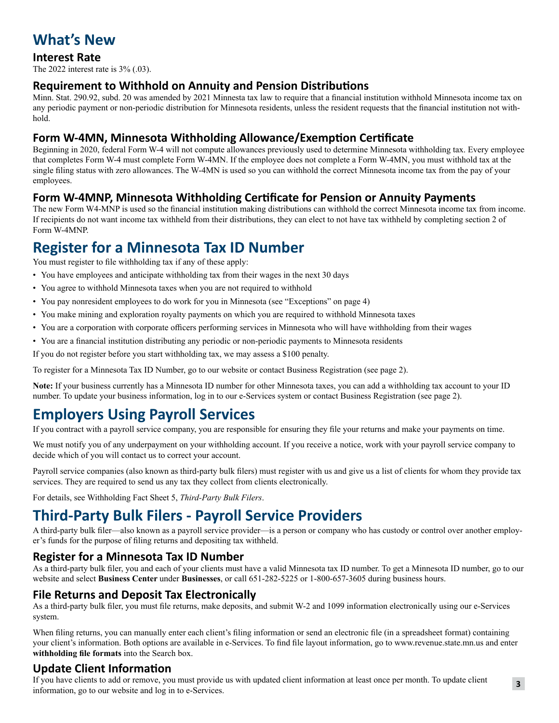### **What's New**

### **Interest Rate**

The 2022 interest rate is 3% (.03).

### **Requirement to Withhold on Annuity and Pension Distributions**

Minn. Stat. 290.92, subd. 20 was amended by 2021 Minnesta tax law to require that a financial institution withhold Minnesota income tax on any periodic payment or non-periodic distribution for Minnesota residents, unless the resident requests that the financial institution not withhold.

### **Form W-4MN, Minnesota Withholding Allowance/Exemption Certificate**

Beginning in 2020, federal Form W-4 will not compute allowances previously used to determine Minnesota withholding tax. Every employee that completes Form W-4 must complete Form W-4MN. If the employee does not complete a Form W-4MN, you must withhold tax at the single filing status with zero allowances. The W-4MN is used so you can withhold the correct Minnesota income tax from the pay of your employees.

### **Form W-4MNP, Minnesota Withholding Certificate for Pension or Annuity Payments**

The new Form W4-MNP is used so the financial institution making distributions can withhold the correct Minnesota income tax from income. If recipients do not want income tax withheld from their distributions, they can elect to not have tax withheld by completing section 2 of Form W-4MNP.

### **Register for a Minnesota Tax ID Number**

You must register to file withholding tax if any of these apply:

- You have employees and anticipate withholding tax from their wages in the next 30 days
- You agree to withhold Minnesota taxes when you are not required to withhold
- You pay nonresident employees to do work for you in Minnesota (see "Exceptions" on page 4)
- You make mining and exploration royalty payments on which you are required to withhold Minnesota taxes
- You are a corporation with corporate officers performing services in Minnesota who will have withholding from their wages
- You are a financial institution distributing any periodic or non-periodic payments to Minnesota residents

If you do not register before you start withholding tax, we may assess a \$100 penalty.

To register for a Minnesota Tax ID Number, go to our website or contact Business Registration (see page 2).

**Note:** If your business currently has a Minnesota ID number for other Minnesota taxes, you can add a withholding tax account to your ID number. To update your business information, log in to our e-Services system or contact Business Registration (see page 2).

### **Employers Using Payroll Services**

If you contract with a payroll service company, you are responsible for ensuring they file your returns and make your payments on time.

We must notify you of any underpayment on your withholding account. If you receive a notice, work with your payroll service company to decide which of you will contact us to correct your account.

Payroll service companies (also known as third-party bulk filers) must register with us and give us a list of clients for whom they provide tax services. They are required to send us any tax they collect from clients electronically.

For details, see Withholding Fact Sheet 5, *Third-Party Bulk Filers*.

### **Third-Party Bulk Filers - Payroll Service Providers**

A third-party bulk filer—also known as a payroll service provider—is a person or company who has custody or control over another employer's funds for the purpose of filing returns and depositing tax withheld.

### **Register for a Minnesota Tax ID Number**

As a third-party bulk filer, you and each of your clients must have a valid Minnesota tax ID number. To get a Minnesota ID number, go to our website and select **Business Center** under **Businesses**, or call 651-282-5225 or 1-800-657-3605 during business hours.

### **File Returns and Deposit Tax Electronically**

As a third-party bulk filer, you must file returns, make deposits, and submit W-2 and 1099 information electronically using our e-Services system.

When filing returns, you can manually enter each client's filing information or send an electronic file (in a spreadsheet format) containing your client's information. Both options are available in e-Services. To find file layout information, go to www.revenue.state.mn.us and enter **withholding file formats** into the Search box.

### **Update Client Information**

If you have clients to add or remove, you must provide us with updated client information at least once per month. To update client information, go to our website and log in to e-Services.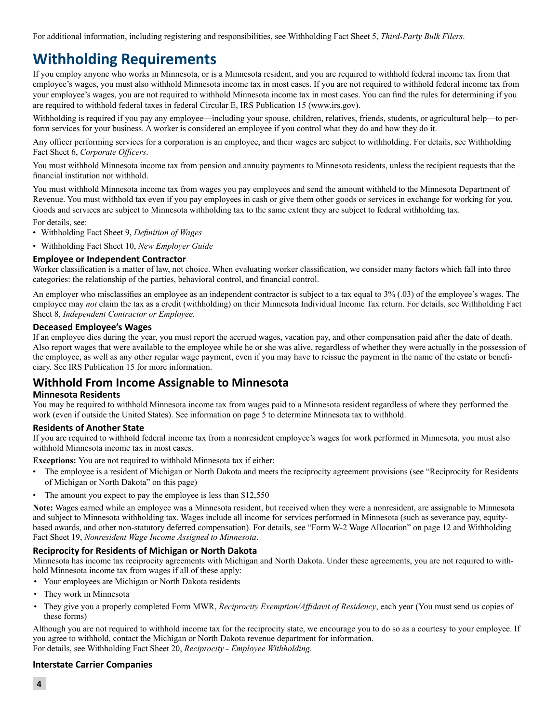For additional information, including registering and responsibilities, see Withholding Fact Sheet 5, *Third-Party Bulk Filers*.

### **Withholding Requirements**

If you employ anyone who works in Minnesota, or is a Minnesota resident, and you are required to withhold federal income tax from that employee's wages, you must also withhold Minnesota income tax in most cases. If you are not required to withhold federal income tax from your employee's wages, you are not required to withhold Minnesota income tax in most cases. You can find the rules for determining if you are required to withhold federal taxes in federal Circular E, IRS Publication 15 (www.irs.gov).

Withholding is required if you pay any employee—including your spouse, children, relatives, friends, students, or agricultural help—to perform services for your business. A worker is considered an employee if you control what they do and how they do it.

Any officer performing services for a corporation is an employee, and their wages are subject to withholding. For details, see Withholding Fact Sheet 6, *Corporate Officers*.

You must withhold Minnesota income tax from pension and annuity payments to Minnesota residents, unless the recipient requests that the financial institution not withhold.

You must withhold Minnesota income tax from wages you pay employees and send the amount withheld to the Minnesota Department of Revenue. You must withhold tax even if you pay employees in cash or give them other goods or services in exchange for working for you. Goods and services are subject to Minnesota withholding tax to the same extent they are subject to federal withholding tax.

For details, see:

- Withholding Fact Sheet 9, *Definition of Wages*
- Withholding Fact Sheet 10, *New Employer Guide*

#### **Employee or Independent Contractor**

Worker classification is a matter of law, not choice. When evaluating worker classification, we consider many factors which fall into three categories: the relationship of the parties, behavioral control, and financial control.

An employer who misclassifies an employee as an independent contractor is subject to a tax equal to 3% (.03) of the employee's wages. The employee may *not* claim the tax as a credit (withholding) on their Minnesota Individual Income Tax return. For details, see Withholding Fact Sheet 8, *Independent Contractor or Employee*.

#### **Deceased Employee's Wages**

If an employee dies during the year, you must report the accrued wages, vacation pay, and other compensation paid after the date of death. Also report wages that were available to the employee while he or she was alive, regardless of whether they were actually in the possession of the employee, as well as any other regular wage payment, even if you may have to reissue the payment in the name of the estate or beneficiary. See IRS Publication 15 for more information.

### **Withhold From Income Assignable to Minnesota**

#### **Minnesota Residents**

You may be required to withhold Minnesota income tax from wages paid to a Minnesota resident regardless of where they performed the work (even if outside the United States). See information on page 5 to determine Minnesota tax to withhold.

#### **Residents of Another State**

If you are required to withhold federal income tax from a nonresident employee's wages for work performed in Minnesota, you must also withhold Minnesota income tax in most cases.

**Exceptions:** You are not required to withhold Minnesota tax if either:

- The employee is a resident of Michigan or North Dakota and meets the reciprocity agreement provisions (see "Reciprocity for Residents of Michigan or North Dakota" on this page)
- The amount you expect to pay the employee is less than \$12,550

**Note:** Wages earned while an employee was a Minnesota resident, but received when they were a nonresident, are assignable to Minnesota and subject to Minnesota withholding tax. Wages include all income for services performed in Minnesota (such as severance pay, equitybased awards, and other non-statutory deferred compensation). For details, see "Form W-2 Wage Allocation" on page 12 and Withholding Fact Sheet 19, *Nonresident Wage Income Assigned to Minnesota*.

#### **Reciprocity for Residents of Michigan or North Dakota**

Minnesota has income tax reciprocity agreements with Michigan and North Dakota. Under these agreements, you are not required to withhold Minnesota income tax from wages if all of these apply:

- Your employees are Michigan or North Dakota residents
- They work in Minnesota
- They give you a properly completed Form MWR, *Reciprocity Exemption/Affidavit of Residency*, each year (You must send us copies of these forms)

Although you are not required to withhold income tax for the reciprocity state, we encourage you to do so as a courtesy to your employee. If you agree to withhold, contact the Michigan or North Dakota revenue department for information. For details, see Withholding Fact Sheet 20, *Reciprocity - Employee Withholding.*

#### **Interstate Carrier Companies**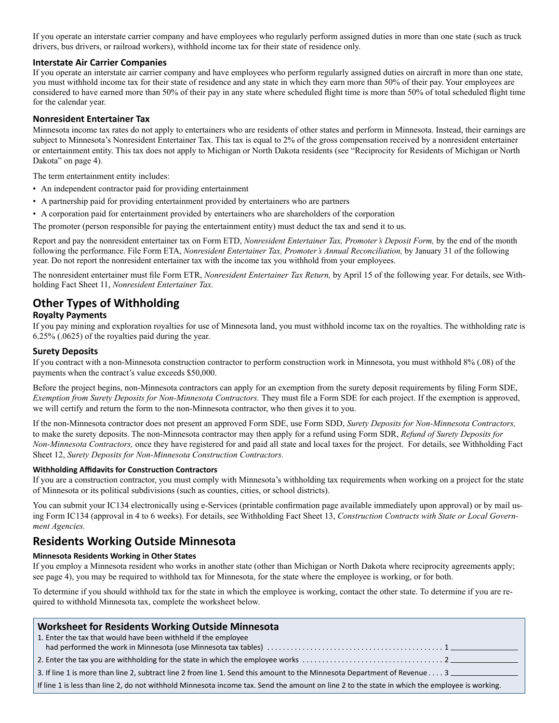If you operate an interstate carrier company and have employees who regularly perform assigned duties in more than one state (such as truck drivers, bus drivers, or railroad workers), withhold income tax for their state of residence only.

#### **Interstate Air Carrier Companies**

If you operate an interstate air carrier company and have employees who perform regularly assigned duties on aircraft in more than one state, you must withhold income tax for their state of residence and any state in which they earn more than 50% of their pay. Your employees are considered to have earned more than 50% of their pay in any state where scheduled flight time is more than 50% of total scheduled flight time for the calendar year.

#### **Nonresident Entertainer Tax**

Minnesota income tax rates do not apply to entertainers who are residents of other states and perform in Minnesota. Instead, their earnings are subject to Minnesota's Nonresident Entertainer Tax. This tax is equal to 2% of the gross compensation received by a nonresident entertainer or entertainment entity. This tax does not apply to Michigan or North Dakota residents (see "Reciprocity for Residents of Michigan or North Dakota" on page 4).

The term entertainment entity includes:

- An independent contractor paid for providing entertainment
- A partnership paid for providing entertainment provided by entertainers who are partners
- A corporation paid for entertainment provided by entertainers who are shareholders of the corporation

The promoter (person responsible for paying the entertainment entity) must deduct the tax and send it to us.

Report and pay the nonresident entertainer tax on Form ETD, *Nonresident Entertainer Tax, Promoter's Deposit Form,* by the end of the month following the performance. File Form ETA, *Nonresident Entertainer Tax, Promoter's Annual Reconciliation,* by January 31 of the following year. Do not report the nonresident entertainer tax with the income tax you withhold from your employees.

The nonresident entertainer must file Form ETR, *Nonresident Entertainer Tax Return,* by April 15 of the following year. For details, see Withholding Fact Sheet 11, *Nonresident Entertainer Tax.*

### **Other Types of Withholding**

#### **Royalty Payments**

If you pay mining and exploration royalties for use of Minnesota land, you must withhold income tax on the royalties. The withholding rate is 6.25% (.0625) of the royalties paid during the year.

#### **Surety Deposits**

If you contract with a non-Minnesota construction contractor to perform construction work in Minnesota, you must withhold 8% (.08) of the payments when the contract's value exceeds \$50,000.

Before the project begins, non-Minnesota contractors can apply for an exemption from the surety deposit requirements by filing Form SDE, *Exemption from Surety Deposits for Non-Minnesota Contractors*. They must file a Form SDE for each project. If the exemption is approved, we will certify and return the form to the non-Minnesota contractor, who then gives it to you.

If the non-Minnesota contractor does not present an approved Form SDE, use Form SDD, *Surety Deposits for Non-Minnesota Contractors,* to make the surety deposits. The non-Minnesota contractor may then apply for a refund using Form SDR, *Refund of Surety Deposits for Non-Minnesota Contractors,* once they have registered for and paid all state and local taxes for the project. For details, see Withholding Fact Sheet 12, *Surety Deposits for Non-Minnesota Construction Contractors.*

#### **Withholding Affidavits for Construction Contractors**

If you are a construction contractor, you must comply with Minnesota's withholding tax requirements when working on a project for the state of Minnesota or its political subdivisions (such as counties, cities, or school districts).

You can submit your IC134 electronically using e-Services (printable confirmation page available immediately upon approval) or by mail using Form IC134 (approval in 4 to 6 weeks). For details, see Withholding Fact Sheet 13, *Construction Contracts with State or Local Government Agencies.*

### **Residents Working Outside Minnesota**

#### **Minnesota Residents Working in Other States**

If you employ a Minnesota resident who works in another state (other than Michigan or North Dakota where reciprocity agreements apply; see page 4), you may be required to withhold tax for Minnesota, for the state where the employee is working, or for both.

To determine if you should withhold tax for the state in which the employee is working, contact the other state. To determine if you are required to withhold Minnesota tax, complete the worksheet below.

| <b>Worksheet for Residents Working Outside Minnesota</b>                                                                                      |
|-----------------------------------------------------------------------------------------------------------------------------------------------|
| 1. Enter the tax that would have been withheld if the employee                                                                                |
|                                                                                                                                               |
|                                                                                                                                               |
| 3. If line 1 is more than line 2, subtract line 2 from line 1. Send this amount to the Minnesota Department of Revenue 3                      |
| If line 1 is less than line 2, do not withhold Minnesota income tax. Send the amount on line 2 to the state in which the employee is working. |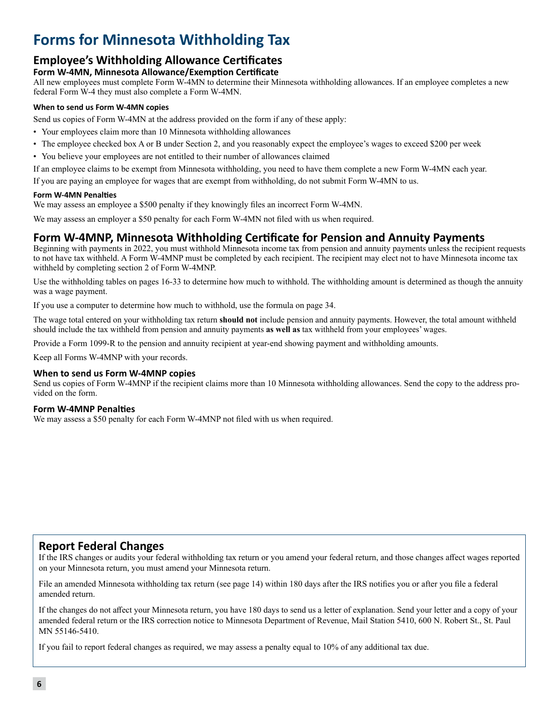### **Forms for Minnesota Withholding Tax**

### **Employee's Withholding Allowance Certificates**

**Form W-4MN, Minnesota Allowance/Exemption Certificate** All new employees must complete Form W-4MN to determine their Minnesota withholding allowances. If an employee completes a new federal Form W-4 they must also complete a Form W-4MN.

#### **When to send us Form W-4MN copies**

Send us copies of Form W-4MN at the address provided on the form if any of these apply:

- Your employees claim more than 10 Minnesota withholding allowances
- The employee checked box A or B under Section 2, and you reasonably expect the employee's wages to exceed \$200 per week
- You believe your employees are not entitled to their number of allowances claimed

If an employee claims to be exempt from Minnesota withholding, you need to have them complete a new Form W-4MN each year.

If you are paying an employee for wages that are exempt from withholding, do not submit Form W-4MN to us.

#### **Form W-4MN Penalties**

We may assess an employee a \$500 penalty if they knowingly files an incorrect Form W-4MN.

We may assess an employer a \$50 penalty for each Form W-4MN not filed with us when required.

### **Form W-4MNP, Minnesota Withholding Certificate for Pension and Annuity Payments**

Beginning with payments in 2022, you must withhold Minnesota income tax from pension and annuity payments unless the recipient requests to not have tax withheld. A Form W-4MNP must be completed by each recipient. The recipient may elect not to have Minnesota income tax withheld by completing section 2 of Form W-4MNP.

Use the withholding tables on pages 16-33 to determine how much to withhold. The withholding amount is determined as though the annuity was a wage payment.

If you use a computer to determine how much to withhold, use the formula on page 34.

The wage total entered on your withholding tax return **should not** include pension and annuity payments. However, the total amount withheld should include the tax withheld from pension and annuity payments **as well as** tax withheld from your employees' wages.

Provide a Form 1099-R to the pension and annuity recipient at year-end showing payment and withholding amounts.

Keep all Forms W-4MNP with your records.

#### **When to send us Form W-4MNP copies**

Send us copies of Form W-4MNP if the recipient claims more than 10 Minnesota withholding allowances. Send the copy to the address provided on the form.

#### **Form W-4MNP Penalties**

We may assess a \$50 penalty for each Form W-4MNP not filed with us when required.

### **Report Federal Changes**

If the IRS changes or audits your federal withholding tax return or you amend your federal return, and those changes affect wages reported on your Minnesota return, you must amend your Minnesota return.

File an amended Minnesota withholding tax return (see page 14) within 180 days after the IRS notifies you or after you file a federal amended return.

If the changes do not affect your Minnesota return, you have 180 days to send us a letter of explanation. Send your letter and a copy of your amended federal return or the IRS correction notice to Minnesota Department of Revenue, Mail Station 5410, 600 N. Robert St., St. Paul MN 55146-5410.

If you fail to report federal changes as required, we may assess a penalty equal to 10% of any additional tax due.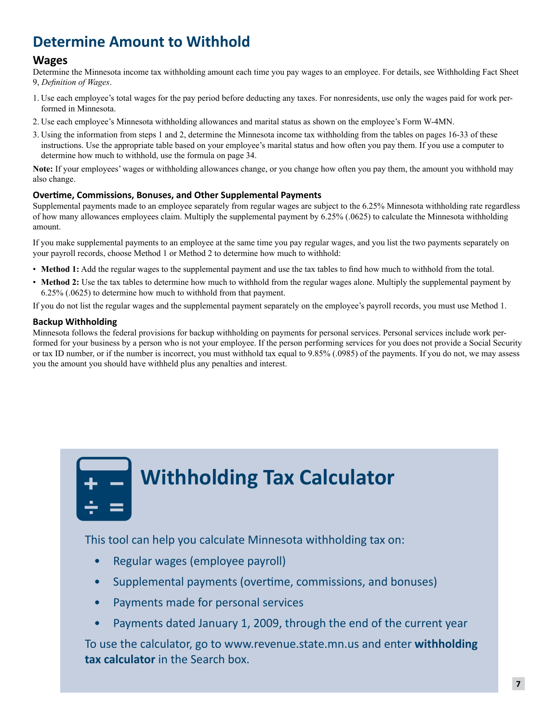### **Determine Amount to Withhold**

### **Wages**

Determine the Minnesota income tax withholding amount each time you pay wages to an employee. For details, see Withholding Fact Sheet 9, *Definition of Wages*.

- 1. Use each employee's total wages for the pay period before deducting any taxes. For nonresidents, use only the wages paid for work performed in Minnesota.
- 2. Use each employee's Minnesota withholding allowances and marital status as shown on the employee's Form W-4MN.
- 3. Using the information from steps 1 and 2, determine the Minnesota income tax withholding from the tables on pages 16-33 of these instructions. Use the appropriate table based on your employee's marital status and how often you pay them. If you use a computer to determine how much to withhold, use the formula on page 34.

**Note:** If your employees' wages or withholding allowances change, or you change how often you pay them, the amount you withhold may also change.

#### **Overtime, Commissions, Bonuses, and Other Supplemental Payments**

Supplemental payments made to an employee separately from regular wages are subject to the 6.25% Minnesota withholding rate regardless of how many allowances employees claim. Multiply the supplemental payment by 6.25% (.0625) to calculate the Minnesota withholding amount.

If you make supplemental payments to an employee at the same time you pay regular wages, and you list the two payments separately on your payroll records, choose Method 1 or Method 2 to determine how much to withhold:

- **Method 1:** Add the regular wages to the supplemental payment and use the tax tables to find how much to withhold from the total.
- Method 2: Use the tax tables to determine how much to withhold from the regular wages alone. Multiply the supplemental payment by 6.25% (.0625) to determine how much to withhold from that payment.

If you do not list the regular wages and the supplemental payment separately on the employee's payroll records, you must use Method 1.

### **Backup Withholding**

Minnesota follows the federal provisions for backup withholding on payments for personal services. Personal services include work performed for your business by a person who is not your employee. If the person performing services for you does not provide a Social Security or tax ID number, or if the number is incorrect, you must withhold tax equal to 9.85% (.0985) of the payments. If you do not, we may assess you the amount you should have withheld plus any penalties and interest.

| <b>STATE</b> |  |
|--------------|--|
|              |  |

## **Withholding Tax Calculator**

This tool can help you calculate Minnesota withholding tax on:

- Regular wages (employee payroll)
- Supplemental payments (overtime, commissions, and bonuses)
- Payments made for personal services
- Payments dated January 1, 2009, through the end of the current year

To use the calculator, go to www.revenue.state.mn.us and enter **withholding tax calculator** in the Search box.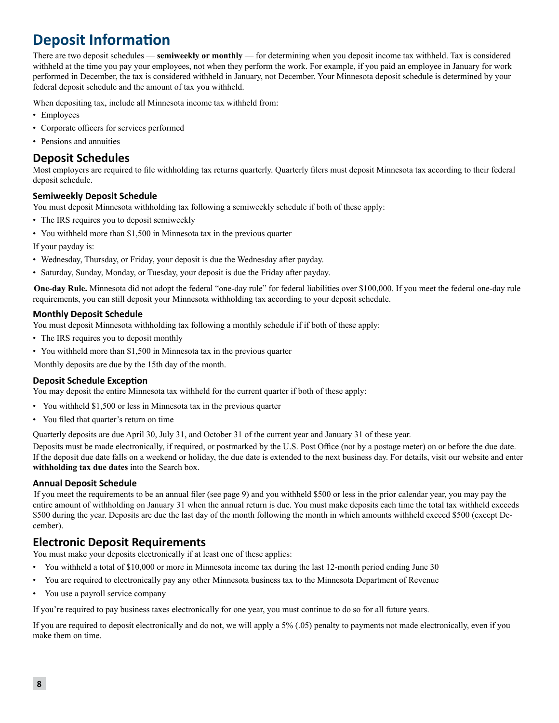### **Deposit Information**

There are two deposit schedules — **semiweekly or monthly** — for determining when you deposit income tax withheld. Tax is considered withheld at the time you pay your employees, not when they perform the work. For example, if you paid an employee in January for work performed in December, the tax is considered withheld in January, not December. Your Minnesota deposit schedule is determined by your federal deposit schedule and the amount of tax you withheld.

When depositing tax, include all Minnesota income tax withheld from:

- Employees
- Corporate officers for services performed
- Pensions and annuities

### **Deposit Schedules**

Most employers are required to file withholding tax returns quarterly. Quarterly filers must deposit Minnesota tax according to their federal deposit schedule.

#### **Semiweekly Deposit Schedule**

You must deposit Minnesota withholding tax following a semiweekly schedule if both of these apply:

- The IRS requires you to deposit semiweekly
- You withheld more than \$1,500 in Minnesota tax in the previous quarter

If your payday is:

- Wednesday, Thursday, or Friday, your deposit is due the Wednesday after payday.
- Saturday, Sunday, Monday, or Tuesday, your deposit is due the Friday after payday.

**One-day Rule.** Minnesota did not adopt the federal "one-day rule" for federal liabilities over \$100,000. If you meet the federal one-day rule requirements, you can still deposit your Minnesota withholding tax according to your deposit schedule.

#### **Monthly Deposit Schedule**

You must deposit Minnesota withholding tax following a monthly schedule if if both of these apply:

- The IRS requires you to deposit monthly
- You withheld more than \$1,500 in Minnesota tax in the previous quarter

Monthly deposits are due by the 15th day of the month.

#### **Deposit Schedule Exception**

You may deposit the entire Minnesota tax withheld for the current quarter if both of these apply:

- You withheld \$1,500 or less in Minnesota tax in the previous quarter
- You filed that quarter's return on time

Quarterly deposits are due April 30, July 31, and October 31 of the current year and January 31 of these year.

Deposits must be made electronically, if required, or postmarked by the U.S. Post Office (not by a postage meter) on or before the due date. If the deposit due date falls on a weekend or holiday, the due date is extended to the next business day. For details, visit our website and enter **withholding tax due dates** into the Search box.

#### **Annual Deposit Schedule**

If you meet the requirements to be an annual filer (see page 9) and you withheld \$500 or less in the prior calendar year, you may pay the entire amount of withholding on January 31 when the annual return is due. You must make deposits each time the total tax withheld exceeds \$500 during the year. Deposits are due the last day of the month following the month in which amounts withheld exceed \$500 (except December).

### **Electronic Deposit Requirements**

You must make your deposits electronically if at least one of these applies:

- You withheld a total of \$10,000 or more in Minnesota income tax during the last 12-month period ending June 30
- You are required to electronically pay any other Minnesota business tax to the Minnesota Department of Revenue
- You use a payroll service company

If you're required to pay business taxes electronically for one year, you must continue to do so for all future years.

If you are required to deposit electronically and do not, we will apply a 5% (.05) penalty to payments not made electronically, even if you make them on time.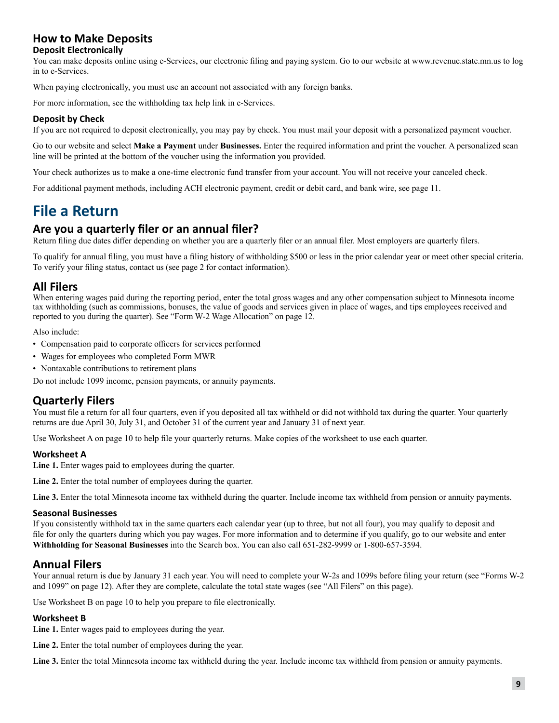### **How to Make Deposits**

#### **Deposit Electronically**

You can make deposits online using e-Services, our electronic filing and paying system. Go to our website at www.revenue.state.mn.us to log in to e-Services.

When paying electronically, you must use an account not associated with any foreign banks.

For more information, see the withholding tax help link in e-Services.

#### **Deposit by Check**

If you are not required to deposit electronically, you may pay by check. You must mail your deposit with a personalized payment voucher.

Go to our website and select **Make a Payment** under **Businesses.** Enter the required information and print the voucher. A personalized scan line will be printed at the bottom of the voucher using the information you provided.

Your check authorizes us to make a one-time electronic fund transfer from your account. You will not receive your canceled check.

For additional payment methods, including ACH electronic payment, credit or debit card, and bank wire, see page 11.

### **File a Return**

### **Are you a quarterly filer or an annual filer?**

Return filing due dates differ depending on whether you are a quarterly filer or an annual filer. Most employers are quarterly filers.

To qualify for annual filing, you must have a filing history of withholding \$500 or less in the prior calendar year or meet other special criteria. To verify your filing status, contact us (see page 2 for contact information).

### **All Filers**

When entering wages paid during the reporting period, enter the total gross wages and any other compensation subject to Minnesota income tax withholding (such as commissions, bonuses, the value of goods and services given in place of wages, and tips employees received and reported to you during the quarter). See "Form W-2 Wage Allocation" on page 12.

Also include:

- Compensation paid to corporate officers for services performed
- Wages for employees who completed Form MWR
- Nontaxable contributions to retirement plans

Do not include 1099 income, pension payments, or annuity payments.

### **Quarterly Filers**

You must file a return for all four quarters, even if you deposited all tax withheld or did not withhold tax during the quarter. Your quarterly returns are due April 30, July 31, and October 31 of the current year and January 31 of next year.

Use Worksheet A on page 10 to help file your quarterly returns. Make copies of the worksheet to use each quarter.

#### **Worksheet A**

**Line 1.** Enter wages paid to employees during the quarter.

**Line 2.** Enter the total number of employees during the quarter.

Line 3. Enter the total Minnesota income tax withheld during the quarter. Include income tax withheld from pension or annuity payments.

#### **Seasonal Businesses**

If you consistently withhold tax in the same quarters each calendar year (up to three, but not all four), you may qualify to deposit and file for only the quarters during which you pay wages. For more information and to determine if you qualify, go to our website and enter **Withholding for Seasonal Businesses** into the Search box. You can also call 651-282-9999 or 1-800-657-3594.

### **Annual Filers**

Your annual return is due by January 31 each year. You will need to complete your W-2s and 1099s before filing your return (see "Forms W-2 and 1099" on page 12). After they are complete, calculate the total state wages (see "All Filers" on this page).

Use Worksheet B on page 10 to help you prepare to file electronically.

#### **Worksheet B**

Line 1. Enter wages paid to employees during the year.

**Line 2.** Enter the total number of employees during the year.

**Line 3.** Enter the total Minnesota income tax withheld during the year. Include income tax withheld from pension or annuity payments.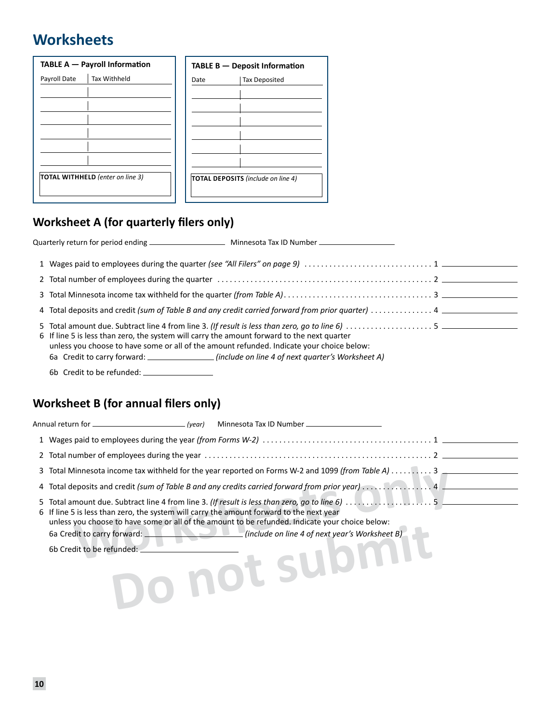### **Worksheets**

|              | TABLE A - Payroll Information    |      | TABLE B - Deposit Information             |
|--------------|----------------------------------|------|-------------------------------------------|
| Payroll Date | <b>Tax Withheld</b>              | Date | <b>Tax Deposited</b>                      |
|              |                                  |      |                                           |
|              |                                  |      |                                           |
|              |                                  |      |                                           |
|              |                                  |      |                                           |
|              |                                  |      |                                           |
|              |                                  |      |                                           |
|              | TOTAL WITHHELD (enter on line 3) |      | <b>TOTAL DEPOSITS</b> (include on line 4) |
|              |                                  |      |                                           |

### **Worksheet A (for quarterly filers only)**

| 6 If line 5 is less than zero, the system will carry the amount forward to the next quarter<br>unless you choose to have some or all of the amount refunded. Indicate your choice below:<br>6a Credit to carry forward: ____________________(include on line 4 of next quarter's Worksheet A) |  |
|-----------------------------------------------------------------------------------------------------------------------------------------------------------------------------------------------------------------------------------------------------------------------------------------------|--|
|                                                                                                                                                                                                                                                                                               |  |

### **Worksheet B (for annual filers only)**

| Annual return for ___<br>(year)                                                                                                                                                                                                                                                |  |  |  |  |  |  |  |  |  |  |
|--------------------------------------------------------------------------------------------------------------------------------------------------------------------------------------------------------------------------------------------------------------------------------|--|--|--|--|--|--|--|--|--|--|
|                                                                                                                                                                                                                                                                                |  |  |  |  |  |  |  |  |  |  |
|                                                                                                                                                                                                                                                                                |  |  |  |  |  |  |  |  |  |  |
| 3 Total Minnesota income tax withheld for the year reported on Forms W-2 and 1099 (from Table A) 3 $\overline{a}$                                                                                                                                                              |  |  |  |  |  |  |  |  |  |  |
| 4 Total deposits and credit (sum of Table B and any credits carried forward from prior year) 4 _______                                                                                                                                                                         |  |  |  |  |  |  |  |  |  |  |
| 6 If line 5 is less than zero, the system will carry the amount forward to the next year<br>unless you choose to have some or all of the amount to be refunded. Indicate your choice below:<br>(include on line 4 of next year's Worksheet B)<br>6a Credit to carry forward: _ |  |  |  |  |  |  |  |  |  |  |
| 6b Credit to be refunded:<br>UL SI                                                                                                                                                                                                                                             |  |  |  |  |  |  |  |  |  |  |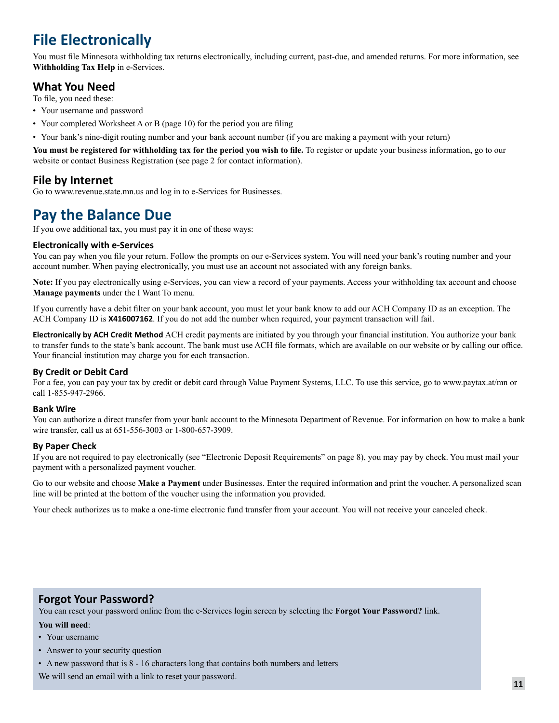## **File Electronically**

You must file Minnesota withholding tax returns electronically, including current, past-due, and amended returns. For more information, see **Withholding Tax Help** in e-Services.

### **What You Need**

To file, you need these:

- Your username and password
- Your completed Worksheet A or B (page 10) for the period you are filing
- Your bank's nine-digit routing number and your bank account number (if you are making a payment with your return)

**You must be registered for withholding tax for the period you wish to file.** To register or update your business information, go to our website or contact Business Registration (see page 2 for contact information).

### **File by Internet**

Go to www.revenue.state.mn.us and log in to e-Services for Businesses.

### **Pay the Balance Due**

If you owe additional tax, you must pay it in one of these ways:

#### **Electronically with e‑Services**

You can pay when you file your return. Follow the prompts on our e-Services system. You will need your bank's routing number and your account number. When paying electronically, you must use an account not associated with any foreign banks.

**Note:** If you pay electronically using e-Services, you can view a record of your payments. Access your withholding tax account and choose **Manage payments** under the I Want To menu.

If you currently have a debit filter on your bank account, you must let your bank know to add our ACH Company ID as an exception. The ACH Company ID is **X416007162**. If you do not add the number when required, your payment transaction will fail.

**Electronically by ACH Credit Method** ACH credit payments are initiated by you through your financial institution. You authorize your bank to transfer funds to the state's bank account. The bank must use ACH file formats, which are available on our website or by calling our office. Your financial institution may charge you for each transaction.

### **By Credit or Debit Card**

For a fee, you can pay your tax by credit or debit card through Value Payment Systems, LLC. To use this service, go to www.paytax.at/mn or call 1-855-947-2966.

### **Bank Wire**

You can authorize a direct transfer from your bank account to the Minnesota Department of Revenue. For information on how to make a bank wire transfer, call us at 651-556-3003 or 1-800-657-3909.

### **By Paper Check**

If you are not required to pay electronically (see "Electronic Deposit Requirements" on page 8), you may pay by check. You must mail your payment with a personalized payment voucher.

Go to our website and choose **Make a Payment** under Businesses. Enter the required information and print the voucher. A personalized scan line will be printed at the bottom of the voucher using the information you provided.

Your check authorizes us to make a one-time electronic fund transfer from your account. You will not receive your canceled check.

### **Forgot Your Password?**

You can reset your password online from the e-Services login screen by selecting the **Forgot Your Password?** link.

#### **You will need**:

- Your username
- Answer to your security question
- A new password that is 8 16 characters long that contains both numbers and letters

We will send an email with a link to reset your password.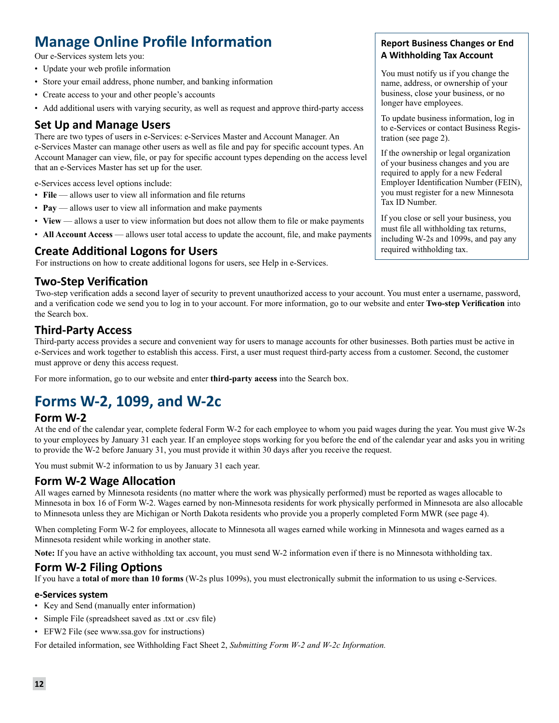### **Manage Online Profile Information**

Our e-Services system lets you:

- Update your web profile information
- Store your email address, phone number, and banking information
- Create access to your and other people's accounts
- Add additional users with varying security, as well as request and approve third-party access

### **Set Up and Manage Users**

There are two types of users in e-Services: e-Services Master and Account Manager. An e-Services Master can manage other users as well as file and pay for specific account types. An Account Manager can view, file, or pay for specific account types depending on the access level that an e-Services Master has set up for the user.

e-Services access level options include:

- **File** allows user to view all information and file returns
- **Pay** allows user to view all information and make payments
- **View** allows a user to view information but does not allow them to file or make payments
- **All Account Access** allows user total access to update the account, file, and make payments

### **Create Additional Logons for Users**

For instructions on how to create additional logons for users, see Help in e-Services.

### **Two-Step Verification**

Two-step verification adds a second layer of security to prevent unauthorized access to your account. You must enter a username, password, and a verification code we send you to log in to your account. For more information, go to our website and enter **Two-step Verification** into the Search box.

### **Third-Party Access**

Third-party access provides a secure and convenient way for users to manage accounts for other businesses. Both parties must be active in e-Services and work together to establish this access. First, a user must request third-party access from a customer. Second, the customer must approve or deny this access request.

For more information, go to our website and enter **third-party access** into the Search box.

### **Forms W-2, 1099, and W-2c**

### **Form W-2**

At the end of the calendar year, complete federal Form W-2 for each employee to whom you paid wages during the year. You must give W-2s to your employees by January 31 each year. If an employee stops working for you before the end of the calendar year and asks you in writing to provide the W-2 before January 31, you must provide it within 30 days after you receive the request.

You must submit W-2 information to us by January 31 each year.

### **Form W-2 Wage Allocation**

All wages earned by Minnesota residents (no matter where the work was physically performed) must be reported as wages allocable to Minnesota in box 16 of Form W-2. Wages earned by non-Minnesota residents for work physically performed in Minnesota are also allocable to Minnesota unless they are Michigan or North Dakota residents who provide you a properly completed Form MWR (see page 4).

When completing Form W-2 for employees, allocate to Minnesota all wages earned while working in Minnesota and wages earned as a Minnesota resident while working in another state.

**Note:** If you have an active withholding tax account, you must send W-2 information even if there is no Minnesota withholding tax.

### **Form W-2 Filing Options**

If you have a **total of more than 10 forms** (W-2s plus 1099s), you must electronically submit the information to us using e-Services.

### **e-Services system**

- Key and Send (manually enter information)
- Simple File (spreadsheet saved as .txt or .csv file)
- EFW2 File (see www.ssa.gov for instructions)

For detailed information, see Withholding Fact Sheet 2, *Submitting Form W-2 and W-2c Information.*

### **Report Business Changes or End A Withholding Tax Account**

You must notify us if you change the name, address, or ownership of your business, close your business, or no longer have employees.

To update business information, log in to e-Services or contact Business Registration (see page 2).

If the ownership or legal organization of your business changes and you are required to apply for a new Federal Employer Identification Number (FEIN), you must register for a new Minnesota Tax ID Number.

If you close or sell your business, you must file all withholding tax returns, including W-2s and 1099s, and pay any required withholding tax.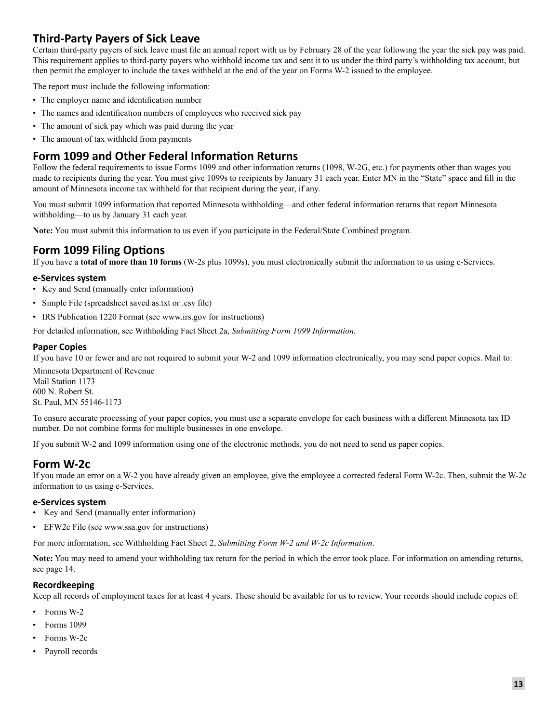### **Third-Party Payers of Sick Leave**

Certain third-party payers of sick leave must file an annual report with us by February 28 of the year following the year the sick pay was paid. This requirement applies to third-party payers who withhold income tax and sent it to us under the third party's withholding tax account, but then permit the employer to include the taxes withheld at the end of the year on Forms W-2 issued to the employee.

The report must include the following information:

- The employer name and identification number
- The names and identification numbers of employees who received sick pay
- The amount of sick pay which was paid during the year
- The amount of tax withheld from payments

### **Form 1099 and Other Federal Information Returns**

Follow the federal requirements to issue Forms 1099 and other information returns (1098, W-2G, etc.) for payments other than wages you made to recipients during the year. You must give 1099s to recipients by January 31 each year. Enter MN in the "State" space and fill in the amount of Minnesota income tax withheld for that recipient during the year, if any.

You must submit 1099 information that reported Minnesota withholding—and other federal information returns that report Minnesota withholding—to us by January 31 each year.

**Note:** You must submit this information to us even if you participate in the Federal/State Combined program.

### **Form 1099 Filing Options**

If you have a **total of more than 10 forms** (W-2s plus 1099s), you must electronically submit the information to us using e-Services.

#### **e-Services system**

- Key and Send (manually enter information)
- Simple File (spreadsheet saved as.txt or .csv file)
- IRS Publication 1220 Format (see www.irs.gov for instructions)

For detailed information, see Withholding Fact Sheet 2a, *Submitting Form 1099 Information.*

#### **Paper Copies**

If you have 10 or fewer and are not required to submit your W-2 and 1099 information electronically, you may send paper copies. Mail to:

Minnesota Department of Revenue Mail Station 1173 600 N. Robert St. St. Paul, MN 55146-1173

To ensure accurate processing of your paper copies, you must use a separate envelope for each business with a different Minnesota tax ID number. Do not combine forms for multiple businesses in one envelope.

If you submit W-2 and 1099 information using one of the electronic methods, you do not need to send us paper copies.

### **Form W-2c**

If you made an error on a W-2 you have already given an employee, give the employee a corrected federal Form W-2c. Then, submit the W-2c information to us using e-Services.

#### **e-Services system**

- Key and Send (manually enter information)
- EFW2c File (see www.ssa.gov for instructions)

For more information, see Withholding Fact Sheet 2, *Submitting Form W-2 and W-2c Information*.

**Note:** You may need to amend your withholding tax return for the period in which the error took place. For information on amending returns, see page 14.

### **Recordkeeping**

Keep all records of employment taxes for at least 4 years. These should be available for us to review. Your records should include copies of:

- Forms W-2
- Forms 1099
- Forms W-2c
- Payroll records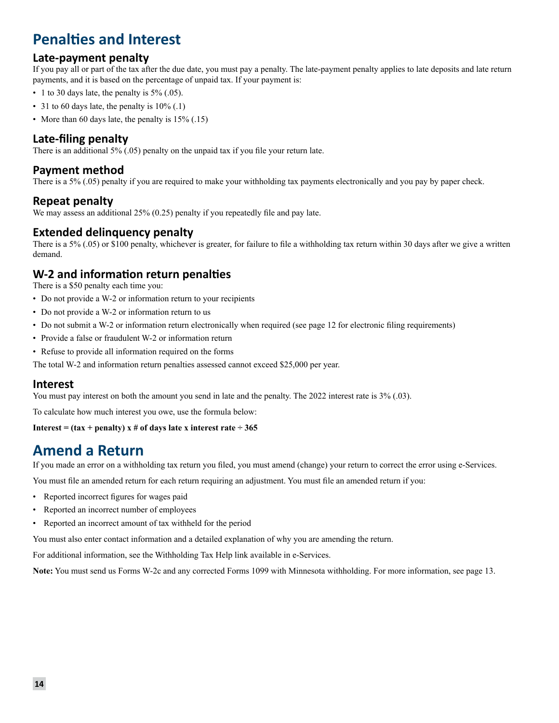### **Penalties and Interest**

### **Late-payment penalty**

If you pay all or part of the tax after the due date, you must pay a penalty. The late-payment penalty applies to late deposits and late return payments, and it is based on the percentage of unpaid tax. If your payment is:

- 1 to 30 days late, the penalty is  $5\%$  (.05).
- 31 to 60 days late, the penalty is  $10\%$  (.1)
- More than 60 days late, the penalty is  $15\%$  (.15)

### **Late-filing penalty**

There is an additional 5% (.05) penalty on the unpaid tax if you file your return late.

### **Payment method**

There is a 5% (.05) penalty if you are required to make your withholding tax payments electronically and you pay by paper check.

### **Repeat penalty**

```
We may assess an additional 25% (0.25) penalty if you repeatedly file and pay late.
```
### **Extended delinquency penalty**

There is a 5% (.05) or \$100 penalty, whichever is greater, for failure to file a withholding tax return within 30 days after we give a written demand.

### **W-2 and information return penalties**

There is a \$50 penalty each time you:

- Do not provide a W-2 or information return to your recipients
- Do not provide a W-2 or information return to us
- Do not submit a W-2 or information return electronically when required (see page 12 for electronic filing requirements)
- Provide a false or fraudulent W-2 or information return
- Refuse to provide all information required on the forms

The total W-2 and information return penalties assessed cannot exceed \$25,000 per year.

### **Interest**

You must pay interest on both the amount you send in late and the penalty. The 2022 interest rate is  $3\%$  (.03).

To calculate how much interest you owe, use the formula below:

**Interest = (tax + penalty) x # of days late x interest rate**  $\div 365$ 

### **Amend a Return**

If you made an error on a withholding tax return you filed, you must amend (change) your return to correct the error using e-Services.

You must file an amended return for each return requiring an adjustment. You must file an amended return if you:

- Reported incorrect figures for wages paid
- Reported an incorrect number of employees
- Reported an incorrect amount of tax withheld for the period

You must also enter contact information and a detailed explanation of why you are amending the return.

For additional information, see the Withholding Tax Help link available in e-Services.

**Note:** You must send us Forms W-2c and any corrected Forms 1099 with Minnesota withholding. For more information, see page 13.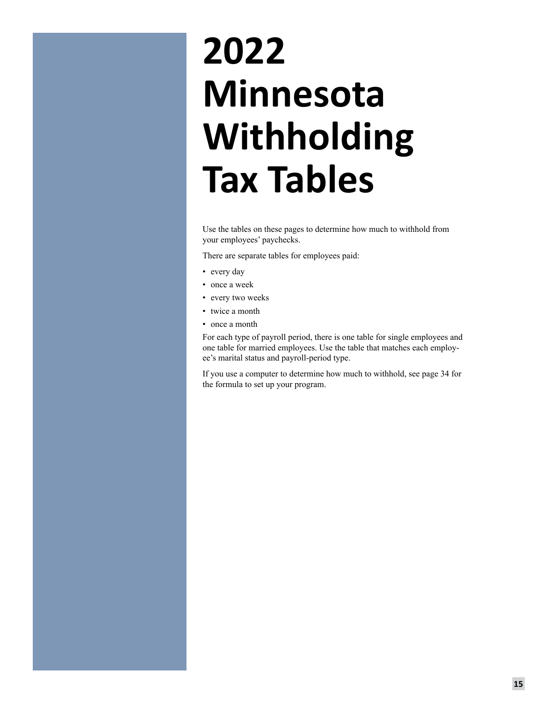# **2022 Minnesota Withholding Tax Tables**

Use the tables on these pages to determine how much to withhold from your employees' paychecks.

There are separate tables for employees paid:

- every day
- once a week
- every two weeks
- twice a month
- once a month

For each type of payroll period, there is one table for single employees and one table for married employees. Use the table that matches each employee's marital status and payroll-period type.

If you use a computer to determine how much to withhold, see page 34 for the formula to set up your program.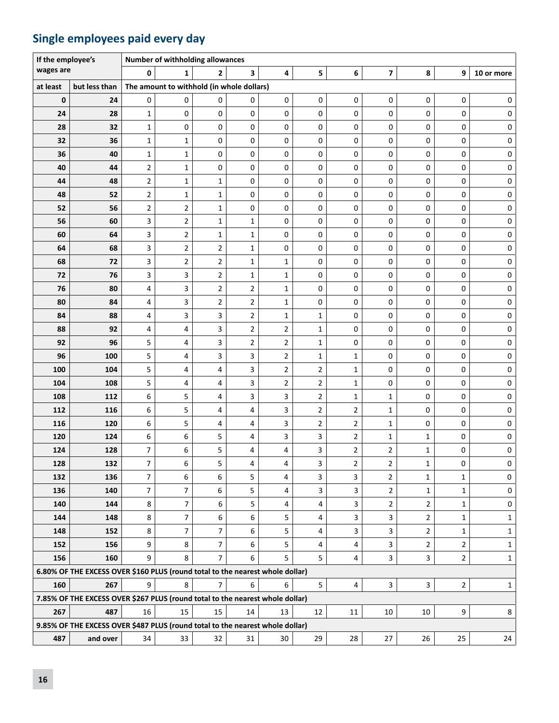### **Single employees paid every day**

| If the employee's |                                                                               |                | Number of withholding allowances          |                |                  |                |                 |                         |                         |                     |                |              |
|-------------------|-------------------------------------------------------------------------------|----------------|-------------------------------------------|----------------|------------------|----------------|-----------------|-------------------------|-------------------------|---------------------|----------------|--------------|
| wages are         |                                                                               | 0              | 1                                         | 2              | 3                | 4              | 5               | 6                       | $\overline{\mathbf{z}}$ | 8                   | 9              | 10 or more   |
| at least          | but less than                                                                 |                | The amount to withhold (in whole dollars) |                |                  |                |                 |                         |                         |                     |                |              |
| $\bf{0}$          | 24                                                                            | 0              | 0                                         | 0              | 0                | $\mathsf 0$    | $\mathsf 0$     | 0                       | $\mathsf{O}\xspace$     | 0                   | 0              | 0            |
| 24                | 28                                                                            | $\mathbf{1}$   | 0                                         | 0              | 0                | $\mathbf 0$    | 0               | 0                       | 0                       | 0                   | 0              | 0            |
| 28                | 32                                                                            | $\mathbf{1}$   | 0                                         | 0              | 0                | $\mathbf 0$    | 0               | 0                       | 0                       | 0                   | 0              | 0            |
| 32                | 36                                                                            | $\mathbf{1}$   | $\mathbf{1}$                              | 0              | 0                | $\mathbf 0$    | 0               | 0                       | 0                       | 0                   | 0              | 0            |
| 36                | 40                                                                            | $\mathbf{1}$   | $\mathbf{1}$                              | 0              | 0                | 0              | 0               | 0                       | 0                       | 0                   | 0              | 0            |
| 40                | 44                                                                            | $\overline{2}$ | $\mathbf{1}$                              | 0              | 0                | 0              | 0               | 0                       | 0                       | 0                   | 0              | 0            |
| 44                | 48                                                                            | $\overline{2}$ | $\mathbf{1}$                              | 1              | 0                | 0              | 0               | 0                       | 0                       | 0                   | 0              | 0            |
| 48                | 52                                                                            | $\overline{2}$ | $\mathbf{1}$                              | $\mathbf 1$    | 0                | 0              | 0               | 0                       | 0                       | 0                   | 0              | $\pmb{0}$    |
| 52                | 56                                                                            | $\overline{2}$ | 2                                         | $\mathbf 1$    | 0                | 0              | 0               | 0                       | 0                       | 0                   | 0              | 0            |
| 56                | 60                                                                            | 3              | 2                                         | 1              | 1                | 0              | 0               | 0                       | 0                       | 0                   | 0              | 0            |
| 60                | 64                                                                            | 3              | $\overline{\mathbf{c}}$                   | $\mathbf 1$    | 1                | $\pmb{0}$      | 0               | 0                       | 0                       | 0                   | $\mathsf 0$    | 0            |
| 64                | 68                                                                            | 3              | $\overline{2}$                            | $\overline{2}$ | $\mathbf{1}$     | 0              | 0               | 0                       | 0                       | 0                   | $\mathsf 0$    | $\pmb{0}$    |
| 68                | 72                                                                            | 3              | 2                                         | 2              | $\mathbf{1}$     | $1\,$          | 0               | 0                       | 0                       | 0                   | 0              | 0            |
| 72                | 76                                                                            | 3              | 3                                         | $\overline{2}$ | $\mathbf{1}$     | $\mathbf 1$    | 0               | 0                       | 0                       | 0                   | $\mathsf 0$    | 0            |
| 76                | 80                                                                            | 4              | 3                                         | $\overline{2}$ | $\overline{2}$   | $\mathbf{1}$   | 0               | 0                       | 0                       | 0                   | $\mathsf 0$    | 0            |
| 80                | 84                                                                            | 4              | 3                                         | $\overline{2}$ | $\overline{2}$   | $\mathbf{1}$   | 0               | 0                       | 0                       | 0                   | 0              | 0            |
| 84                | 88                                                                            | 4              | 3                                         | 3              | $\overline{2}$   | $\mathbf{1}$   | $\mathbf{1}$    | 0                       | 0                       | 0                   | 0              | 0            |
| 88                | 92                                                                            | 4              | 4                                         | 3              | $\overline{2}$   | $\mathbf{2}$   | $\mathbf 1$     | 0                       | 0                       | 0                   | 0              | $\mathbf 0$  |
| 92                | 96                                                                            | 5              | 4                                         | 3              | $\overline{2}$   | $\overline{2}$ | $\mathbf{1}$    | 0                       | 0                       | 0                   | 0              | $\mathbf 0$  |
| 96                | 100                                                                           | 5              | 4                                         | 3              | 3                | $\overline{2}$ | $\mathbf{1}$    | 1                       | 0                       | 0                   | 0              | 0            |
| 100               | 104                                                                           | 5              | 4                                         | 4              | 3                | $\overline{2}$ | $\overline{2}$  | $\mathbf{1}$            | 0                       | 0                   | 0              | 0            |
| 104               | 108                                                                           | 5              | 4                                         | 4              | 3                | $\overline{2}$ | $\mathbf 2$     | $\mathbf{1}$            | 0                       | 0                   | $\mathbf 0$    | 0            |
| 108               | 112                                                                           | 6              | 5                                         | 4              | 3                | 3              | 2               | $\mathbf 1$             | $\mathbf{1}$            | $\mathsf{O}\xspace$ | 0              | 0            |
| 112               | 116                                                                           | 6              | 5                                         | 4              | 4                | 3              | $\overline{2}$  | $\overline{2}$          | $\mathbf 1$             | 0                   | 0              | 0            |
| 116               | 120                                                                           | 6              | 5                                         | 4              | 4                | 3              | $\overline{2}$  | $\overline{2}$          | $\mathbf{1}$            | 0                   | 0              | 0            |
| 120               | 124                                                                           | 6              | 6                                         | 5              | 4                | 3              | 3               | $\overline{2}$          | $\mathbf{1}$            | $\mathbf{1}$        | 0              | $\pmb{0}$    |
| 124               | 128                                                                           | 7              | 6                                         | 5              | 4                | 4              | 3               | $\overline{2}$          | $\mathbf{2}$            | 1                   | 0              | 0            |
| 128               | 132                                                                           | 7              | 6                                         | 5              | 4                | 4              | 3               | $\overline{a}$          | $\overline{\mathbf{c}}$ | $\mathbf{1}$        | 0              | $\pmb{0}$    |
| 132               | 136                                                                           | 7              | 6                                         | 6              | 5                | 4              | 3               | 3                       | $\overline{2}$          | $\mathbf{1}$        | $\mathbf{1}$   | $\pmb{0}$    |
| 136               | 140                                                                           | 7              | 7                                         | 6              | 5                | 4              | 3               | 3                       | $\overline{2}$          | $\mathbf{1}$        | $\mathbf{1}$   | 0            |
| 140               | 144                                                                           | 8              | 7                                         | 6              | 5                | 4              | 4               | 3                       | $\overline{2}$          | $\overline{2}$      | $\mathbf{1}$   | 0            |
| 144               | 148                                                                           | 8              | $\overline{7}$                            | 6              | 6                | 5              | 4               | 3                       | 3                       | $\overline{2}$      | 1              | $\mathbf{1}$ |
| 148               | 152                                                                           | 8              | 7                                         | 7              | $\boldsymbol{6}$ | 5              | 4               | 3                       | 3                       | $\overline{2}$      | $\mathbf{1}$   | $\mathbf{1}$ |
| 152               | 156                                                                           | 9              | 8                                         | $\overline{7}$ | 6                | 5              | 4               | 4                       | 3                       | $\overline{2}$      | $\overline{2}$ | 1            |
| 156               | 160                                                                           | 9              | 8                                         | $\overline{7}$ | 6                | 5              | $5\phantom{.0}$ | $\overline{\mathbf{4}}$ | 3                       | 3                   | $\overline{2}$ | $\mathbf{1}$ |
|                   | 6.80% OF THE EXCESS OVER \$160 PLUS (round total to the nearest whole dollar) |                |                                           |                |                  |                |                 |                         |                         |                     |                |              |
| 160               | 267                                                                           | 9              | 8                                         | $\overline{7}$ | $\boldsymbol{6}$ | 6              | 5               | $\overline{\mathbf{4}}$ | 3                       | 3                   | $\overline{2}$ | $\mathbf{1}$ |
|                   | 7.85% OF THE EXCESS OVER \$267 PLUS (round total to the nearest whole dollar) |                |                                           |                |                  |                |                 |                         |                         |                     |                |              |
| 267               | 487                                                                           | 16             | 15                                        | 15             | 14               | 13             | 12              | $11\,$                  | $10\,$                  | 10                  | 9              | 8            |
|                   | 9.85% OF THE EXCESS OVER \$487 PLUS (round total to the nearest whole dollar) |                |                                           |                |                  |                |                 |                         |                         |                     |                |              |
| 487               | and over                                                                      | 34             | 33                                        | 32             | 31               | $30\,$         | 29              | 28                      | 27                      | 26                  | 25             | 24           |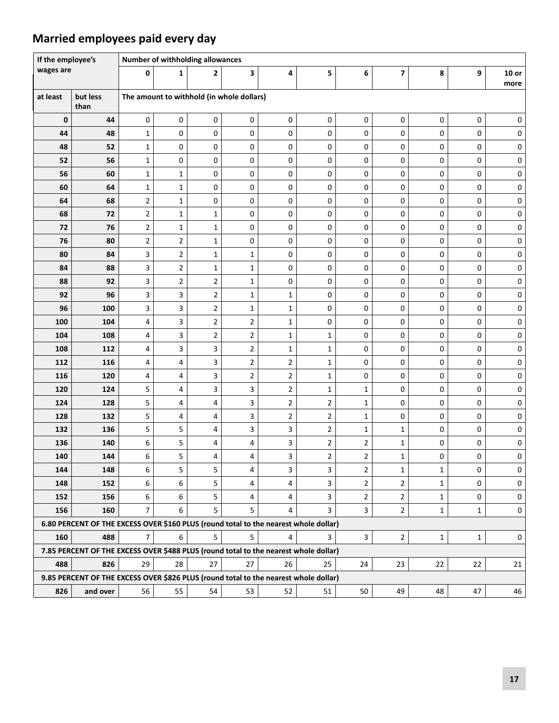### **Married employees paid every day**

| If the employee's |                                                                                      |                     | Number of withholding allowances          |                |                |                |                     |                                  |                                  |                              |              |                  |  |  |
|-------------------|--------------------------------------------------------------------------------------|---------------------|-------------------------------------------|----------------|----------------|----------------|---------------------|----------------------------------|----------------------------------|------------------------------|--------------|------------------|--|--|
| wages are         |                                                                                      | 0                   | 1                                         | 2              | 3              | 4              | 5                   | 6                                | $\overline{\mathbf{z}}$          | 8                            | 9            | $10$ or          |  |  |
|                   |                                                                                      |                     |                                           |                |                |                |                     |                                  |                                  |                              |              | more             |  |  |
| at least          | but less<br>than                                                                     |                     | The amount to withhold (in whole dollars) |                |                |                |                     |                                  |                                  |                              |              |                  |  |  |
| 0                 | 44                                                                                   | 0                   | 0                                         | 0              | 0              | 0              | 0                   | $\pmb{0}$                        | 0                                | 0                            | 0            | 0                |  |  |
| 44                | 48                                                                                   | $\mathbf{1}$        | 0                                         | 0              | 0              | 0              | 0                   | 0                                | 0                                | 0                            | 0            | 0                |  |  |
| 48                | 52                                                                                   | $\mathbf{1}$        | 0                                         | 0              | 0              | 0              | 0                   | 0                                | 0                                | 0                            | 0            | 0                |  |  |
| 52                | 56                                                                                   | $\mathbf{1}$        | 0                                         | 0              | 0              | 0              | 0                   | 0                                | 0                                | 0                            | 0            | 0                |  |  |
| 56                | 60                                                                                   | $\mathbf{1}$        | 1                                         | 0              | 0              | 0              | 0                   | $\pmb{0}$                        | 0                                | 0                            | 0            | 0                |  |  |
| 60                | 64                                                                                   | $\mathbf{1}$        | $\mathbf{1}$                              | 0              | 0              | 0              | 0                   | 0                                | 0                                | 0                            | 0            | 0                |  |  |
| 64                | 68                                                                                   | $\overline{2}$      | $\mathbf{1}$                              | 0              | 0              | 0              | 0                   | 0                                | 0                                | 0                            | 0            | 0                |  |  |
| 68                | 72                                                                                   | $\overline{2}$      | 1                                         | $\mathbf{1}$   | 0              | 0              | 0                   | 0                                | 0                                | 0                            | 0            | 0                |  |  |
| 72                | 76                                                                                   | $\overline{2}$      | $\mathbf{1}$                              | $\mathbf{1}$   | $\mathsf 0$    | 0              | 0                   | $\pmb{0}$                        | 0                                | 0                            | 0            | 0                |  |  |
| 76                | 80                                                                                   | $\overline{2}$      | $\overline{2}$                            | $\mathbf{1}$   | 0              | 0              | 0                   | $\mathbf 0$                      | 0                                | 0                            | 0            | 0                |  |  |
| 80                | 84                                                                                   | 3                   | $\overline{2}$                            | $\mathbf{1}$   | $\mathbf{1}$   | 0              | 0                   | $\mathbf 0$                      | 0                                | 0                            | 0            | 0                |  |  |
| 84                | 88                                                                                   | 3                   | $\overline{2}$                            | $\mathbf{1}$   | $\mathbf{1}$   | 0              | 0                   | 0                                | 0                                | 0                            | 0            | 0                |  |  |
| 88                | 92                                                                                   | 3                   | $\overline{2}$                            | $\overline{2}$ | $\mathbf{1}$   | 0              | 0                   | 0                                | 0                                | 0                            | 0            | 0                |  |  |
| 92                | 96                                                                                   | 3                   | 3                                         | 2              | $\mathbf{1}$   | $\mathbf{1}$   | 0                   | 0                                | 0                                | 0                            | 0            | 0                |  |  |
| 96                | 100                                                                                  | 3                   | 3                                         | 2              | 1              | 1              | 0                   | 0                                | 0                                | 0                            | 0            | 0                |  |  |
| 100               | 104                                                                                  | 4                   | 3                                         | 2              | 2              | 1              | 0                   | 0                                | 0                                | 0                            | 0            | 0                |  |  |
| 104               | 108                                                                                  | 4                   | 3                                         | 2              | 2              | $\mathbf{1}$   | 1                   | 0                                | 0                                | 0                            | 0            | 0                |  |  |
| 108               | 112                                                                                  | 4                   | 3                                         | 3              | $\overline{2}$ | $\mathbf 1$    | $\mathbf 1$         | 0                                | $\mathsf{O}\xspace$              | 0                            | 0            | 0                |  |  |
| 112               | 116                                                                                  | 4                   | 4                                         | 3              | $\overline{2}$ | $\overline{2}$ | $\mathbf{1}$        | 0                                | 0                                | 0                            | 0            | 0                |  |  |
| 116               | 120                                                                                  | 4                   | 4                                         | 3              | $\overline{2}$ | $\overline{2}$ | $\mathbf{1}$        | 0                                | 0                                | 0                            | 0            | 0                |  |  |
| 120               | 124                                                                                  | 5                   | 4                                         | 3              | 3              | $\overline{2}$ | $\mathbf{1}$        | 1                                | 0                                | 0                            | 0            | 0                |  |  |
| 124               | 128                                                                                  | 5                   | 4                                         | 4              | 3              | $\overline{2}$ | $\mathbf{2}$        | $\mathbf{1}$                     | 0                                | 0                            | 0            | 0                |  |  |
| 128               | 132                                                                                  | 5                   | 4                                         | 4              | 3              | $\overline{2}$ | $\overline{2}$      | $\mathbf{1}$                     | 0                                | 0                            | 0            | 0                |  |  |
| 132               | 136                                                                                  | 5                   | 5                                         | 4              | 3              | 3              | $\overline{2}$      | $\mathbf{1}$                     | $\mathbf 1$                      | 0                            | 0            | 0                |  |  |
| 136               | 140                                                                                  | 6                   | 5                                         | 4              | 4              | 3              | $\overline{2}$      | $\overline{2}$                   | $\mathbf 1$                      | 0                            | 0            | 0                |  |  |
| 140               | 144                                                                                  | 6                   | 5                                         | 4              | 4              | 3              | 2                   | 2                                | $\mathbf 1$                      | 0                            | 0            | 0                |  |  |
| 144               | 148<br>152                                                                           | 6                   | 5                                         | 5<br>5         | 4<br>4         | 3              | 3<br>3              | $\overline{2}$                   | $\mathbf{1}$<br>$\overline{2}$   | $\mathbf{1}$                 | 0<br>0       | 0                |  |  |
| 148               |                                                                                      | 6                   | 6<br>6                                    |                | 4              | 4              |                     | $\overline{2}$                   |                                  | $\mathbf{1}$                 | 0            | 0                |  |  |
| 152<br>156        | 156<br>160                                                                           | 6<br>$\overline{7}$ | 6                                         | 5<br>5         | 5              | 4<br>4         | 3<br>$\overline{3}$ | $\overline{2}$<br>$\overline{3}$ | $\overline{2}$<br>$\overline{2}$ | $\mathbf{1}$<br>$\mathbf{1}$ | $\mathbf{1}$ | 0<br>$\mathsf 0$ |  |  |
|                   | 6.80 PERCENT OF THE EXCESS OVER \$160 PLUS (round total to the nearest whole dollar) |                     |                                           |                |                |                |                     |                                  |                                  |                              |              |                  |  |  |
| 160               | 488                                                                                  | $\overline{7}$      | 6                                         | 5              | 5              | 4              | $\overline{3}$      | $\mathbf{3}$                     | $\overline{2}$                   | $\mathbf 1$                  | $\mathbf{1}$ | 0                |  |  |
|                   | 7.85 PERCENT OF THE EXCESS OVER \$488 PLUS (round total to the nearest whole dollar) |                     |                                           |                |                |                |                     |                                  |                                  |                              |              |                  |  |  |
| 488               | 826                                                                                  | 29                  | 28                                        | 27             | 27             | 26             | 25                  | 24                               | 23                               | 22                           | 22           | $21\,$           |  |  |
|                   | 9.85 PERCENT OF THE EXCESS OVER \$826 PLUS (round total to the nearest whole dollar) |                     |                                           |                |                |                |                     |                                  |                                  |                              |              |                  |  |  |
| 826               | and over                                                                             | 56                  | 55                                        | 54             | 53             | 52             | 51                  | 50                               | 49                               | 48                           | 47           | 46               |  |  |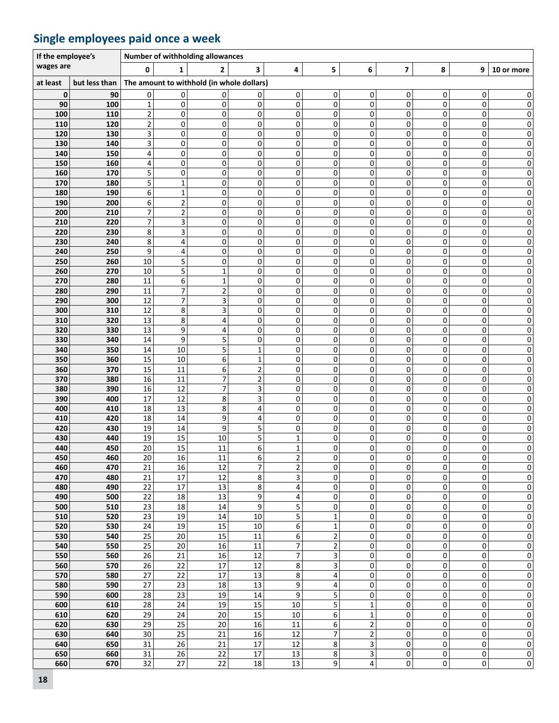### **Single employees paid once a week**

| If the employee's |               |             |                              | Number of withholding allowances          |                             |                   |                              |                  |                  |        |                        |                              |
|-------------------|---------------|-------------|------------------------------|-------------------------------------------|-----------------------------|-------------------|------------------------------|------------------|------------------|--------|------------------------|------------------------------|
| wages are         |               | 0           | 1                            | 2                                         | 3                           | 4                 | 5                            | 6                | 7                | 8      | 9                      | 10 or more                   |
| at least          | but less than |             |                              | The amount to withhold (in whole dollars) |                             |                   |                              |                  |                  |        |                        |                              |
| 0                 | 90            | 0           | 0                            | 0                                         | 0                           | 0                 | $\vert 0 \vert$              | 0                | 0                | 0      | 0                      | 0                            |
| 90                | 100           | $\mathbf 1$ | 0                            | 0                                         | $\pmb{0}$                   | 0                 | $\mathbf 0$                  | 0                | 0                | 0      | 0                      | $\overline{0}$               |
| 100               | 110           | $\mathbf 2$ | 0                            | 0                                         | 0                           | 0                 | 0                            | 0                | 0                | 0      | 0                      | $\mathbf{0}$                 |
| 110               | 120           | 2           | 0                            | 0                                         | 0                           | 0                 | 0                            | 0                | 0                | 0      | 0                      | $\mathbf{0}$                 |
| 120<br>130        | 130           | 3           | 0                            | 0                                         | 0<br>0                      | 0<br>0            | 0<br>0                       | 0                | 0<br>0           | 0<br>0 | 0<br>0                 | 0                            |
| 140               | 140<br>150    | 3<br>4      | 0<br>0                       | 0<br>0                                    | $\pmb{0}$                   | 0                 | 0                            | 0<br>0           | $\pmb{0}$        | 0      | 0                      | $\mathbf{0}$<br>$\mathbf{0}$ |
| 150               | 160           | 4           | 0                            | 0                                         | 0                           | 0                 | 0                            | 0                | 0                | 0      | 0                      | $\mathbf{0}$                 |
| 160               | 170           | 5           | 0                            | 0                                         | 0                           | 0                 | 0                            | 0                | 0                | 0      | 0                      | $\mathbf{0}$                 |
| 170               | 180           | 5           | 1                            | 0                                         | 0                           | 0                 | 0                            | 0                | 0                | 0      | 0                      | 0                            |
| 180               | 190           | 6           | $\mathbf{1}$                 | 0                                         | 0                           | 0                 | 0                            | 0                | 0                | 0      | 0                      | $\mathbf{0}$                 |
| 190               | 200           | 6           | $\overline{\mathbf{c}}$      | 0                                         | $\pmb{0}$                   | 0                 | $\mathbf 0$                  | 0                | 0                | 0      | 0                      | 0                            |
| 200<br>210        | 210<br>220    | 7<br>7      | $\overline{\mathbf{c}}$<br>3 | 0<br>0                                    | 0<br>0                      | 0<br>0            | 0<br>0                       | 0<br>0           | 0<br>0           | 0<br>0 | 0<br>0                 | $\mathbf{0}$<br>0            |
| 220               | 230           | 8           | 3                            | 0                                         | 0                           | 0                 | 0                            | 0                | 0                | 0      | 0                      | 0                            |
| 230               | 240           | 8           | 4                            | 0                                         | $\pmb{0}$                   | 0                 | $\mathbf 0$                  | 0                | 0                | 0      | 0                      | 0                            |
| 240               | 250           | 9           | 4                            | 0                                         | 0                           | 0                 | 0                            | 0                | 0                | 0      | 0                      | $\mathbf{0}$                 |
| 250               | 260           | 10          | 5                            | 0                                         | 0                           | 0                 | 0                            | 0                | 0                | 0      | 0                      | $\mathbf{0}$                 |
| 260               | 270           | 10          | 5                            | $\mathbf{1}$                              | 0                           | 0                 | 0                            | 0                | 0                | 0      | 0                      | 0                            |
| 270               | 280           | 11          | 6<br>$\overline{7}$          | $\mathbf 1$                               | $\pmb{0}$                   | 0                 | 0<br>$\mathbf 0$             | 0                | 0                | 0<br>0 | 0<br>0                 | 0                            |
| 280<br>290        | 290<br>300    | 11<br>12    | $\overline{7}$               | $\mathbf 2$<br>3                          | $\pmb{0}$<br>0              | 0<br>0            | 0                            | 0<br>0           | $\pmb{0}$<br>0   | 0      | 0                      | $\mathbf{0}$<br>$\mathbf{0}$ |
| 300               | 310           | 12          | 8                            | 3                                         | 0                           | 0                 | 0                            | 0                | 0                | 0      | 0                      | $\mathbf{0}$                 |
| 310               | 320           | 13          | 8                            | 4                                         | 0                           | 0                 | 0                            | 0                | 0                | 0      | 0                      | 0                            |
| 320               | 330           | 13          | 9                            | 4                                         | $\pmb{0}$                   | 0                 | 0                            | 0                | 0                | 0      | 0                      | 0                            |
| 330               | 340           | 14          | 9                            | 5                                         | $\pmb{0}$                   | 0                 | 0                            | 0                | $\pmb{0}$        | 0      | 0                      | 0                            |
| 340               | 350           | 14          | 10                           | 5                                         | $\mathbf 1$                 | 0                 | 0                            | 0                | 0                | 0      | 0                      | $\mathbf{0}$                 |
| 350<br>360        | 360<br>370    | 15<br>15    | 10<br>11                     | 6<br>6                                    | $\mathbf{1}$<br>$\mathbf 2$ | 0<br>0            | 0<br>0                       | 0<br>0           | 0<br>0           | 0<br>0 | 0<br>0                 | $\Omega$<br>0                |
| 370               | 380           | 16          | 11                           | $\overline{7}$                            | $\overline{2}$              | 0                 | 0                            | 0                | 0                | 0      | 0                      | 0                            |
| 380               | 390           | 16          | 12                           | $\overline{\phantom{a}}$                  | 3                           | 0                 | 0                            | 0                | 0                | 0      | 0                      | $\mathbf{0}$                 |
| 390               | 400           | 17          | 12                           | 8                                         | 3                           | 0                 | 0                            | 0                | 0                | 0      | 0                      | $\mathbf{0}$                 |
| 400               | 410           | 18          | 13                           | 8                                         | 4                           | 0                 | 0                            | 0                | 0                | 0      | 0                      | $\mathbf{0}$                 |
| 410               | 420           | 18          | 14                           | 9                                         | 4<br>5                      | 0                 | 0                            | 0                | 0                | 0      | 0                      | 0                            |
| 420<br>430        | 430<br>440    | 19<br>19    | 14<br>15                     | 9<br>10                                   | 5                           | 0<br>$\mathbf{1}$ | 0<br>0                       | 0<br>0           | 0<br>0           | 0<br>0 | 0<br>0                 | $\mathbf{0}$<br>$\mathbf{0}$ |
| 440               | 450           | 20          | 15                           | 11                                        | 6                           | $\mathbf{1}$      | 0                            | 0                | 0                | 0      | 0                      | $\mathbf{0}$                 |
| 450               | 460           | 20          | 16                           | 11                                        | 6                           | $\overline{2}$    | $\Omega$                     | $\Omega$         | 0                | 0      | $\Omega$               | 0                            |
| 460               | 470           | 21          | 16                           | 12                                        | $\overline{\phantom{a}}$    | $\mathbf 2$       | $\overline{0}$               | 0                | 0                | 0      | 0                      | $\mathbf{0}$                 |
| 470               | 480           | 21          | $\overline{17}$              | 12                                        | 8                           | 3                 | $\mathbf 0$                  | 0                | 0                | 0      | $\pmb{0}$              | $\mathbf{0}$                 |
| 480               | 490           | 22          | 17                           | 13                                        | 8                           | 4                 | 0                            | 0                | 0                | 0      | 0                      | $\mathbf{0}$                 |
| 490<br>500        | 500<br>510    | 22<br>23    | 18<br>18                     | 13<br>14                                  | 9<br>9                      | 4<br>5            | 0<br>0                       | 0<br>0           | 0<br>$\mathsf 0$ | 0<br>0 | 0<br>0                 | $\pmb{0}$<br>$\mathbf{0}$    |
| 510               | 520           | 23          | 19                           | 14                                        | $10\,$                      | 5                 | $\mathbf 1$                  | 0                | $\mathsf 0$      | 0      | $\pmb{0}$              | $\mathbf{0}$                 |
| 520               | 530           | 24          | 19                           | 15                                        | 10                          | 6                 | $\mathbf 1$                  | 0                | $\mathsf 0$      | 0      | $\pmb{0}$              | $\mathbf{0}$                 |
| 530               | 540           | 25          | 20                           | 15                                        | 11                          | 6                 | $\mathbf 2$                  | 0                | 0                | 0      | 0                      | $\mathbf{0}$                 |
| 540               | 550           | 25          | 20                           | 16                                        | $11\,$                      | $\overline{7}$    | $\mathbf 2$                  | 0                | 0                | 0      | 0                      | $\mathbf{0}$                 |
| 550               | 560           | 26          | 21<br>22                     | 16<br>17                                  | 12<br>12                    | $\overline{7}$    | 3                            | $\mathbf 0$      | $\mathsf 0$      | 0      | $\mathbf 0$            | $\mathbf{0}$                 |
| 560<br>570        | 570<br>580    | 26<br>27    | 22                           | 17                                        | 13                          | 8<br>8            | 3<br>$\overline{\mathbf{4}}$ | $\mathbf 0$<br>0 | $\mathsf 0$<br>0 | 0<br>0 | $\pmb{0}$<br>$\pmb{0}$ | $\mathbf{0}$<br>$\mathbf{0}$ |
| 580               | 590           | 27          | 23                           | $18\,$                                    | 13                          | 9                 | 4                            | 0                | 0                | 0      | 0                      | $\mathbf{0}$                 |
| 590               | 600           | 28          | 23                           | 19                                        | 14                          | 9                 | 5                            | 0                | 0                | 0      | 0                      | $\mathbf{0}$                 |
| 600               | 610           | 28          | 24                           | 19                                        | 15                          | $10\,$            | 5                            | $\mathbf 1$      | 0                | 0      | 0                      | 0                            |
| 610               | 620           | 29          | 24                           | 20                                        | 15                          | $10\,$            | 6                            | $\mathbf 1$      | 0                | 0      | $\pmb{0}$              | $\mathbf{0}$                 |
| 620               | 630           | 29          | 25                           | 20                                        | 16                          | 11                | 6                            | $\mathbf 2$      | 0                | 0      | $\pmb{0}$              | $\mathbf{0}$                 |
| 630<br>640        | 640<br>650    | 30<br>31    | 25<br>26                     | 21<br>21                                  | 16<br>$17\,$                | 12<br>12          | $\overline{7}$<br>8          | $\mathbf 2$<br>3 | 0<br>0           | 0<br>0 | 0<br>$\pmb{0}$         | $\mathbf{0}$<br>$\mathbf{0}$ |
| 650               | 660           | 31          | 26                           | 22                                        | 17                          | 13                | 8                            | 3                | 0                | 0      | 0                      | $\mathbf{0}$                 |
| 660               | 670           | 32          | 27                           | 22                                        | 18                          | 13                | 9                            | 4                | 0                | 0      | $\pmb{0}$              | $\overline{\mathbf{0}}$      |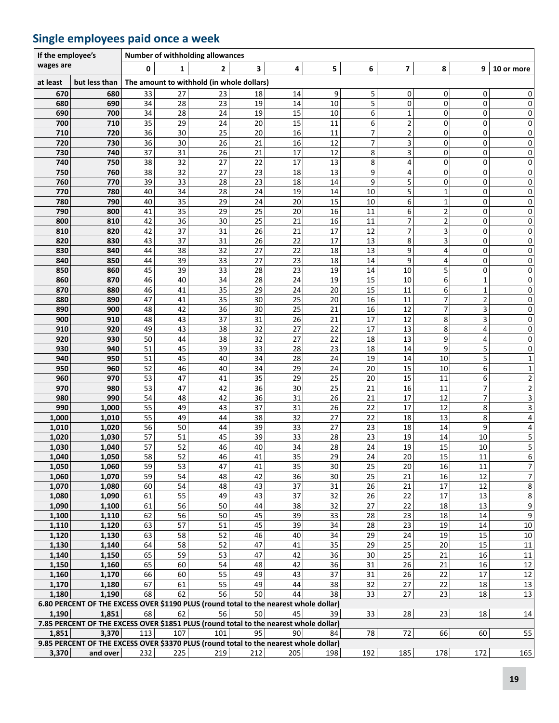### **Single employees paid once a week**

| wages are<br>5<br>6<br>7<br>8<br>0<br>$\overline{2}$<br>3<br>4<br>9<br>10 or more<br>1<br>but less than<br>The amount to withhold (in whole dollars)<br>at least<br>27<br>5<br>33<br>23<br>9<br>0<br>0<br>670<br>680<br>18<br>14<br>0<br>5<br>0<br>34<br>23<br>19<br>14<br>10<br>0<br>0<br>680<br>690<br>28<br>6<br>690<br>700<br>34<br>28<br>24<br>19<br>15<br>10<br>0<br>1<br>0<br>700<br>710<br>35<br>29<br>24<br>20<br>15<br>11<br>6<br>2<br>0<br>0<br>36<br>20<br>2<br>720<br>30<br>25<br>16<br>7<br>0<br>710<br>11<br>0<br>3<br>12<br>$\overline{7}$<br>36<br>30<br>26<br>21<br>16<br>0<br>720<br>730<br>0<br>8<br>3<br>740<br>37<br>31<br>26<br>21<br>17<br>12<br>730<br>0<br>0<br>22<br>8<br>740<br>750<br>38<br>32<br>27<br>17<br>13<br>4<br>0<br>0<br>23<br>750<br>760<br>38<br>32<br>27<br>13<br>9<br>4<br>0<br>18<br>0<br>39<br>33<br>23<br>5<br>760<br>770<br>28<br>18<br>14<br>9<br>0<br>0<br>5<br>34<br>28<br>24<br>19<br>14<br>10<br>770<br>780<br>40<br>0<br>1<br>790<br>35<br>24<br>15<br>6<br>780<br>40<br>29<br>20<br>10<br>0<br>1<br>35<br>25<br>790<br>800<br>41<br>29<br>20<br>16<br>11<br>6<br>$\overline{\mathbf{c}}$<br>0<br>7<br>36<br>25<br>$\overline{\mathbf{c}}$<br>42<br>21<br>16<br>0<br>800<br>810<br>30<br>11<br>7<br>26<br>21<br>3<br>42<br>37<br>31<br>17<br>12<br>0<br>810<br>820<br>26<br>22<br>17<br>8<br>3<br>37<br>31<br>13<br>0<br>820<br>830<br>43<br>27<br>9<br>830<br>840<br>44<br>38<br>32<br>22<br>18<br>13<br>0<br>4<br>39<br>27<br>23<br>18<br>9<br>840<br>850<br>44<br>33<br>14<br>0<br>4<br>39<br>33<br>28<br>23<br>5<br>850<br>860<br>45<br>19<br>$10\,$<br>0<br>14<br>28<br>34<br>24<br>19<br>15<br>10<br>6<br>$\mathbf{1}$<br>860<br>870<br>46<br>40<br>35<br>29<br>20<br>11<br>6<br>$\mathbf 1$<br>870<br>880<br>46<br>41<br>24<br>15<br>7<br>30<br>25<br>20<br>$\mathbf 2$<br>880<br>890<br>47<br>41<br>35<br>16<br>11<br>900<br>42<br>36<br>30<br>25<br>21<br>16<br>12<br>7<br>3<br>890<br>48<br>31<br>3<br>900<br>910<br>48<br>43<br>37<br>26<br>21<br>17<br>12<br>8<br>32<br>27<br>22<br>13<br>38<br>17<br>8<br>910<br>920<br>49<br>43<br>4<br>32<br>22<br>27<br>13<br>9<br>4<br>920<br>930<br>50<br>44<br>38<br>18<br>33<br>23<br>5<br>930<br>940<br>51<br>45<br>39<br>28<br>18<br>14<br>9<br>5<br>34<br>940<br>950<br>51<br>45<br>40<br>28<br>24<br>19<br>14<br>10<br>52<br>34<br>6<br>950<br>960<br>46<br>40<br>29<br>24<br>20<br>15<br>10 |  | If the employee's |  |  |  |  |  |
|-----------------------------------------------------------------------------------------------------------------------------------------------------------------------------------------------------------------------------------------------------------------------------------------------------------------------------------------------------------------------------------------------------------------------------------------------------------------------------------------------------------------------------------------------------------------------------------------------------------------------------------------------------------------------------------------------------------------------------------------------------------------------------------------------------------------------------------------------------------------------------------------------------------------------------------------------------------------------------------------------------------------------------------------------------------------------------------------------------------------------------------------------------------------------------------------------------------------------------------------------------------------------------------------------------------------------------------------------------------------------------------------------------------------------------------------------------------------------------------------------------------------------------------------------------------------------------------------------------------------------------------------------------------------------------------------------------------------------------------------------------------------------------------------------------------------------------------------------------------------------------------------------------------------------------------------------------------------------------------------------------------------------------------------------------------------------------------------------------------------------------------------------------------------------------------------------------------------------------------------------------------------------------------------------------------------------------------------------------------------------------------------------------------|--|-------------------|--|--|--|--|--|
|                                                                                                                                                                                                                                                                                                                                                                                                                                                                                                                                                                                                                                                                                                                                                                                                                                                                                                                                                                                                                                                                                                                                                                                                                                                                                                                                                                                                                                                                                                                                                                                                                                                                                                                                                                                                                                                                                                                                                                                                                                                                                                                                                                                                                                                                                                                                                                                                           |  |                   |  |  |  |  |  |
|                                                                                                                                                                                                                                                                                                                                                                                                                                                                                                                                                                                                                                                                                                                                                                                                                                                                                                                                                                                                                                                                                                                                                                                                                                                                                                                                                                                                                                                                                                                                                                                                                                                                                                                                                                                                                                                                                                                                                                                                                                                                                                                                                                                                                                                                                                                                                                                                           |  |                   |  |  |  |  |  |
|                                                                                                                                                                                                                                                                                                                                                                                                                                                                                                                                                                                                                                                                                                                                                                                                                                                                                                                                                                                                                                                                                                                                                                                                                                                                                                                                                                                                                                                                                                                                                                                                                                                                                                                                                                                                                                                                                                                                                                                                                                                                                                                                                                                                                                                                                                                                                                                                           |  |                   |  |  |  |  |  |
|                                                                                                                                                                                                                                                                                                                                                                                                                                                                                                                                                                                                                                                                                                                                                                                                                                                                                                                                                                                                                                                                                                                                                                                                                                                                                                                                                                                                                                                                                                                                                                                                                                                                                                                                                                                                                                                                                                                                                                                                                                                                                                                                                                                                                                                                                                                                                                                                           |  |                   |  |  |  |  |  |
|                                                                                                                                                                                                                                                                                                                                                                                                                                                                                                                                                                                                                                                                                                                                                                                                                                                                                                                                                                                                                                                                                                                                                                                                                                                                                                                                                                                                                                                                                                                                                                                                                                                                                                                                                                                                                                                                                                                                                                                                                                                                                                                                                                                                                                                                                                                                                                                                           |  |                   |  |  |  |  |  |
|                                                                                                                                                                                                                                                                                                                                                                                                                                                                                                                                                                                                                                                                                                                                                                                                                                                                                                                                                                                                                                                                                                                                                                                                                                                                                                                                                                                                                                                                                                                                                                                                                                                                                                                                                                                                                                                                                                                                                                                                                                                                                                                                                                                                                                                                                                                                                                                                           |  |                   |  |  |  |  |  |
|                                                                                                                                                                                                                                                                                                                                                                                                                                                                                                                                                                                                                                                                                                                                                                                                                                                                                                                                                                                                                                                                                                                                                                                                                                                                                                                                                                                                                                                                                                                                                                                                                                                                                                                                                                                                                                                                                                                                                                                                                                                                                                                                                                                                                                                                                                                                                                                                           |  |                   |  |  |  |  |  |
|                                                                                                                                                                                                                                                                                                                                                                                                                                                                                                                                                                                                                                                                                                                                                                                                                                                                                                                                                                                                                                                                                                                                                                                                                                                                                                                                                                                                                                                                                                                                                                                                                                                                                                                                                                                                                                                                                                                                                                                                                                                                                                                                                                                                                                                                                                                                                                                                           |  |                   |  |  |  |  |  |
|                                                                                                                                                                                                                                                                                                                                                                                                                                                                                                                                                                                                                                                                                                                                                                                                                                                                                                                                                                                                                                                                                                                                                                                                                                                                                                                                                                                                                                                                                                                                                                                                                                                                                                                                                                                                                                                                                                                                                                                                                                                                                                                                                                                                                                                                                                                                                                                                           |  |                   |  |  |  |  |  |
|                                                                                                                                                                                                                                                                                                                                                                                                                                                                                                                                                                                                                                                                                                                                                                                                                                                                                                                                                                                                                                                                                                                                                                                                                                                                                                                                                                                                                                                                                                                                                                                                                                                                                                                                                                                                                                                                                                                                                                                                                                                                                                                                                                                                                                                                                                                                                                                                           |  |                   |  |  |  |  |  |
|                                                                                                                                                                                                                                                                                                                                                                                                                                                                                                                                                                                                                                                                                                                                                                                                                                                                                                                                                                                                                                                                                                                                                                                                                                                                                                                                                                                                                                                                                                                                                                                                                                                                                                                                                                                                                                                                                                                                                                                                                                                                                                                                                                                                                                                                                                                                                                                                           |  |                   |  |  |  |  |  |
|                                                                                                                                                                                                                                                                                                                                                                                                                                                                                                                                                                                                                                                                                                                                                                                                                                                                                                                                                                                                                                                                                                                                                                                                                                                                                                                                                                                                                                                                                                                                                                                                                                                                                                                                                                                                                                                                                                                                                                                                                                                                                                                                                                                                                                                                                                                                                                                                           |  |                   |  |  |  |  |  |
|                                                                                                                                                                                                                                                                                                                                                                                                                                                                                                                                                                                                                                                                                                                                                                                                                                                                                                                                                                                                                                                                                                                                                                                                                                                                                                                                                                                                                                                                                                                                                                                                                                                                                                                                                                                                                                                                                                                                                                                                                                                                                                                                                                                                                                                                                                                                                                                                           |  |                   |  |  |  |  |  |
|                                                                                                                                                                                                                                                                                                                                                                                                                                                                                                                                                                                                                                                                                                                                                                                                                                                                                                                                                                                                                                                                                                                                                                                                                                                                                                                                                                                                                                                                                                                                                                                                                                                                                                                                                                                                                                                                                                                                                                                                                                                                                                                                                                                                                                                                                                                                                                                                           |  |                   |  |  |  |  |  |
|                                                                                                                                                                                                                                                                                                                                                                                                                                                                                                                                                                                                                                                                                                                                                                                                                                                                                                                                                                                                                                                                                                                                                                                                                                                                                                                                                                                                                                                                                                                                                                                                                                                                                                                                                                                                                                                                                                                                                                                                                                                                                                                                                                                                                                                                                                                                                                                                           |  |                   |  |  |  |  |  |
|                                                                                                                                                                                                                                                                                                                                                                                                                                                                                                                                                                                                                                                                                                                                                                                                                                                                                                                                                                                                                                                                                                                                                                                                                                                                                                                                                                                                                                                                                                                                                                                                                                                                                                                                                                                                                                                                                                                                                                                                                                                                                                                                                                                                                                                                                                                                                                                                           |  |                   |  |  |  |  |  |
|                                                                                                                                                                                                                                                                                                                                                                                                                                                                                                                                                                                                                                                                                                                                                                                                                                                                                                                                                                                                                                                                                                                                                                                                                                                                                                                                                                                                                                                                                                                                                                                                                                                                                                                                                                                                                                                                                                                                                                                                                                                                                                                                                                                                                                                                                                                                                                                                           |  |                   |  |  |  |  |  |
|                                                                                                                                                                                                                                                                                                                                                                                                                                                                                                                                                                                                                                                                                                                                                                                                                                                                                                                                                                                                                                                                                                                                                                                                                                                                                                                                                                                                                                                                                                                                                                                                                                                                                                                                                                                                                                                                                                                                                                                                                                                                                                                                                                                                                                                                                                                                                                                                           |  |                   |  |  |  |  |  |
|                                                                                                                                                                                                                                                                                                                                                                                                                                                                                                                                                                                                                                                                                                                                                                                                                                                                                                                                                                                                                                                                                                                                                                                                                                                                                                                                                                                                                                                                                                                                                                                                                                                                                                                                                                                                                                                                                                                                                                                                                                                                                                                                                                                                                                                                                                                                                                                                           |  |                   |  |  |  |  |  |
|                                                                                                                                                                                                                                                                                                                                                                                                                                                                                                                                                                                                                                                                                                                                                                                                                                                                                                                                                                                                                                                                                                                                                                                                                                                                                                                                                                                                                                                                                                                                                                                                                                                                                                                                                                                                                                                                                                                                                                                                                                                                                                                                                                                                                                                                                                                                                                                                           |  |                   |  |  |  |  |  |
|                                                                                                                                                                                                                                                                                                                                                                                                                                                                                                                                                                                                                                                                                                                                                                                                                                                                                                                                                                                                                                                                                                                                                                                                                                                                                                                                                                                                                                                                                                                                                                                                                                                                                                                                                                                                                                                                                                                                                                                                                                                                                                                                                                                                                                                                                                                                                                                                           |  |                   |  |  |  |  |  |
|                                                                                                                                                                                                                                                                                                                                                                                                                                                                                                                                                                                                                                                                                                                                                                                                                                                                                                                                                                                                                                                                                                                                                                                                                                                                                                                                                                                                                                                                                                                                                                                                                                                                                                                                                                                                                                                                                                                                                                                                                                                                                                                                                                                                                                                                                                                                                                                                           |  |                   |  |  |  |  |  |
|                                                                                                                                                                                                                                                                                                                                                                                                                                                                                                                                                                                                                                                                                                                                                                                                                                                                                                                                                                                                                                                                                                                                                                                                                                                                                                                                                                                                                                                                                                                                                                                                                                                                                                                                                                                                                                                                                                                                                                                                                                                                                                                                                                                                                                                                                                                                                                                                           |  |                   |  |  |  |  |  |
|                                                                                                                                                                                                                                                                                                                                                                                                                                                                                                                                                                                                                                                                                                                                                                                                                                                                                                                                                                                                                                                                                                                                                                                                                                                                                                                                                                                                                                                                                                                                                                                                                                                                                                                                                                                                                                                                                                                                                                                                                                                                                                                                                                                                                                                                                                                                                                                                           |  |                   |  |  |  |  |  |
|                                                                                                                                                                                                                                                                                                                                                                                                                                                                                                                                                                                                                                                                                                                                                                                                                                                                                                                                                                                                                                                                                                                                                                                                                                                                                                                                                                                                                                                                                                                                                                                                                                                                                                                                                                                                                                                                                                                                                                                                                                                                                                                                                                                                                                                                                                                                                                                                           |  |                   |  |  |  |  |  |
|                                                                                                                                                                                                                                                                                                                                                                                                                                                                                                                                                                                                                                                                                                                                                                                                                                                                                                                                                                                                                                                                                                                                                                                                                                                                                                                                                                                                                                                                                                                                                                                                                                                                                                                                                                                                                                                                                                                                                                                                                                                                                                                                                                                                                                                                                                                                                                                                           |  |                   |  |  |  |  |  |
|                                                                                                                                                                                                                                                                                                                                                                                                                                                                                                                                                                                                                                                                                                                                                                                                                                                                                                                                                                                                                                                                                                                                                                                                                                                                                                                                                                                                                                                                                                                                                                                                                                                                                                                                                                                                                                                                                                                                                                                                                                                                                                                                                                                                                                                                                                                                                                                                           |  |                   |  |  |  |  |  |
|                                                                                                                                                                                                                                                                                                                                                                                                                                                                                                                                                                                                                                                                                                                                                                                                                                                                                                                                                                                                                                                                                                                                                                                                                                                                                                                                                                                                                                                                                                                                                                                                                                                                                                                                                                                                                                                                                                                                                                                                                                                                                                                                                                                                                                                                                                                                                                                                           |  |                   |  |  |  |  |  |
|                                                                                                                                                                                                                                                                                                                                                                                                                                                                                                                                                                                                                                                                                                                                                                                                                                                                                                                                                                                                                                                                                                                                                                                                                                                                                                                                                                                                                                                                                                                                                                                                                                                                                                                                                                                                                                                                                                                                                                                                                                                                                                                                                                                                                                                                                                                                                                                                           |  |                   |  |  |  |  |  |
| 53<br>35<br>25<br>15<br>6<br>970<br>47<br>41<br>29<br>20<br>11<br>960                                                                                                                                                                                                                                                                                                                                                                                                                                                                                                                                                                                                                                                                                                                                                                                                                                                                                                                                                                                                                                                                                                                                                                                                                                                                                                                                                                                                                                                                                                                                                                                                                                                                                                                                                                                                                                                                                                                                                                                                                                                                                                                                                                                                                                                                                                                                     |  |                   |  |  |  |  |  |
| 36<br>7<br>53<br>25<br>16<br>970<br>980<br>47<br>42<br>30<br>21<br>11                                                                                                                                                                                                                                                                                                                                                                                                                                                                                                                                                                                                                                                                                                                                                                                                                                                                                                                                                                                                                                                                                                                                                                                                                                                                                                                                                                                                                                                                                                                                                                                                                                                                                                                                                                                                                                                                                                                                                                                                                                                                                                                                                                                                                                                                                                                                     |  |                   |  |  |  |  |  |
| 7<br>980<br>990<br>54<br>42<br>36<br>31<br>26<br>21<br>17<br>12<br>48<br>55<br>990<br>22<br>17                                                                                                                                                                                                                                                                                                                                                                                                                                                                                                                                                                                                                                                                                                                                                                                                                                                                                                                                                                                                                                                                                                                                                                                                                                                                                                                                                                                                                                                                                                                                                                                                                                                                                                                                                                                                                                                                                                                                                                                                                                                                                                                                                                                                                                                                                                            |  |                   |  |  |  |  |  |
| 8<br>1,000<br>37<br>31<br>26<br>49<br>43<br>12<br>27<br>55<br>38<br>32<br>8<br>1,000<br>1,010<br>49<br>44<br>22<br>18<br>13                                                                                                                                                                                                                                                                                                                                                                                                                                                                                                                                                                                                                                                                                                                                                                                                                                                                                                                                                                                                                                                                                                                                                                                                                                                                                                                                                                                                                                                                                                                                                                                                                                                                                                                                                                                                                                                                                                                                                                                                                                                                                                                                                                                                                                                                               |  |                   |  |  |  |  |  |
| 27<br>56<br>39<br>33<br>23<br>18<br>9<br>1,010<br>1,020<br>50<br>44<br>14                                                                                                                                                                                                                                                                                                                                                                                                                                                                                                                                                                                                                                                                                                                                                                                                                                                                                                                                                                                                                                                                                                                                                                                                                                                                                                                                                                                                                                                                                                                                                                                                                                                                                                                                                                                                                                                                                                                                                                                                                                                                                                                                                                                                                                                                                                                                 |  |                   |  |  |  |  |  |
| 1,020<br>57<br>39<br>28<br>19<br>1,030<br>51<br>45<br>33<br>23<br>14<br>10                                                                                                                                                                                                                                                                                                                                                                                                                                                                                                                                                                                                                                                                                                                                                                                                                                                                                                                                                                                                                                                                                                                                                                                                                                                                                                                                                                                                                                                                                                                                                                                                                                                                                                                                                                                                                                                                                                                                                                                                                                                                                                                                                                                                                                                                                                                                |  |                   |  |  |  |  |  |
| 57<br>52<br>28<br>1,030<br>1,040<br>46<br>40<br>34<br>24<br>19<br>15<br>10                                                                                                                                                                                                                                                                                                                                                                                                                                                                                                                                                                                                                                                                                                                                                                                                                                                                                                                                                                                                                                                                                                                                                                                                                                                                                                                                                                                                                                                                                                                                                                                                                                                                                                                                                                                                                                                                                                                                                                                                                                                                                                                                                                                                                                                                                                                                |  |                   |  |  |  |  |  |
| 35<br>15<br>1,050<br>58<br>52<br>46<br>41<br>29<br>24<br>20<br>1,040<br>11                                                                                                                                                                                                                                                                                                                                                                                                                                                                                                                                                                                                                                                                                                                                                                                                                                                                                                                                                                                                                                                                                                                                                                                                                                                                                                                                                                                                                                                                                                                                                                                                                                                                                                                                                                                                                                                                                                                                                                                                                                                                                                                                                                                                                                                                                                                                |  |                   |  |  |  |  |  |
| 1,050<br>1,060<br>59<br>53<br>47<br>41<br>35<br>30<br>25<br>20<br>16<br>11                                                                                                                                                                                                                                                                                                                                                                                                                                                                                                                                                                                                                                                                                                                                                                                                                                                                                                                                                                                                                                                                                                                                                                                                                                                                                                                                                                                                                                                                                                                                                                                                                                                                                                                                                                                                                                                                                                                                                                                                                                                                                                                                                                                                                                                                                                                                |  |                   |  |  |  |  |  |
| 42<br>36<br>30<br>25<br>21<br>1,060<br>1,070<br>59<br>54<br>48<br>16<br>12                                                                                                                                                                                                                                                                                                                                                                                                                                                                                                                                                                                                                                                                                                                                                                                                                                                                                                                                                                                                                                                                                                                                                                                                                                                                                                                                                                                                                                                                                                                                                                                                                                                                                                                                                                                                                                                                                                                                                                                                                                                                                                                                                                                                                                                                                                                                |  |                   |  |  |  |  |  |
| 1,070<br>43<br>37<br>31<br>21<br>1,080<br>60<br>54<br>48<br>26<br>17<br>12                                                                                                                                                                                                                                                                                                                                                                                                                                                                                                                                                                                                                                                                                                                                                                                                                                                                                                                                                                                                                                                                                                                                                                                                                                                                                                                                                                                                                                                                                                                                                                                                                                                                                                                                                                                                                                                                                                                                                                                                                                                                                                                                                                                                                                                                                                                                |  |                   |  |  |  |  |  |
| 32<br>55<br>43<br>37<br>26<br>22<br>13<br>1,080<br>1,090<br>61<br>49<br>17                                                                                                                                                                                                                                                                                                                                                                                                                                                                                                                                                                                                                                                                                                                                                                                                                                                                                                                                                                                                                                                                                                                                                                                                                                                                                                                                                                                                                                                                                                                                                                                                                                                                                                                                                                                                                                                                                                                                                                                                                                                                                                                                                                                                                                                                                                                                |  |                   |  |  |  |  |  |
| 56<br>32<br>27<br>22<br>1,090<br>1,100<br>61<br>50<br>44<br>38<br>13<br>18<br>45<br>33<br>62<br>56<br>39<br>28<br>23<br>18<br>14<br>1,100<br>1,110<br>50                                                                                                                                                                                                                                                                                                                                                                                                                                                                                                                                                                                                                                                                                                                                                                                                                                                                                                                                                                                                                                                                                                                                                                                                                                                                                                                                                                                                                                                                                                                                                                                                                                                                                                                                                                                                                                                                                                                                                                                                                                                                                                                                                                                                                                                  |  |                   |  |  |  |  |  |
| 23<br>57<br>45<br>39<br>34<br>19<br>14<br>1,110<br>1,120<br>63<br>51<br>28                                                                                                                                                                                                                                                                                                                                                                                                                                                                                                                                                                                                                                                                                                                                                                                                                                                                                                                                                                                                                                                                                                                                                                                                                                                                                                                                                                                                                                                                                                                                                                                                                                                                                                                                                                                                                                                                                                                                                                                                                                                                                                                                                                                                                                                                                                                                |  |                   |  |  |  |  |  |
| 46<br>34<br>24<br>19<br>15<br>1,120<br>1,130<br>63<br>58<br>52<br>40<br>29                                                                                                                                                                                                                                                                                                                                                                                                                                                                                                                                                                                                                                                                                                                                                                                                                                                                                                                                                                                                                                                                                                                                                                                                                                                                                                                                                                                                                                                                                                                                                                                                                                                                                                                                                                                                                                                                                                                                                                                                                                                                                                                                                                                                                                                                                                                                |  |                   |  |  |  |  |  |
| 35<br>25<br>1,130<br>64<br>58<br>52<br>47<br>41<br>29<br>20<br>15<br>1,140                                                                                                                                                                                                                                                                                                                                                                                                                                                                                                                                                                                                                                                                                                                                                                                                                                                                                                                                                                                                                                                                                                                                                                                                                                                                                                                                                                                                                                                                                                                                                                                                                                                                                                                                                                                                                                                                                                                                                                                                                                                                                                                                                                                                                                                                                                                                |  |                   |  |  |  |  |  |
| 65<br>59<br>36<br>25<br>1,140<br>1,150<br>53<br>47<br>42<br>30<br>21<br>16                                                                                                                                                                                                                                                                                                                                                                                                                                                                                                                                                                                                                                                                                                                                                                                                                                                                                                                                                                                                                                                                                                                                                                                                                                                                                                                                                                                                                                                                                                                                                                                                                                                                                                                                                                                                                                                                                                                                                                                                                                                                                                                                                                                                                                                                                                                                |  |                   |  |  |  |  |  |
| 36<br>26<br>1,150<br>65<br>60<br>54<br>48<br>42<br>31<br>21<br>16<br>1,160                                                                                                                                                                                                                                                                                                                                                                                                                                                                                                                                                                                                                                                                                                                                                                                                                                                                                                                                                                                                                                                                                                                                                                                                                                                                                                                                                                                                                                                                                                                                                                                                                                                                                                                                                                                                                                                                                                                                                                                                                                                                                                                                                                                                                                                                                                                                |  |                   |  |  |  |  |  |
| 37<br>26<br>55<br>49<br>22<br>17<br>1,160<br>1,170<br>66<br>60<br>43<br>31                                                                                                                                                                                                                                                                                                                                                                                                                                                                                                                                                                                                                                                                                                                                                                                                                                                                                                                                                                                                                                                                                                                                                                                                                                                                                                                                                                                                                                                                                                                                                                                                                                                                                                                                                                                                                                                                                                                                                                                                                                                                                                                                                                                                                                                                                                                                |  |                   |  |  |  |  |  |
| 55<br>49<br>27<br>22<br>1,170<br>1,180<br>67<br>61<br>44<br>38<br>32<br>18                                                                                                                                                                                                                                                                                                                                                                                                                                                                                                                                                                                                                                                                                                                                                                                                                                                                                                                                                                                                                                                                                                                                                                                                                                                                                                                                                                                                                                                                                                                                                                                                                                                                                                                                                                                                                                                                                                                                                                                                                                                                                                                                                                                                                                                                                                                                |  |                   |  |  |  |  |  |
| 68<br>62<br>56<br>50<br>44<br>38<br>33<br>27<br>23<br>1,180<br>1,190<br>18                                                                                                                                                                                                                                                                                                                                                                                                                                                                                                                                                                                                                                                                                                                                                                                                                                                                                                                                                                                                                                                                                                                                                                                                                                                                                                                                                                                                                                                                                                                                                                                                                                                                                                                                                                                                                                                                                                                                                                                                                                                                                                                                                                                                                                                                                                                                |  |                   |  |  |  |  |  |
| 6.80 PERCENT OF THE EXCESS OVER \$1190 PLUS (round total to the nearest whole dollar)                                                                                                                                                                                                                                                                                                                                                                                                                                                                                                                                                                                                                                                                                                                                                                                                                                                                                                                                                                                                                                                                                                                                                                                                                                                                                                                                                                                                                                                                                                                                                                                                                                                                                                                                                                                                                                                                                                                                                                                                                                                                                                                                                                                                                                                                                                                     |  |                   |  |  |  |  |  |
| 1,851<br>68<br>62<br>56<br>50 <br>45<br>33<br>28<br>23<br>18<br>1,190<br>39                                                                                                                                                                                                                                                                                                                                                                                                                                                                                                                                                                                                                                                                                                                                                                                                                                                                                                                                                                                                                                                                                                                                                                                                                                                                                                                                                                                                                                                                                                                                                                                                                                                                                                                                                                                                                                                                                                                                                                                                                                                                                                                                                                                                                                                                                                                               |  |                   |  |  |  |  |  |
| 7.85 PERCENT OF THE EXCESS OVER \$1851 PLUS (round total to the nearest whole dollar)<br>3,370<br>107<br>101<br>95<br>1,851<br>113<br>90<br>78<br>72<br>66<br>60<br>84                                                                                                                                                                                                                                                                                                                                                                                                                                                                                                                                                                                                                                                                                                                                                                                                                                                                                                                                                                                                                                                                                                                                                                                                                                                                                                                                                                                                                                                                                                                                                                                                                                                                                                                                                                                                                                                                                                                                                                                                                                                                                                                                                                                                                                    |  |                   |  |  |  |  |  |
| 9.85 PERCENT OF THE EXCESS OVER \$3370 PLUS (round total to the nearest whole dollar)                                                                                                                                                                                                                                                                                                                                                                                                                                                                                                                                                                                                                                                                                                                                                                                                                                                                                                                                                                                                                                                                                                                                                                                                                                                                                                                                                                                                                                                                                                                                                                                                                                                                                                                                                                                                                                                                                                                                                                                                                                                                                                                                                                                                                                                                                                                     |  |                   |  |  |  |  |  |
| 185<br>3,370<br>and over<br>232<br>225<br>219<br>212<br>205<br>192<br>178<br>172<br>198                                                                                                                                                                                                                                                                                                                                                                                                                                                                                                                                                                                                                                                                                                                                                                                                                                                                                                                                                                                                                                                                                                                                                                                                                                                                                                                                                                                                                                                                                                                                                                                                                                                                                                                                                                                                                                                                                                                                                                                                                                                                                                                                                                                                                                                                                                                   |  |                   |  |  |  |  |  |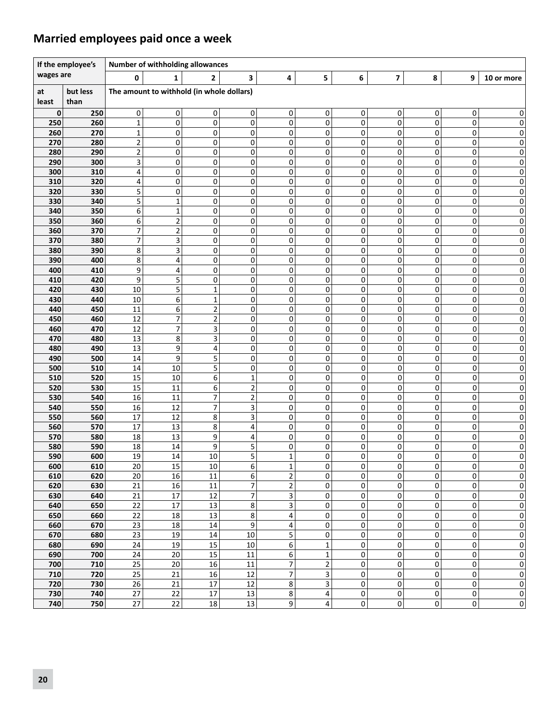### **Married employees paid once a week**

| If the employee's |                  |                  | Number of withholding allowances |                                           |                |                         |              |                     |             |                |                  |                |  |  |
|-------------------|------------------|------------------|----------------------------------|-------------------------------------------|----------------|-------------------------|--------------|---------------------|-------------|----------------|------------------|----------------|--|--|
| wages are         |                  | 0                | 1                                | $\mathbf{2}$                              | 3              | 4                       | 5            | 6                   | 7           | 8              | 9                | 10 or more     |  |  |
| at<br>least       | but less<br>than |                  |                                  | The amount to withhold (in whole dollars) |                |                         |              |                     |             |                |                  |                |  |  |
| 0                 | 250              | 0                | $\mathbf{0}$                     | 0                                         | 0              | 0                       | 0            | 0                   | 0           | 0              | 0                | 0              |  |  |
| 250               | 260              | $\mathbf 1$      | 0                                | 0                                         | 0              | 0                       | $\pmb{0}$    | $\mathbf 0$         | $\mathbf 0$ | 0              | 0                | 0              |  |  |
| 260               | 270              | 1                | 0                                | 0                                         | 0              | 0                       | 0            | 0                   | 0           | 0              | 0                | 0              |  |  |
| 270               | 280              | $\mathbf 2$      | 0                                | 0                                         | 0              | 0                       | 0            | 0                   | 0           | 0              | 0                | 0              |  |  |
| 280               | 290              | $\mathbf 2$<br>3 | 0                                | 0                                         | 0              | 0                       | 0            | 0                   | 0           | 0              | 0                | 0              |  |  |
| 290<br>300        | 300<br>310       | 4                | 0<br>0                           | 0<br>0                                    | 0<br>0         | 0<br>0                  | 0<br>0       | 0<br>0              | 0<br>0      | 0<br>0         | 0<br>0           | 0<br>0         |  |  |
| 310               | 320              | 4                | 0                                | 0                                         | 0              | 0                       | 0            | 0                   | 0           | 0              | 0                | 0              |  |  |
| 320               | 330              | 5                | 0                                | 0                                         | 0              | 0                       | 0            | 0                   | 0           | 0              | 0                | 0              |  |  |
| 330               | 340              | 5                | $\mathbf{1}$                     | 0                                         | 0              | 0                       | 0            | 0                   | 0           | 0              | 0                | 0              |  |  |
| 340               | 350              | 6                | $\mathbf 1$                      | 0                                         | 0              | 0                       | 0            | 0                   | 0           | 0              | 0                | 0              |  |  |
| 350               | 360              | 6                | $\overline{2}$                   | 0                                         | 0              | 0                       | 0            | 0                   | 0           | 0              | 0                | 0              |  |  |
| 360               | 370              | $\overline{7}$   | $\overline{2}$                   | 0                                         | 0              | 0                       | 0            | 0                   | 0           | 0              | 0                | 0              |  |  |
| 370               | 380              | 7                | 3                                | 0                                         | 0              | 0                       | 0            | 0                   | 0           | 0              | 0                | 0              |  |  |
| 380               | 390              | 8                | $\overline{\mathbf{3}}$          | 0                                         | 0              | 0                       | 0            | 0                   | 0           | 0              | 0                | 0              |  |  |
| 390               | 400              | 8                | 4                                | 0                                         | 0              | 0                       | 0            | 0                   | 0           | 0              | 0                | 0              |  |  |
| 400               | 410              | 9                | 4                                | 0                                         | 0              | 0                       | 0            | 0                   | 0           | 0              | 0                | $\pmb{0}$      |  |  |
| 410               | 420              | 9                | 5<br>5                           | 0                                         | 0              | 0<br>0                  | 0            | 0                   | 0<br>0      | 0<br>0         | 0                | 0              |  |  |
| 420<br>430        | 430<br>440       | 10<br>10         | 6                                | $\mathbf{1}$<br>1                         | 0<br>0         | 0                       | 0<br>0       | 0<br>0              | 0           | 0              | 0<br>0           | 0<br>0         |  |  |
| 440               | 450              | 11               | 6                                | $\overline{2}$                            | 0              | 0                       | 0            | 0                   | 0           | 0              | 0                | 0              |  |  |
| 450               | 460              | 12               | $\overline{7}$                   | $\overline{2}$                            | 0              | 0                       | 0            | 0                   | 0           | 0              | 0                | 0              |  |  |
| 460               | 470              | 12               | 7                                | 3                                         | 0              | 0                       | 0            | 0                   | 0           | 0              | 0                | 0              |  |  |
| 470               | 480              | 13               | 8                                | 3                                         | 0              | 0                       | 0            | 0                   | 0           | 0              | 0                | 0              |  |  |
| 480               | 490              | 13               | 9                                | 4                                         | 0              | 0                       | 0            | 0                   | 0           | 0              | 0                | 0              |  |  |
| 490               | 500              | 14               | 9                                | 5                                         | 0              | 0                       | 0            | 0                   | 0           | $\mathbf 0$    | 0                | 0              |  |  |
| 500               | 510              | 14               | 10                               | 5                                         | 0              | 0                       | 0            | 0                   | 0           | 0              | 0                | 0              |  |  |
| 510               | 520              | 15               | 10                               | 6                                         | 1              | 0                       | 0            | 0                   | 0           | 0              | 0                | 0              |  |  |
| 520               | 530              | 15               | 11                               | 6                                         | 2              | 0                       | 0            | 0                   | 0           | 0              | 0                | 0              |  |  |
| 530               | 540              | 16               | 11                               | 7<br>$\overline{7}$                       | $\mathbf 2$    | 0                       | 0            | 0                   | 0           | 0<br>0         | 0                | 0              |  |  |
| 540<br>550        | 550<br>560       | 16<br>17         | 12<br>12                         | 8                                         | 3<br>3         | 0<br>0                  | 0<br>0       | 0<br>0              | 0<br>0      | 0              | $\mathbf 0$<br>0 | 0<br>0         |  |  |
| 560               | 570              | 17               | 13                               | 8                                         | 4              | 0                       | 0            | 0                   | 0           | 0              | 0                | 0              |  |  |
| 570               | 580              | 18               | 13                               | 9                                         | 4              | 0                       | 0            | 0                   | 0           | 0              | 0                | 0              |  |  |
| 580               | 590              | 18               | 14                               | 9                                         | 5              | 0                       | 0            | 0                   | 0           | 0              | 0                | 0              |  |  |
| 590               | 600              | 19               | 14                               | 10                                        | 5              | $\mathbf 1$             | 0            | 0                   | 0           | 0              | 0                | 0              |  |  |
| 600               | 610              | 20               | 15                               | 10                                        | 6              | $\mathbf{1}$            | $\Omega$     | 0                   | 0           | $\Omega$       | 0                | $\Omega$       |  |  |
| 610               | 620              | 20               | 16                               | 11                                        | 6              | $\overline{c}$          | 0            | 0                   | 0           | 0              | 0                | 0              |  |  |
| 620               | 630              | 21               | 16                               | 11                                        | 7              | $\overline{2}$          | 0            | $\mathsf 0$         | $\mathsf 0$ | $\pmb{0}$      | 0                | 0              |  |  |
| 630               | 640              | $\overline{21}$  | $\overline{17}$                  | 12                                        | $\overline{7}$ | $\overline{\mathbf{3}}$ | 0            | $\pmb{0}$           | 0           | 0              | 0                | $\mathbf 0$    |  |  |
| 640               | 650              | 22               | 17                               | 13                                        | 8              | 3                       | $\mathbf 0$  | $\mathbf 0$         | 0           | 0              | 0                | $\pmb{0}$      |  |  |
| 650               | 660              | 22               | 18                               | 13                                        | 8              | 4                       | $\pmb{0}$    | $\mathsf 0$         | 0           | 0              | 0                | $\mathbf 0$    |  |  |
| 660<br>670        | 670<br>680       | 23<br>23         | 18<br>19                         | 14<br>$14\,$                              | 9<br>$10\,$    | 4<br>5                  | 0<br>0       | $\pmb{0}$<br>0      | 0<br>0      | 0<br>$\pmb{0}$ | $\mathbf 0$<br>0 | $\pmb{0}$<br>0 |  |  |
| 680               | 690              | 24               | 19                               | 15                                        | $10\,$         | 6                       | $\mathbf 1$  | $\pmb{0}$           | 0           | 0              | 0                | 0              |  |  |
| 690               | 700              | 24               | 20                               | 15                                        | 11             | 6                       | $\mathbf{1}$ | $\mathsf 0$         | 0           | 0              | 0                | $\mathbf 0$    |  |  |
| 700               | 710              | 25               | 20                               | 16                                        | 11             | $\overline{7}$          | $\mathbf 2$  | 0                   | 0           | 0              | 0                | $\pmb{0}$      |  |  |
| 710               | 720              | 25               | 21                               | 16                                        | 12             | $\overline{7}$          | 3            | $\pmb{0}$           | 0           | $\pmb{0}$      | $\mathbf 0$      | $\mathbf 0$    |  |  |
| 720               | 730              | 26               | 21                               | 17                                        | 12             | 8                       | 3            | 0                   | 0           | $\pmb{0}$      | $\pmb{0}$        | $\mathbf 0$    |  |  |
| 730               | 740              | 27               | 22                               | 17                                        | 13             | 8                       | 4            | $\mathsf 0$         | $\mathbf 0$ | 0              | 0                | $\pmb{0}$      |  |  |
| 740               | 750              | $27\,$           | 22                               | 18                                        | 13             | $\mathsf{g}$            | 4            | $\mathsf{O}\xspace$ | 0           | 0              | $\overline{0}$   | $\mathsf 0$    |  |  |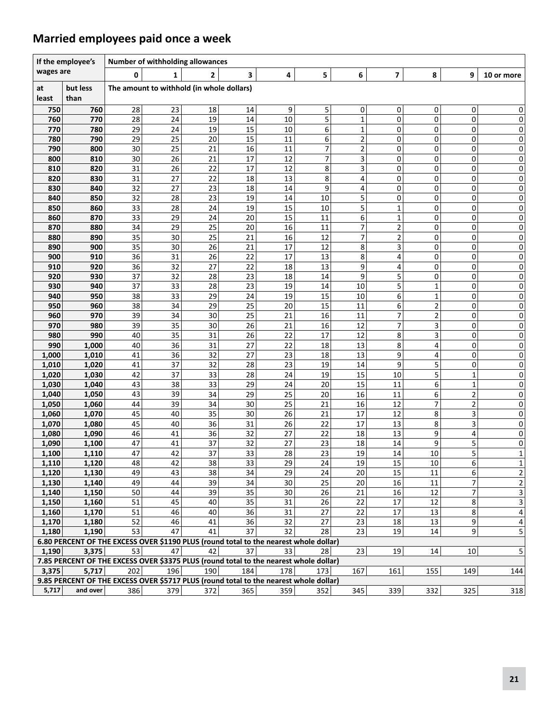### **Married employees paid once a week**

|              | If the employee's                                                                     |          | Number of withholding allowances          |              |          |          |          |                         |                         |                         |                |                         |
|--------------|---------------------------------------------------------------------------------------|----------|-------------------------------------------|--------------|----------|----------|----------|-------------------------|-------------------------|-------------------------|----------------|-------------------------|
| wages are    |                                                                                       | 0        | 1                                         | $\mathbf{2}$ | 3        | 4        | 5        | 6                       | 7                       | 8                       | 9              | 10 or more              |
| at<br>least  | but less<br>than                                                                      |          | The amount to withhold (in whole dollars) |              |          |          |          |                         |                         |                         |                |                         |
| 750          | 760                                                                                   | 28       | 23                                        | 18           | 14       | 9        | 5        | 0                       | 0                       | 0                       | 0              | 0                       |
| 760          | 770                                                                                   | 28       | 24                                        | 19           | 14       | 10       | 5        | $\mathbf{1}$            | $\mathbf 0$             | 0                       | 0              | 0                       |
| 770          | 780                                                                                   | 29       | 24                                        | 19           | 15       | 10       | 6        | 1                       | 0                       | 0                       | 0              | 0                       |
| 780          | 790                                                                                   | 29       | 25                                        | 20           | 15       | 11       | 6        | 2                       | 0                       | 0                       | 0              | 0                       |
| 790          | 800                                                                                   | 30       | 25                                        | 21           | 16       | 11       | 7        | $\overline{\mathbf{c}}$ | 0                       | 0                       | 0              | 0                       |
| 800          | 810                                                                                   | 30       | 26                                        | 21           | 17       | 12       | 7        | 3                       | 0                       | 0                       | 0              | 0                       |
| 810          | 820                                                                                   | 31       | 26                                        | 22           | 17       | 12       | 8        | 3                       | 0                       | 0                       | 0              | 0                       |
| 820          | 830                                                                                   | 31       | 27                                        | 22           | 18       | 13       | 8        | 4                       | 0                       | 0                       | 0              | 0                       |
| 830          | 840                                                                                   | 32       | 27                                        | 23           | 18       | 14       | 9        | 4                       | 0                       | 0                       | 0              | 0                       |
| 840          | 850                                                                                   | 32       | 28                                        | 23           | 19       | 14       | 10       | 5                       | 0                       | 0                       | 0              | 0                       |
| 850          | 860                                                                                   | 33       | 28                                        | 24           | 19       | 15       | 10       | 5                       | 1                       | 0                       | 0              | 0                       |
| 860          | 870                                                                                   | 33       | 29                                        | 24           | 20       | 15       | 11       | 6                       | $\mathbf{1}$            | 0                       | 0              | 0                       |
| 870          | 880                                                                                   | 34       | 29                                        | 25           | 20       | 16       | 11       | 7                       | 2                       | 0                       | 0              | 0                       |
| 880          | 890                                                                                   | 35       | 30                                        | 25           | 21       | 16       | 12       | 7                       | $\overline{\mathbf{c}}$ | 0                       | 0              | 0                       |
| 890          | 900                                                                                   | 35       | 30                                        | 26           | 21       | 17       | 12       | 8                       | 3                       | 0                       | 0              | 0                       |
| 900          | 910                                                                                   | 36       | 31                                        | 26           | 22       | 17       | 13       | 8                       | 4                       | 0                       | 0              | 0                       |
| 910          | 920                                                                                   | 36       | 32                                        | 27           | 22       | 18       | 13       | 9                       | 4                       | 0                       | 0              | 0                       |
| 920          | 930                                                                                   | 37       | 32                                        | 28           | 23       | 18       | 14       | 9                       | 5                       | 0                       | 0              | 0                       |
| 930          | 940                                                                                   | 37       | 33                                        | 28           | 23       | 19       | 14       | 10                      | 5                       | $\mathbf{1}$            | 0              | 0                       |
| 940          | 950                                                                                   | 38       | 33                                        | 29           | 24       | 19       | 15       | 10                      | 6                       | $\mathbf{1}$            | 0              | 0                       |
| 950          | 960                                                                                   | 38       | 34                                        | 29           | 25       | 20       | 15       | 11                      | 6                       | $\overline{2}$          | 0              | 0                       |
| 960          | 970                                                                                   | 39       | 34                                        | 30           | 25       | 21       | 16       | 11                      | 7                       | $\overline{\mathbf{c}}$ | 0              | 0                       |
| 970          | 980                                                                                   | 39       | 35                                        | 30           | 26       | 21       | 16       | 12                      | 7                       | 3                       | 0              | 0                       |
| 980          | 990                                                                                   | 40<br>40 | 35<br>36                                  | 31<br>31     | 26<br>27 | 22<br>22 | 17       | 12                      | 8                       | 3                       | 0              | 0                       |
| 990<br>1,000 | 1,000<br>1,010                                                                        | 41       | 36                                        | 32           | 27       | 23       | 18<br>18 | 13<br>13                | 8<br>9                  | 4<br>4                  | 0<br>0         | 0<br>0                  |
| 1,010        | 1,020                                                                                 | 41       | 37                                        | 32           | 28       | 23       | 19       | 14                      | 9                       | 5                       | 0              | 0                       |
| 1,020        | 1,030                                                                                 | 42       | 37                                        | 33           | 28       | 24       | 19       | 15                      | 10                      | 5                       | 1              | 0                       |
| 1,030        | 1,040                                                                                 | 43       | 38                                        | 33           | 29       | 24       | 20       | 15                      | 11                      | 6                       | 1              | 0                       |
| 1,040        | 1,050                                                                                 | 43       | 39                                        | 34           | 29       | 25       | 20       | 16                      | 11                      | 6                       | 2              | 0                       |
| 1,050        | 1,060                                                                                 | 44       | 39                                        | 34           | 30       | 25       | 21       | 16                      | 12                      | $\overline{7}$          | $\overline{2}$ | 0                       |
| 1,060        | 1,070                                                                                 | 45       | 40                                        | 35           | 30       | 26       | 21       | 17                      | 12                      | 8                       | 3              | 0                       |
| 1,070        | 1,080                                                                                 | 45       | 40                                        | 36           | 31       | 26       | 22       | 17                      | 13                      | 8                       | 3              | 0                       |
| 1,080        | 1,090                                                                                 | 46       | 41                                        | 36           | 32       | 27       | 22       | 18                      | 13                      | 9                       | 4              | 0                       |
| 1,090        | 1,100                                                                                 | 47       | 41                                        | 37           | 32       | 27       | 23       | 18                      | 14                      | 9                       | 5              | 0                       |
| 1,100        | 1,110                                                                                 | 47       | 42                                        | 37           | 33       | 28       | 23       | 19                      | 14                      | 10                      | 5              | $\mathbf 1$             |
| 1,110        | 1.120                                                                                 | 48       | 42                                        | 38           | 33       | 29       | 24       | 19                      | 15                      | 10                      | 6              | $\overline{1}$          |
| 1,120        | 1,130                                                                                 | 49       | 43                                        | 38           | 34       | 29       | 24       | 20                      | 15                      | 11                      | 6              | $\overline{2}$          |
| 1,130        | 1,140                                                                                 | 49       | 44                                        | 39           | 34       | 30       | 25       | 20                      | 16                      | 11                      | $\overline{7}$ | $\overline{2}$          |
| 1,140        | 1,150                                                                                 | 50       | 44                                        | 39           | 35       | 30       | 26       | 21                      | 16                      | 12                      | 7              | $\overline{\mathbf{3}}$ |
| 1,150        | 1,160                                                                                 | 51       | 45                                        | 40           | 35       | 31       | 26       | 22                      | 17                      | 12                      | 8              | 3                       |
| 1,160        | 1,170                                                                                 | 51       | 46                                        | 40           | 36       | 31       | 27       | 22                      | 17                      | 13                      | 8              | 4                       |
| 1,170        | 1,180                                                                                 | 52       | 46                                        | 41           | 36       | 32       | 27       | 23                      | 18                      | 13                      | 9              | 4                       |
| 1,180        | 1,190                                                                                 | 53       | 47                                        | 41           | 37       | 32       | 28       | 23                      | 19                      | 14                      | 9              | 5                       |
|              | 6.80 PERCENT OF THE EXCESS OVER \$1190 PLUS (round total to the nearest whole dollar) |          |                                           |              |          |          |          |                         |                         |                         |                |                         |
| 1,190        | 3,375                                                                                 | 53       | 47                                        | 42           | 37       | 33       | 28       | 23                      | 19                      | 14                      | 10             | 5                       |
|              | 7.85 PERCENT OF THE EXCESS OVER \$3375 PLUS (round total to the nearest whole dollar) |          |                                           |              |          |          |          |                         |                         |                         |                |                         |
| 3,375        | 5,717                                                                                 | 202      | 196                                       | 190          | 184      | 178      | 173      | 167                     | 161                     | 155                     | 149            | 144                     |
|              | 9.85 PERCENT OF THE EXCESS OVER \$5717 PLUS (round total to the nearest whole dollar) |          |                                           |              |          |          |          |                         |                         |                         |                |                         |
| 5,717        | and over                                                                              | 386      | 379                                       | 372          | 365      | 359      | 352      | 345                     | 339                     | 332                     | 325            | 318                     |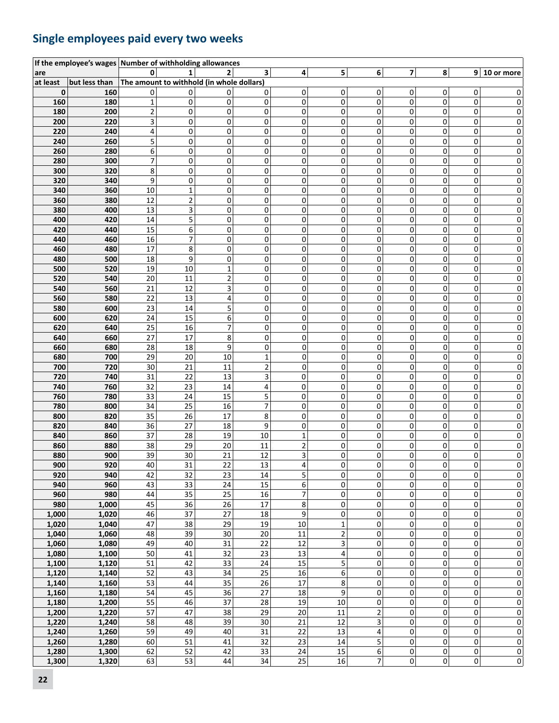### **Single employees paid every two weeks**

|          | If the employee's wages Number of withholding allowances |                         |                                           |                         |                 |                          |                         |                         |             |             |                |                         |
|----------|----------------------------------------------------------|-------------------------|-------------------------------------------|-------------------------|-----------------|--------------------------|-------------------------|-------------------------|-------------|-------------|----------------|-------------------------|
| are      |                                                          | 0                       | $\mathbf{1}$                              | 2                       | 3               | $\overline{4}$           | 5                       | 6                       | 7           | 8           |                | $9 10$ or more          |
| at least | but less than                                            |                         | The amount to withhold (in whole dollars) |                         |                 |                          |                         |                         |             |             |                |                         |
| 0        | 160                                                      | 0                       | 0                                         | 0                       | 0               | 0                        | 0                       | 0                       | 0           | 0           | 0              | 0                       |
| 160      | 180                                                      | $\mathbf{1}$            | 0                                         | 0                       | 0               | $\mathbf 0$              | 0                       | 0                       | $\Omega$    | 0           | $\overline{0}$ | 0                       |
| 180      | 200                                                      | $\overline{\mathbf{c}}$ | 0                                         | 0                       | 0               | 0                        | 0                       | 0                       | 0           | 0           | 0              | 0                       |
| 200      | 220                                                      | 3                       | 0                                         | 0                       | 0               | 0                        | 0                       | 0                       | 0           | 0           | 0              | 0                       |
| 220      |                                                          |                         |                                           |                         |                 | 0                        |                         |                         |             | 0           |                |                         |
|          | 240                                                      | 4                       | 0                                         | 0                       | 0               |                          | 0                       | 0                       | 0           |             | 0              | 0                       |
| 240      | 260                                                      | 5                       | 0                                         | 0                       | 0               | 0                        | 0                       | 0                       | 0           | 0           | 0              | 0                       |
| 260      | 280                                                      | 6                       | $\pmb{0}$                                 | 0                       | $\pmb{0}$       | $\mathsf 0$              | 0                       | 0                       | $\Omega$    | 0           | 0              | 0                       |
| 280      | 300                                                      | 7                       | 0                                         | 0                       | 0               | 0                        | 0                       | 0                       | 0           | 0           | 0              | 0                       |
| 300      | 320                                                      | 8                       | 0                                         | 0                       | 0               | 0                        | 0                       | 0                       | 0           | 0           | 0              | 0                       |
| 320      | 340                                                      | 9                       | $\mathbf 0$                               | 0                       | 0               | 0                        | 0                       | 0                       | 0           | 0           | 0              | 0                       |
| 340      | 360                                                      | 10                      | $\mathbf{1}$                              | 0                       | 0               | 0                        | 0                       | 0                       | 0           | 0           | 0              | 0                       |
| 360      | 380                                                      | 12                      | $\overline{c}$                            | 0                       | $\pmb{0}$       | 0                        | 0                       | 0                       | 0           | 0           | 0              | 0                       |
| 380      | 400                                                      | 13                      | 3                                         | 0                       | 0               | 0                        | 0                       | 0                       | 0           | 0           | 0              | 0                       |
| 400      | 420                                                      | 14                      | 5                                         | 0                       | 0               | 0                        | 0                       | 0                       | 0           | 0           | 0              | 0                       |
| 420      | 440                                                      | 15                      | 6                                         | 0                       | 0               | 0                        | 0                       | 0                       | 0           | 0           | 0              | 0                       |
| 440      | 460                                                      | 16                      | $\overline{7}$                            | 0                       | 0               | 0                        | 0                       | 0                       | 0           | 0           | 0              | 0                       |
| 460      | 480                                                      | 17                      | 8                                         | 0                       | 0               | 0                        | 0                       | 0                       | 0           | 0           | 0              | 0                       |
|          | 500                                                      | 18                      | 9                                         | 0                       | 0               | 0                        | 0                       | 0                       | 0           | 0           | 0              | 0                       |
| 480      |                                                          |                         |                                           |                         |                 |                          |                         |                         |             |             |                |                         |
| 500      | 520                                                      | 19                      | 10                                        | $\mathbf 1$             | 0               | 0                        | 0                       | 0                       | 0           | 0           | 0              | 0                       |
| 520      | 540                                                      | 20                      | 11                                        | $\overline{\mathbf{c}}$ | 0               | 0                        | 0                       | 0                       | 0           | 0           | 0              | 0                       |
| 540      | 560                                                      | 21                      | 12                                        | 3                       | 0               | 0                        | 0                       | 0                       | 0           | 0           | 0              | 0                       |
| 560      | 580                                                      | 22                      | 13                                        | 4                       | 0               | 0                        | 0                       | 0                       | 0           | 0           | 0              | 0                       |
| 580      | 600                                                      | 23                      | 14                                        | 5                       | 0               | 0                        | 0                       | 0                       | 0           | 0           | 0              | 0                       |
| 600      | 620                                                      | 24                      | 15                                        | 6                       | 0               | 0                        | 0                       | 0                       | 0           | 0           | 0              | 0                       |
| 620      | 640                                                      | 25                      | 16                                        | 7                       | 0               | 0                        | 0                       | 0                       | 0           | 0           | 0              | 0                       |
| 640      | 660                                                      | 27                      | 17                                        | 8                       | 0               | 0                        | 0                       | 0                       | 0           | 0           | 0              | 0                       |
| 660      | 680                                                      | 28                      | 18                                        | 9                       | 0               | 0                        | 0                       | 0                       | 0           | 0           | 0              | 0                       |
| 680      | 700                                                      | 29                      | 20                                        | 10                      | $\mathbf 1$     | 0                        | 0                       | 0                       | 0           | 0           | 0              | 0                       |
| 700      | 720                                                      | 30                      | 21                                        | 11                      | $\mathbf 2$     | 0                        | 0                       | 0                       | 0           | 0           | 0              | 0                       |
| 720      | 740                                                      | 31                      | $\overline{22}$                           | 13                      | 3               | $\pmb{0}$                | 0                       | 0                       | 0           | 0           | 0              | 0                       |
| 740      | 760                                                      | 32                      | 23                                        | 14                      | 4               | $\pmb{0}$                | 0                       | 0                       | 0           | 0           | 0              | 0                       |
| 760      | 780                                                      | 33                      | 24                                        | 15                      | 5               | 0                        | 0                       | 0                       | 0           | 0           | 0              | 0                       |
|          |                                                          |                         |                                           |                         |                 |                          |                         |                         |             |             |                | Ω                       |
| 780      | 800                                                      | 34                      | 25                                        | 16                      | 7               | 0                        | 0                       | 0                       | 0           | 0           | 0              |                         |
| 800      | 820                                                      | 35                      | 26                                        | 17                      | 8               | 0                        | 0                       | 0                       | 0           | 0           | 0              | 0                       |
| 820      | 840                                                      | 36                      | $\overline{27}$                           | 18                      | 9               | 0                        | 0                       | 0                       | 0           | 0           | 0              | 0                       |
| 840      | 860                                                      | 37                      | 28                                        | 19                      | 10              | $\mathbf 1$              | 0                       | 0                       | $\Omega$    | 0           | 0              | 0                       |
| 860      | 880                                                      | 38                      | 29                                        | 20                      | 11              | $\overline{\mathbf{c}}$  | 0                       | 0                       | 0           | 0           | 0              | 0                       |
| 880      | 900                                                      | 39                      | 30                                        | 21                      | 12              | 3                        | 0                       | 0                       | 0           | 0           | 0              | 0                       |
| 900      | 920                                                      | 40                      | 31                                        | 22                      | 13              | 4                        | 0                       | 0                       | 0           | 0           | $\Omega$       | 0                       |
| 920      | 940                                                      | 42                      | 32                                        | 23                      | $14\,$          | 5                        | 0                       | 0                       | 0           | 0           | $\pmb{0}$      | 0                       |
| 940      | 960                                                      | 43                      | $\overline{33}$                           | 24                      | 15              | 6                        | 0                       | 0                       | 0           | 0           | 0              | 0                       |
| 960      | 980                                                      | 44                      | 35                                        | 25                      | 16              | $\overline{\mathcal{I}}$ | 0                       | 0                       | 0           | 0           | 0              | 0                       |
| 980      | 1,000                                                    | 45                      | 36                                        | 26                      | 17              | 8                        | 0                       | 0                       | 0           | 0           | 0              | 0                       |
| 1,000    | 1,020                                                    | 46                      | 37                                        | 27                      | $18\,$          | 9                        | 0                       | 0                       | 0           | 0           | 0              | 0                       |
| 1,020    | 1,040                                                    | 47                      | 38                                        | 29                      | 19              | 10                       | $\mathbf 1$             | 0                       | 0           | 0           | 0              | 0                       |
| 1,040    | 1,060                                                    | 48                      | 39                                        | 30                      | 20              | 11                       | $\overline{\mathbf{c}}$ | 0                       | 0           | 0           | 0              | 0                       |
| 1,060    | 1,080                                                    | 49                      | 40                                        | 31                      | 22              | 12                       | 3                       | 0                       | 0           | 0           | 0              | 0                       |
| 1,080    | 1,100                                                    | 50                      | 41                                        | 32                      | 23              | 13                       | 4                       | 0                       | 0           | 0           | 0              | 0                       |
| 1,100    | 1,120                                                    | 51                      | 42                                        | 33                      | 24              | 15                       | 5                       | $\mathbf 0$             | $\mathbf 0$ | $\mathbf 0$ | 0              | 0                       |
| 1,120    | 1,140                                                    | 52                      | 43                                        | $\overline{34}$         | $\overline{25}$ | 16                       | 6                       | 0                       | 0           | 0           | 0              | 0                       |
|          |                                                          |                         |                                           |                         |                 |                          |                         |                         |             |             |                |                         |
| 1,140    | 1,160                                                    | 53                      | 44                                        | 35                      | 26              | 17                       | 8                       | 0                       | 0           | 0           | 0              | 0                       |
| 1,160    | 1,180                                                    | 54                      | 45                                        | 36                      | 27              | 18                       | 9                       | 0                       | 0           | 0           | 0              | 0                       |
| 1,180    | 1,200                                                    | 55                      | 46                                        | $\overline{37}$         | 28              | 19                       | 10                      | 0                       | 0           | 0           | 0              | 0                       |
| 1,200    | 1,220                                                    | 57                      | 47                                        | 38                      | 29              | 20                       | $11\,$                  | $\overline{\mathbf{c}}$ | 0           | 0           | 0              | 0                       |
| 1,220    | 1,240                                                    | 58                      | 48                                        | 39                      | 30              | 21                       | 12                      | 3                       | 0           | 0           | 0              | 0                       |
| 1,240    | 1,260                                                    | 59                      | 49                                        | 40                      | 31              | 22                       | 13                      | 4                       | 0           | 0           | 0              | 0                       |
| 1,260    | 1,280                                                    | 60                      | 51                                        | 41                      | 32              | 23                       | 14                      | 5                       | 0           | 0           | 0              | 0                       |
| 1,280    | 1,300                                                    | 62                      | 52                                        | 42                      | 33              | 24                       | 15                      | 6                       | 0           | 0           | 0              | $\overline{0}$          |
| 1,300    | 1,320                                                    | 63                      | $\overline{53}$                           | $44\,$                  | 34              | $\overline{25}$          | 16                      | 7                       | 0           | 0           | 0              | $\overline{\mathbf{0}}$ |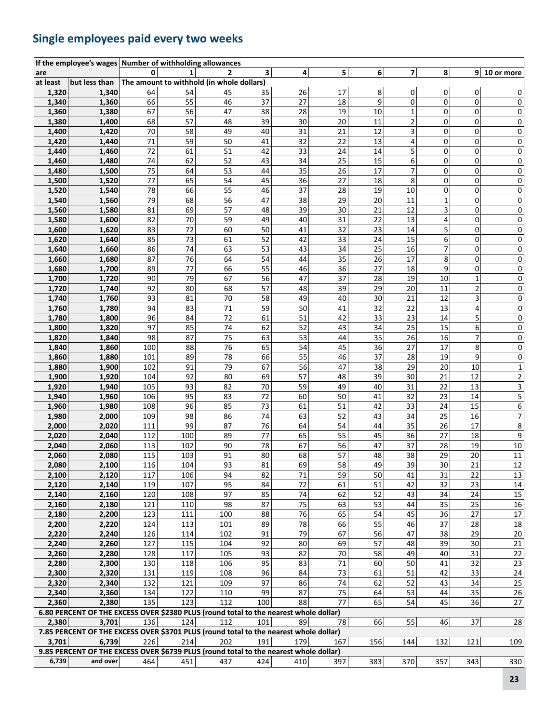### **Single employees paid every two weeks**

|          | If the employee's wages Number of withholding allowances                              |        |                                           |                |     |     |     |     |                          |                |                |                         |
|----------|---------------------------------------------------------------------------------------|--------|-------------------------------------------|----------------|-----|-----|-----|-----|--------------------------|----------------|----------------|-------------------------|
| are      |                                                                                       | 0      | $\mathbf{1}$                              | $\overline{2}$ | 3   | 4   | 5   | 6   | $\overline{\phantom{a}}$ | 8 <sup>1</sup> |                | $9 10$ or more          |
| at least | but less than                                                                         |        | The amount to withhold (in whole dollars) |                |     |     |     |     |                          |                |                |                         |
| 1,320    | 1,340                                                                                 | 64     | 54                                        | 45             | 35  | 26  | 17  | 8   | 0                        | 0              | 0              | 0                       |
| 1,340    | 1,360                                                                                 | 66     | 55                                        | 46             | 37  | 27  | 18  | 9   | 0                        | 0              | 0              | 0                       |
| 1,360    | 1,380                                                                                 | 67     | 56                                        | 47             | 38  | 28  | 19  | 10  | $\mathbf{1}$             | 0              | 0              | 0                       |
| 1,380    | 1,400                                                                                 | 68     | 57                                        | 48             | 39  | 30  | 20  | 11  | $\overline{\mathbf{c}}$  | 0              | 0              | 0                       |
| 1,400    | 1,420                                                                                 | 70     | 58                                        | 49             | 40  | 31  | 21  | 12  | 3                        | 0              | 0              | 0                       |
| 1,420    | 1,440                                                                                 | $71\,$ | 59                                        | 50             | 41  | 32  | 22  | 13  | 4                        | 0              | 0              | 0                       |
| 1,440    | 1,460                                                                                 | 72     | 61                                        | 51             | 42  | 33  | 24  | 14  | 5                        | 0              | 0              | 0                       |
| 1,460    | 1,480                                                                                 | 74     | 62                                        | 52             | 43  | 34  | 25  | 15  | 6                        | $\mathbf 0$    | 0              | 0                       |
| 1,480    | 1,500                                                                                 | 75     | 64                                        | 53             | 44  | 35  | 26  | 17  | 7                        | 0              | 0              | 0                       |
| 1,500    | 1,520                                                                                 | 77     | 65                                        | 54             | 45  | 36  | 27  | 18  | 8                        | 0              | 0              | 0                       |
| 1,520    | 1,540                                                                                 | 78     | 66                                        | 55             | 46  | 37  | 28  | 19  | 10                       | 0              | 0              | 0                       |
| 1,540    | 1,560                                                                                 | 79     | 68                                        | 56             | 47  | 38  | 29  | 20  | 11                       | 1              | 0              | 0                       |
| 1,560    | 1,580                                                                                 | 81     | 69                                        | 57             | 48  | 39  | 30  | 21  | 12                       | 3              | 0              | 0                       |
| 1,580    | 1,600                                                                                 | 82     | 70                                        | 59             | 49  | 40  | 31  | 22  | 13                       | 4              | 0              | 0                       |
| 1,600    | 1,620                                                                                 | 83     | 72                                        | 60             | 50  | 41  | 32  | 23  | 14                       | 5              | 0              | 0                       |
| 1,620    | 1,640                                                                                 | 85     | 73                                        | 61             | 52  | 42  | 33  | 24  | 15                       | 6              | 0              | 0                       |
| 1,640    | 1,660                                                                                 | 86     | 74                                        | 63             | 53  | 43  | 34  | 25  | 16                       | 7              | 0              | 0                       |
| 1,660    | 1,680                                                                                 | 87     | 76                                        | 64             | 54  | 44  | 35  | 26  | 17                       | 8              | 0              | 0                       |
| 1,680    | 1,700                                                                                 | 89     | 77                                        | 66             | 55  | 46  | 36  | 27  | 18                       | 9              | 0              | 0                       |
| 1,700    | 1,720                                                                                 | 90     | 79                                        | 67             | 56  | 47  | 37  | 28  | 19                       | 10             | $\overline{1}$ | 0                       |
| 1,720    | 1,740                                                                                 | 92     | 80                                        | 68             | 57  | 48  | 39  | 29  | 20                       | 11             | $\overline{2}$ | 0                       |
| 1,740    | 1,760                                                                                 | 93     | 81                                        | 70             | 58  | 49  | 40  | 30  | 21                       | 12             | 3              | 0                       |
| 1,760    | 1,780                                                                                 | 94     | 83                                        | 71             | 59  | 50  | 41  | 32  | 22                       | 13             | 4              | 0                       |
| 1,780    | 1,800                                                                                 | 96     | 84                                        | 72             | 61  | 51  | 42  | 33  | 23                       | 14             | 5              | 0                       |
| 1,800    | 1,820                                                                                 | 97     | 85                                        | 74             | 62  | 52  | 43  | 34  | 25                       | 15             | 6              | 0                       |
| 1,820    | 1,840                                                                                 | 98     | 87                                        | 75             | 63  | 53  | 44  | 35  | 26                       | 16             | 7              | 0                       |
| 1,840    | 1,860                                                                                 | 100    | 88                                        | 76             | 65  | 54  | 45  | 36  | 27                       | 17             | 8              | 0                       |
| 1,860    | 1,880                                                                                 | 101    | 89                                        | 78             | 66  | 55  | 46  | 37  | 28                       | 19             | 9              | 0                       |
| 1,880    | 1,900                                                                                 | 102    | 91                                        | 79             | 67  | 56  | 47  | 38  | 29                       | 20             | 10             | $\mathbf 1$             |
| 1,900    | 1,920                                                                                 | 104    | 92                                        | 80             | 69  | 57  | 48  | 39  | 30                       | 21             | 12             | $\overline{\mathbf{c}}$ |
| 1,920    | 1,940                                                                                 | 105    | 93                                        | 82             | 70  | 59  | 49  | 40  | 31                       | 22             | 13             | 3                       |
| 1,940    | 1,960                                                                                 | 106    | 95                                        | 83             | 72  | 60  | 50  | 41  | 32                       | 23             | 14             | 5                       |
| 1,960    | 1,980                                                                                 | 108    | 96                                        | 85             | 73  | 61  | 51  | 42  | 33                       | 24             | 15             | 6                       |
| 1,980    | 2,000                                                                                 | 109    | 98                                        | 86             | 74  | 63  | 52  | 43  | 34                       | 25             | 16             | 7                       |
| 2,000    | 2,020                                                                                 | 111    | 99                                        | 87             | 76  | 64  | 54  | 44  | 35                       | 26             | 17             | 8                       |
| 2,020    | 2,040                                                                                 | 112    | 100                                       | 89             | 77  | 65  | 55  | 45  | 36                       | 27             | 18             | 9                       |
| 2,040    | 2,060                                                                                 | 113    | 102                                       | 90             | 78  | 67  | 56  | 47  | 37                       | 28             | 19             | 10                      |
| 2,060    | 2,080                                                                                 | 115    | 103                                       | 91             | 80  | 68  | 57  | 48  | 38                       | 29             | 20             | 11                      |
| 2,080    | 2,100                                                                                 | 116    | 104                                       | 93             | 81  | 69  | 58  | 49  | 39                       | 30             | 21             | 12                      |
| 2,100    | 2,120                                                                                 | 117    | 106                                       | 94             | 82  | 71  | 59  | 50  | 41                       | 31             | 22             | 13                      |
| 2,120    | 2,140                                                                                 | 119    | 107                                       | 95             | 84  | 72  | 61  | 51  | 42                       | 32             | 23             | 14                      |
| 2,140    | 2,160                                                                                 | 120    | 108                                       | 97             | 85  | 74  | 62  | 52  | 43                       | 34             | 24             | $15\,$                  |
| 2,160    | 2,180                                                                                 | 121    | 110                                       | 98             | 87  | 75  | 63  | 53  | 44                       | 35             | 25             | $16\,$                  |
| 2,180    | 2,200                                                                                 | 123    | 111                                       | 100            | 88  | 76  | 65  | 54  | 45                       | 36             | 27             | $17\,$                  |
| 2,200    | 2,220                                                                                 | 124    | 113                                       | 101            | 89  | 78  | 66  | 55  | 46                       | 37             | 28             | $18\,$                  |
| 2,220    | 2,240                                                                                 | 126    | 114                                       | 102            | 91  | 79  | 67  | 56  | 47                       | 38             | 29             | 20 <sub>2</sub>         |
| 2,240    | 2,260                                                                                 | 127    | 115                                       | 104            | 92  | 80  | 69  | 57  | 48                       | 39             | 30             | 21                      |
| 2,260    | 2,280                                                                                 | 128    | 117                                       | 105            | 93  | 82  | 70  | 58  | 49                       | 40             | 31             | 22                      |
| 2,280    | 2,300                                                                                 | 130    | 118                                       | 106            | 95  | 83  | 71  | 60  | 50                       | 41             | 32             | $23\,$                  |
| 2,300    | 2,320                                                                                 | 131    | 119                                       | 108            | 96  | 84  | 73  | 61  | 51                       | 42             | 33             | 24                      |
| 2,320    | 2,340                                                                                 | 132    | 121                                       | 109            | 97  | 86  | 74  | 62  | 52                       | 43             | 34             | $25\,$                  |
| 2,340    | 2,360                                                                                 | 134    | 122                                       | 110            | 99  | 87  | 75  | 64  | 53                       | 44             | 35             | 26                      |
| 2,360    | 2,380                                                                                 | 135    | 123                                       | 112            | 100 | 88  | 77  | 65  | 54                       | 45             | 36             | 27                      |
|          | 6.80 PERCENT OF THE EXCESS OVER \$2380 PLUS (round total to the nearest whole dollar) |        |                                           |                |     |     |     |     |                          |                |                |                         |
| 2,380    | 3,701                                                                                 | 136    | 124                                       | 112            | 101 | 89  | 78  | 66  | 55                       | 46             | 37             | 28                      |
|          | 7.85 PERCENT OF THE EXCESS OVER \$3701 PLUS (round total to the nearest whole dollar) |        |                                           |                |     |     |     |     |                          |                |                |                         |
| 3,701    | 6,739                                                                                 | 226    | 214                                       | 202            | 191 | 179 | 167 | 156 | 144                      | 132            | 121            | 109                     |
|          | 9.85 PERCENT OF THE EXCESS OVER \$6739 PLUS (round total to the nearest whole dollar) |        |                                           |                |     |     |     |     |                          |                |                |                         |
| 6,739    | and over                                                                              | 464    | 451                                       | 437            | 424 | 410 | 397 | 383 | 370                      | 357            | 343            | 330                     |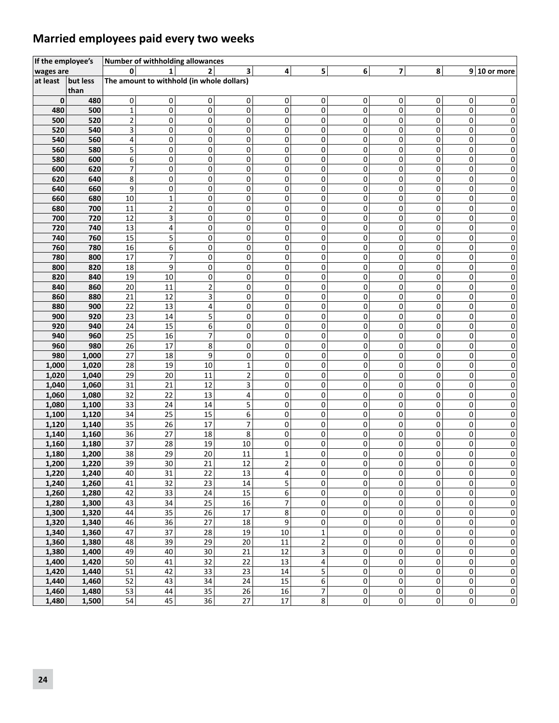### **Married employees paid every two weeks**

| If the employee's |          |                | <b>Number of withholding allowances</b>   |                |                          |                 |                          |             |                |   |                |                  |
|-------------------|----------|----------------|-------------------------------------------|----------------|--------------------------|-----------------|--------------------------|-------------|----------------|---|----------------|------------------|
| wages are         |          | $\mathbf{0}$   | 1                                         | $\overline{2}$ | 3                        | 4               | 5 <sup>1</sup>           | 6           | $\overline{7}$ | 8 |                | $9 10$ or more   |
| at least          | but less |                | The amount to withhold (in whole dollars) |                |                          |                 |                          |             |                |   |                |                  |
|                   | than     |                |                                           |                |                          |                 |                          |             |                |   |                |                  |
| $\mathbf 0$       | 480      | 0              | 0                                         | 0              | 0                        | 0               | 0                        | 0           | 0              | 0 | 0              | 0                |
| 480               | 500      | $\mathbf 1$    | $\mathbf 0$                               | $\mathbf 0$    | 0                        | 0               | 0                        | 0           | 0              | 0 | 0              | $\mathbf{0}$     |
| 500               | 520      | $\overline{2}$ | 0                                         | 0              | 0                        | 0               | 0                        | 0           | 0              | 0 | 0              | $\mathbf{0}$     |
| 520               | 540      | 3              | 0                                         | 0              | 0                        | 0               | 0                        | 0           | 0              | 0 | 0              | $\mathsf{O}$     |
| 540               | 560      | 4              | 0                                         | 0              | 0                        | 0               | 0                        | 0           | 0              | 0 | 0              | 0                |
| 560               | 580      | 5              | 0                                         | 0              | 0                        | 0               | 0                        | 0           | 0              | 0 | 0              | 0                |
| 580               | 600      | 6              | 0                                         | 0              | 0                        | 0               | 0                        | 0           | 0              | 0 | 0              | $\sigma$         |
| 600               | 620      | $\overline{7}$ | 0                                         | 0              | 0                        | 0               | 0                        | 0           | 0              | 0 | 0              | $\sigma$         |
| 620               | 640      | 8              | 0                                         | 0              | 0                        | 0               | 0                        | 0           | 0              | 0 | 0              | $\sigma$         |
| 640               | 660      | 9              | 0                                         | 0              | 0                        | 0               | 0                        | 0           | 0              | 0 | 0              | $\sigma$         |
| 660               | 680      | 10             | $\mathbf{1}$                              | 0              | 0                        | 0               | 0                        | 0           | 0              | 0 | 0              | 0                |
| 680               | 700      | 11             | $\overline{2}$                            | 0              | 0                        | 0               | 0                        | 0           | 0              | 0 | 0              | $\sigma$         |
| 700               | 720      | 12             | 3                                         | 0              | 0                        | 0               | 0                        | 0           | 0              | 0 | 0              | $\mathbf{0}$     |
| 720               | 740      | 13             | 4                                         | 0              | 0                        | 0               | 0                        | 0           | 0              | 0 | 0              | $\sigma$         |
| 740               | 760      | 15             | 5                                         | 0              | 0                        | 0               | 0                        | 0           | 0              | 0 | 0              | 0                |
| 760               | 780      | 16             | 6                                         | 0              | 0                        | 0               | 0                        | 0           | 0              | 0 | 0              | 0                |
| 780               | 800      | 17             | $\overline{7}$                            | $\mathbf 0$    | 0                        | 0               | 0                        | 0           | 0              | 0 | 0              | 0                |
| 800               | 820      | 18             | 9                                         | 0              | 0                        | 0               | 0                        | 0           | 0              | 0 | 0              | $\sigma$         |
| 820               | 840      | 19             | 10                                        | 0              | 0                        | 0               | 0                        | 0           | 0              | 0 | 0              | $\sigma$         |
| 840               | 860      | 20             | 11                                        | 2              | 0                        | 0               | 0                        | 0           | 0              | 0 | 0              | 0                |
| 860               | 880      | 21             | 12                                        | 3              | 0                        | 0               | 0                        | 0           | 0              | 0 | 0              | $\sigma$         |
| 880               | 900      | 22             | 13                                        | 4              | 0                        | 0               | 0                        | 0           | 0              | 0 | 0              | $\sigma$         |
| 900               | 920      | 23             | 14                                        | 5              | 0                        | 0               | 0                        | 0           | 0              | 0 | 0              | $\vert 0 \vert$  |
| 920               | 940      | 24             | 15                                        | 6              | 0                        | 0               | 0                        | 0           | 0              | 0 | 0              | $\sigma$         |
| 940               | 960      | 25             | 16                                        | 7              | 0                        | 0               | 0                        | 0           | 0              | 0 | 0              | $\vert 0 \vert$  |
| 960               | 980      | 26             | 17                                        | 8              | 0                        | 0               | 0                        | 0           | 0              | 0 | 0              | $\sigma$         |
| 980               | 1,000    | 27             | 18                                        | 9              | 0                        | 0               | 0                        | 0           | 0              | 0 | 0              | $\sigma$         |
| 1,000             | 1,020    | 28             | 19                                        | 10             | $\mathbf 1$              | 0               | 0                        | 0           | 0              | 0 | 0              | $\sigma$         |
| 1,020             | 1,040    | 29             | 20                                        | 11             | $\mathbf 2$              | 0               | 0                        | 0           | 0              | 0 | 0              | $\sigma$         |
| 1,040             | 1,060    | 31             | 21                                        | 12             | 3                        | 0               | 0                        | 0           | 0              | 0 | 0              | 0                |
| 1,060             | 1,080    | 32             | 22                                        | 13             | 4                        | 0               | 0                        | 0           | 0              | 0 | 0              | $\mathbf{0}$     |
| 1,080             | 1,100    | 33             | 24                                        | 14             | 5                        | 0               | 0                        | 0           | 0              | 0 | 0              | $\mathsf{O}$     |
| 1,100             | 1,120    | 34             | 25                                        | 15             | 6                        | 0               | 0                        | 0           | 0              | 0 | 0              | $\mathbf{0}$     |
| 1,120             | 1,140    | 35             | 26                                        | 17             | $\overline{\mathcal{I}}$ | 0               | 0                        | 0           | 0              | 0 | 0              | 0                |
| 1,140             | 1,160    | 36             | 27                                        | 18             | 8                        | 0               | 0                        | 0           | 0              | 0 | 0              | 0                |
| 1,160             | 1,180    | 37             | 28                                        | 19             | 10                       | 0               | 0                        | 0           | 0              | 0 | 0              | $\mathbf{0}$     |
| 1,180             | 1,200    | 38             | 29                                        | 20             | 11                       | 1               | 0                        | 0           | 0              | 0 | 0              | $\mathbf{0}$     |
| 1.200             | 1,220    | 39             | 30                                        | 21             | 12                       | 2               | 0                        | 0           | 0              | 0 | 0              | $\overline{0}$   |
| 1,220             | 1,240    | 40             | 31                                        | 22             | 13                       | 4               | 0                        | 0           | 0              | 0 | 0              | $\mathbf{0}$     |
| 1,240             | 1,260    | 41             | 32                                        | 23             | 14                       | 5               | $\mathsf{O}\xspace$      | 0           | $\pmb{0}$      | 0 | 0              | $\mathbf{0}$     |
| 1,260             | 1,280    | 42             | 33                                        | 24             | 15                       | 6               | $\mathbf 0$              | 0           | 0              | 0 | 0              | $\mathbf{0}$     |
| 1,280             | 1,300    | 43             | 34                                        | 25             | 16                       | 7               | 0                        | 0           | 0              | 0 | 0              | $\mathbf{0}$     |
| 1,300             | 1,320    | 44             | 35                                        | 26             | 17                       | 8               | $\mathbf{0}$             | 0           | 0              | 0 | $\mathbf 0$    | $\pmb{0}$        |
| 1,320             | 1,340    | 46             | 36                                        | 27             | 18                       | 9               | 0                        | $\mathbf 0$ | 0              | 0 | 0              | $\mathbf{0}$     |
| 1,340             | 1,360    | 47             | 37                                        | 28             | 19                       | $10\,$          | $\mathbf 1$              | $\mathbf 0$ | 0              | 0 | 0              | $\boldsymbol{0}$ |
| 1,360             | 1,380    | 48             | 39                                        | 29             | 20                       | $11\,$          | $\overline{2}$           | $\pmb{0}$   | 0              | 0 | 0              | $\mathbf{0}$     |
| 1,380             | 1,400    | 49             | 40                                        | 30             | 21                       | 12              | 3                        | 0           | 0              | 0 | 0              | $\mathbf{0}$     |
| 1,400             | 1,420    | 50             | 41                                        | 32             | 22                       | 13              | 4                        | 0           | 0              | 0 | 0              | $\mathbf{0}$     |
| 1,420             | 1,440    | 51             | 42                                        | 33             | 23                       | $14\,$          | $\overline{5}$           | 0           | 0              | 0 | 0              | $\mathbf{0}$     |
| 1,440             | 1,460    | 52             | 43                                        | 34             | 24                       | $\overline{15}$ | $\overline{6}$           | 0           | 0              | 0 | 0              | $\mathbf{0}$     |
| 1,460             | 1,480    | 53             | 44                                        | 35             | 26                       | 16              | $\overline{\mathcal{I}}$ | 0           | 0              | 0 | 0              | $\mathbf{0}$     |
| 1,480             | 1,500    | 54             | 45                                        | 36             | 27                       | $17\,$          | $\infty$                 | 0           | 0              | 0 | $\overline{0}$ | $\mathbf{0}$     |
|                   |          |                |                                           |                |                          |                 |                          |             |                |   |                |                  |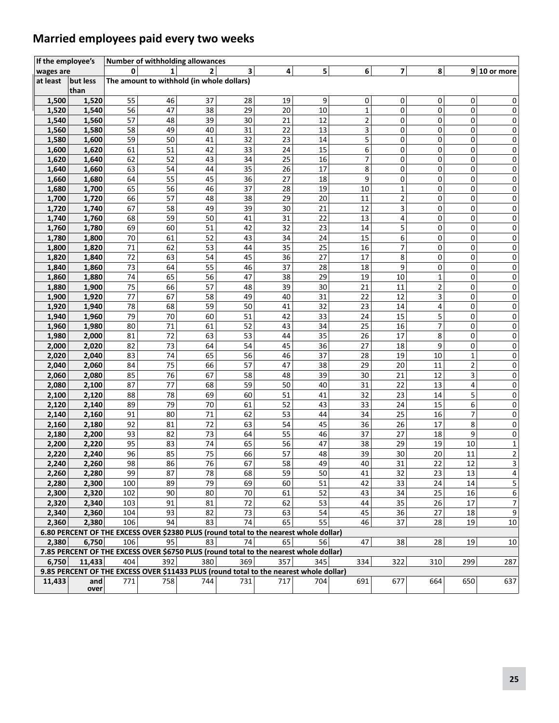### **Married employees paid every two weeks**

| If the employee's |                |          | Number of withholding allowances                                                       |          |          |          |          |              |                |                |              |                  |
|-------------------|----------------|----------|----------------------------------------------------------------------------------------|----------|----------|----------|----------|--------------|----------------|----------------|--------------|------------------|
| wages are         |                | $\Omega$ | 1                                                                                      | 2        | 3        | 4        | 5        | 6            | $\overline{ }$ | 8              |              | $9 10$ or more   |
| at least          | but less       |          | The amount to withhold (in whole dollars)                                              |          |          |          |          |              |                |                |              |                  |
|                   | than           |          |                                                                                        |          |          |          |          |              |                |                |              |                  |
| 1,500             | 1,520          | 55       | 46                                                                                     | 37       | 28       | 19       | 9        | 0            | 0              | 0              | 0            | 0                |
| 1,520             | 1,540          | 56       | 47                                                                                     | 38       | 29       | 20       | 10       | $\mathbf{1}$ | 0              | 0              | 0            | 0                |
| 1,540             | 1,560          | 57       | 48                                                                                     | 39       | 30       | 21       | 12       | 2            | 0              | 0              | 0            | 0                |
| 1,560             | 1,580          | 58       | 49                                                                                     | 40       | 31       | 22       | 13       | 3            | 0              | 0              | 0            | $\pmb{0}$        |
| 1,580             | 1,600          | 59       | 50                                                                                     | 41       | 32       | 23       | 14       | 5            | 0              | 0              | 0            | 0                |
| 1,600             | 1,620          | 61       | 51                                                                                     | 42       | 33       | 24       | 15       | 6            | 0              | 0              | 0            | $\pmb{0}$        |
| 1,620             | 1,640          | 62       | 52                                                                                     | 43       | 34       | 25       | 16       | 7            | 0              | 0              | 0            | $\pmb{0}$        |
| 1,640             | 1,660          | 63       | 54                                                                                     | 44       | 35       | 26       | 17       | 8            | $\mathbf 0$    | $\mathbf 0$    | 0            | $\pmb{0}$        |
| 1,660             | 1,680          | 64       | 55                                                                                     | 45       | 36       | 27       | 18       | 9            | 0              | 0              | 0            | $\pmb{0}$        |
| 1,680             | 1,700          | 65       | 56                                                                                     | 46       | 37       | 28       | 19       | 10           | 1              | 0              | 0            | 0                |
| 1,700             | 1,720          | 66       | 57                                                                                     | 48       | 38       | 29       | 20       | 11           | 2              | 0              | 0            | 0                |
| 1,720             | 1,740          | 67       | 58                                                                                     | 49       | 39       | 30       | 21       | 12           | 3              | 0              | 0            | 0                |
| 1,740             | 1,760          | 68       | 59                                                                                     | 50       | 41       | 31       | 22       | 13           | 4              | 0              | 0            | $\pmb{0}$        |
| 1,760             | 1,780          | 69       | 60                                                                                     | 51       | 42       | 32       | 23       | 14           | 5              | 0              | 0            | $\pmb{0}$        |
| 1,780             | 1,800          | 70       | 61                                                                                     | 52       | 43       | 34       | 24       | 15           | 6              | 0              | 0            | 0                |
| 1,800             | 1,820          | 71       | 62                                                                                     | 53       | 44       | 35       | 25       | 16           | 7              | 0              | 0            | 0                |
| 1,820             | 1,840          | 72       | 63                                                                                     | 54       | 45       | 36       | 27       | 17           | 8              | 0              | 0            | 0                |
| 1,840             | 1,860          | 73       | 64                                                                                     | 55       | 46       | 37       | 28       | 18           | 9              | 0              | 0            | $\pmb{0}$        |
| 1,860             | 1,880          | 74       | 65                                                                                     | 56       | 47       | 38       | 29       | 19           | 10             | $\mathbf{1}$   | 0            | $\pmb{0}$        |
| 1,880             | 1,900          | 75       | 66                                                                                     | 57       | 48       | 39       | 30       | 21           | 11             | $\overline{2}$ | 0            | 0                |
| 1,900             | 1,920          | 77       | 67                                                                                     | 58       | 49       | 40       | 31       | 22           | 12             | 3              | 0            | 0                |
| 1,920             | 1,940          | 78<br>79 | 68<br>70                                                                               | 59<br>60 | 50       | 41<br>42 | 32<br>33 | 23<br>24     | 14             | 4              | 0<br>0       | 0                |
| 1,940             | 1,960          | 80       |                                                                                        | 61       | 51<br>52 | 43       |          |              | 15             | 5<br>7         |              | $\pmb{0}$        |
| 1,960             | 1,980          | 81       | 71                                                                                     |          | 53       |          | 34<br>35 | 25           | 16             |                | 0            | $\pmb{0}$        |
| 1,980<br>2,000    | 2,000<br>2,020 | 82       | 72<br>73                                                                               | 63<br>64 | 54       | 44<br>45 | 36       | 26<br>27     | 17<br>18       | 8<br>9         | 0<br>0       | 0<br>0           |
| 2,020             | 2,040          | 83       | 74                                                                                     | 65       | 56       | 46       | 37       | 28           | 19             | 10             | $\mathbf{1}$ | 0                |
| 2,040             | 2,060          | 84       | 75                                                                                     | 66       | 57       | 47       | 38       | 29           | 20             | 11             | 2            | $\pmb{0}$        |
| 2,060             | 2,080          | 85       | 76                                                                                     | 67       | 58       | 48       | 39       | 30           | 21             | 12             | 3            | 0                |
| 2,080             | 2,100          | 87       | 77                                                                                     | 68       | 59       | 50       | 40       | 31           | 22             | 13             | 4            | $\pmb{0}$        |
| 2,100             | 2,120          | 88       | 78                                                                                     | 69       | 60       | 51       | 41       | 32           | 23             | 14             | 5            | $\pmb{0}$        |
| 2,120             | 2,140          | 89       | 79                                                                                     | 70       | 61       | 52       | 43       | 33           | 24             | 15             | 6            | $\pmb{0}$        |
| 2,140             | 2,160          | 91       | 80                                                                                     | 71       | 62       | 53       | 44       | 34           | 25             | 16             | 7            | 0                |
| 2,160             | 2,180          | 92       | 81                                                                                     | 72       | 63       | 54       | 45       | 36           | 26             | 17             | 8            | 0                |
| 2,180             | 2,200          | 93       | 82                                                                                     | 73       | 64       | 55       | 46       | 37           | 27             | 18             | 9            | 0                |
| 2,200             | 2,220          | 95       | 83                                                                                     | 74       | 65       | 56       | 47       | 38           | 29             | 19             | 10           | $\mathbf 1$      |
| 2,220             | 2,240          | 96       | 85                                                                                     | 75       | 66       | 57       | 48       | 39           | 30             | 20             | 11           | $\overline{2}$   |
| 2,240             | 2.260          | 98       | 86                                                                                     | 76       | 67       | 58       | 49       | 40           | 31             | 22             | 12           | $\overline{3}$   |
| 2,260             | 2,280          | 99       | 87                                                                                     | 78       | 68       | 59       | 50       | 41           | 32             | 23             | 13           | 4                |
| 2,280             | 2,300          | 100      | 89                                                                                     | 79       | 69       | 60       | 51       | 42           | 33             | 24             | 14           | 5                |
| 2,300             | 2,320          | 102      | 90                                                                                     | 80       | 70       | 61       | 52       | 43           | 34             | 25             | 16           | 6                |
| 2,320             | 2,340          | 103      | 91                                                                                     | 81       | 72       | 62       | 53       | 44           | 35             | 26             | 17           | $\boldsymbol{7}$ |
| 2,340             | 2,360          | 104      | 93                                                                                     | 82       | 73       | 63       | 54       | 45           | 36             | 27             | 18           | 9                |
| 2,360             | 2,380          | 106      | 94                                                                                     | 83       | 74       | 65       | 55       | 46           | 37             | 28             | 19           | $10\,$           |
|                   |                |          | 6.80 PERCENT OF THE EXCESS OVER \$2380 PLUS (round total to the nearest whole dollar)  |          |          |          |          |              |                |                |              |                  |
| 2,380             | 6,750          | 106      | 95                                                                                     | 83       | 74       | 65       | 56       | 47           | 38             | 28             | 19           | 10               |
|                   |                |          | 7.85 PERCENT OF THE EXCESS OVER \$6750 PLUS (round total to the nearest whole dollar)  |          |          |          |          |              |                |                |              |                  |
| 6,750             | 11,433         | 404      | 392                                                                                    | 380      | 369      | 357      | 345      | 334          | 322            | 310            | 299          | 287              |
|                   |                |          | 9.85 PERCENT OF THE EXCESS OVER \$11433 PLUS (round total to the nearest whole dollar) |          |          |          |          |              |                |                |              |                  |
| 11,433            | and<br>over    | 771      | 758                                                                                    | 744      | 731      | 717      | 704      | 691          | 677            | 664            | 650          | 637              |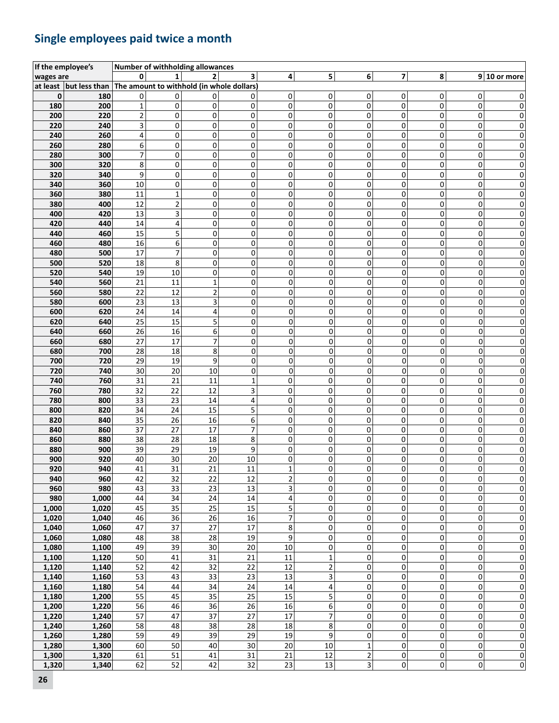### **Single employees paid twice a month**

|           | If the employee's                                                |                |                         | Number of withholding allowances |                         |                         |                |                |                         |                     |           |                |
|-----------|------------------------------------------------------------------|----------------|-------------------------|----------------------------------|-------------------------|-------------------------|----------------|----------------|-------------------------|---------------------|-----------|----------------|
| wages are |                                                                  | O              |                         | $\overline{2}$                   | 3                       | $\overline{\mathbf{r}}$ | 5              | $6 \mid$       | $\overline{\mathbf{z}}$ | 8                   |           | $9 10$ or more |
|           | at least but less than The amount to withhold (in whole dollars) |                |                         |                                  |                         |                         |                |                |                         |                     |           |                |
| 0         | 180                                                              | 0              | 0                       | 0                                | 0                       | 0                       | 0              | 0              | 0                       | $\mathbf{0}$        | 0         | 0              |
| 180       | 200                                                              | $\mathbf 1$    | 0                       | 0                                | 0                       | 0                       | 0              | 0              | 0                       | 0                   | 0         | 0              |
| 200       | 220                                                              | $\overline{c}$ | 0                       | 0                                | 0                       | 0                       | 0              | 0              | 0                       | 0                   | 0         | 0              |
| 220       | 240                                                              | 3              | 0                       | 0                                | 0                       | 0                       | 0              | 0              | 0                       | 0                   | 0         | 0              |
| 240       | 260                                                              | 4              | 0                       | 0                                | 0                       | 0                       | 0              | 0              | 0                       | 0                   | 0         | 0              |
| 260       | 280                                                              | 6              | 0                       | 0                                | 0                       | 0                       | 0              | 0              | 0                       | 0                   | 0         | 0              |
| 280       | 300                                                              | $\overline{7}$ | 0                       | 0                                | 0                       | 0                       | 0              | 0              | 0                       | 0                   | 0         | 0              |
| 300       | 320                                                              | 8              | 0                       | 0                                | $\mathbf 0$             | $\Omega$                | $\Omega$       | $\Omega$       | 0                       | $\Omega$            | 0         | 0              |
| 320       | 340                                                              | 9              | 0                       | 0                                | 0                       | 0                       | 0              | $\Omega$       | 0                       | $\mathbf{0}$        | 0         | 0              |
| 340       | 360                                                              | $10\,$         | 0                       | 0                                | 0                       | 0                       | 0              | 0              | 0                       | 0                   | 0         | 0              |
| 360       | 380                                                              | 11             | $\mathbf{1}$            | 0                                | 0                       | 0                       | 0              | 0              | 0                       | 0                   | 0         | 0              |
| 380       | 400                                                              | 12             | $\overline{2}$          | 0                                | 0                       | 0                       | 0              | 0              | 0                       | 0                   | 0         | 0              |
| 400       | 420                                                              | 13             | $\overline{\mathbf{3}}$ | 0                                | $\mathbf 0$             | 0                       | 0              | 0              | 0                       | 0                   | 0         | 0              |
| 420       | 440                                                              | 14             | 4                       | 0                                | 0                       | 0                       | 0              | 0              | 0                       | 0                   | 0         | 0              |
| 440       | 460                                                              | 15             | 5                       | 0                                | 0                       | 0                       | 0              | 0              | 0                       | 0                   | 0         | 0              |
| 460       | 480                                                              | 16             | 6                       | 0                                | 0                       | 0                       | 0              | 0              | 0                       | 0                   | 0         | 0              |
| 480       | 500                                                              | 17             | $\overline{7}$          | 0                                | 0                       | 0                       | 0              | 0              | 0                       | 0                   | 0         | 0              |
| 500       | 520                                                              | 18             | 8                       | 0                                | 0                       | 0                       | 0              | 0              | 0                       | $\mathbf{0}$        | 0         | 0              |
| 520       | 540                                                              | 19             | 10                      | 0                                | 0                       | 0                       | 0              | 0              | 0                       | $\mathbf{0}$        | 0         | 0              |
| 540       | 560                                                              | 21             | $11\,$                  | 1                                | 0                       | 0                       | 0              | 0              | 0                       | 0                   | 0         | 0              |
| 560       | 580                                                              | 22             | 12                      | $\overline{\mathbf{c}}$          | 0                       | 0                       | 0              | $\Omega$       | 0                       | 0                   | 0         | 0              |
| 580       | 600                                                              | 23             | 13                      | 3                                | 0                       | 0                       | 0              | $\overline{0}$ | 0                       | 0                   | 0         | 0              |
| 600       | 620                                                              | 24             | 14                      | 4                                | 0                       | 0                       | 0              | 0              | 0                       | 0                   | 0         | 0              |
| 620       | 640                                                              | 25             | 15                      | 5                                | 0                       | 0                       | 0              | 0              | 0                       | 0                   | 0         | 0              |
| 640       | 660                                                              | 26             | 16                      | 6                                | 0                       | 0                       | 0              | 0              | 0                       | 0                   | 0         | 0              |
| 660       | 680                                                              | 27             | 17                      | 7                                | 0                       | 0                       | 0              | $\overline{0}$ | 0                       | 0                   | 0         | 0              |
| 680       | 700                                                              | 28             | 18                      | 8                                | 0                       | 0                       | 0              | $\overline{0}$ | 0                       | 0                   | 0         | 0              |
| 700       | 720                                                              | 29             | 19                      | 9                                | 0                       | 0                       | 0              | $\Omega$       | 0                       | 0                   | 0         | 0              |
| 720       | 740                                                              | 30             | 20                      | 10                               | 0                       | 0                       | 0              | $\Omega$       | 0                       | 0                   | $\Omega$  | 0              |
| 740       | 760                                                              | 31             | 21                      | 11                               | $\mathbf{1}$            | 0                       | 0              | 0              | 0                       | 0                   | 0         | 0              |
| 760       | 780                                                              | 32             | 22                      | 12                               | $\overline{\mathbf{3}}$ | 0                       | 0              | 0              | 0                       | 0                   | 0         | 0              |
| 780       | 800                                                              | 33             | 23                      | 14                               | 4                       | 0                       | 0              | 0              | 0                       | 0                   | 0         | 0              |
| 800       | 820                                                              | 34             | 24                      | 15                               | 5                       | 0                       | 0              | $\Omega$       | 0                       | 0                   | 0         | 0              |
| 820       | 840                                                              | 35             | 26                      | 16                               | 6                       | 0                       | 0              | 0              | 0                       | 0                   | 0         | 0              |
| 840       | 860                                                              | 37             | 27                      | 17                               | $\overline{7}$          | 0                       | 0              | 0              | 0                       | 0                   | 0         | 0              |
| 860       | 880                                                              | 38             | 28                      | 18                               | 8                       | 0                       | 0              | 0              | 0                       | 0                   | 0         | 0              |
| 880       | 900                                                              | 39             | 29                      | 19                               | 9                       | 0                       | 0              | 0              | 0                       | 0                   | 0         | 0              |
| 900       | 920                                                              | 40             | 30                      | 20                               | 10                      | $\pmb{0}$               | 0              | 0              | 0                       | 0                   | 0         | 0              |
| 920       | 940                                                              | 41             | 31                      | 21                               | 11                      | 1                       | 0              | $\Omega$       | 0                       | $\Omega$            | 0         | 0              |
| 940       | 960                                                              | 42             | 32                      | 22                               | 12                      | $\overline{\mathbf{c}}$ | 0              | $\Omega$       | 0                       | 0                   | 0         | 0              |
| 960       | 980                                                              | 43             | $\overline{33}$         | 23                               | 13                      | $\overline{\mathbf{3}}$ | 0              | $\sigma$       | 0                       | 0                   | 0         | $\pmb{0}$      |
| 980       | 1,000                                                            | 44             | $\overline{34}$         | 24                               | 14                      | $\overline{\mathbf{4}}$ | 0              | $\overline{0}$ | 0                       | 0                   | 0         | $\pmb{0}$      |
| 1,000     | 1,020                                                            | 45             | 35                      | 25                               | 15                      | 5                       | 0              | $\Omega$       | 0                       | 0                   | 0         | $\pmb{0}$      |
| 1,020     | 1,040                                                            | 46             | 36                      | 26                               | 16                      | $\overline{7}$          | 0              | $\Omega$       | 0                       | $\mathbf{0}$        | 0         | $\mathbf 0$    |
| 1,040     | 1,060                                                            | 47             | 37                      | 27                               | 17                      | 8                       | 0              | $\Omega$       | 0                       | 0                   | 0         | 0              |
| 1,060     | 1,080                                                            | 48             | 38                      | 28                               | 19                      | 9                       | 0              | $\overline{0}$ | 0                       | 0                   | 0         | $\pmb{0}$      |
| 1,080     | 1,100                                                            | 49             | $\overline{39}$         | 30                               | 20                      | 10                      | 0              | $\overline{0}$ | 0                       | 0                   | 0         | $\pmb{0}$      |
| 1,100     | 1,120                                                            | 50             | 41                      | 31                               | 21                      | 11                      | $\mathbf 1$    | $\overline{0}$ | 0                       | 0                   | 0         | $\pmb{0}$      |
| 1,120     | 1,140                                                            | 52             | 42                      | 32                               | 22                      | 12                      | $\overline{2}$ | $\overline{0}$ | 0                       | $\mathbf 0$         | 0         | $\mathbf 0$    |
| 1,140     | 1,160                                                            | 53             | 43                      | 33                               | 23                      | 13                      | 3              | $\sigma$       | 0                       | $\pmb{0}$           | $\pmb{0}$ | $\pmb{0}$      |
| 1,160     | 1,180                                                            | 54             | 44                      | 34                               | 24                      | 14                      | 4              | $\sigma$       | 0                       | $\pmb{0}$           | 0         | $\pmb{0}$      |
| 1,180     | 1,200                                                            | 55             | 45                      | 35                               | 25                      | 15                      | 5              | $\overline{0}$ | 0                       | 0                   | 0         | $\pmb{0}$      |
| 1,200     | 1,220                                                            | 56             | 46                      | 36                               | 26                      | 16                      | 6              | $\overline{0}$ | 0                       | $\mathbf 0$         | 0         | $\pmb{0}$      |
| 1,220     | 1,240                                                            | 57             | 47                      | 37                               | 27                      | 17                      | $\overline{7}$ | $\overline{0}$ | 0                       | $\mathbf 0$         | 0         | $\pmb{0}$      |
| 1,240     | 1,260                                                            | 58             | 48                      | 38                               | 28                      | 18                      | 8              | $\sigma$       | 0                       | $\pmb{0}$           | 0         | $\pmb{0}$      |
| 1,260     | 1,280                                                            | 59             | 49                      | 39                               | 29                      | $\overline{19}$         | 9              | $\sigma$       | 0                       | $\mathsf{O}\xspace$ | 0         | $\pmb{0}$      |
| 1,280     | 1,300                                                            | 60             | 50                      | 40                               | 30                      | 20                      | 10             | $\mathbf{1}$   | 0                       | $\mathbf 0$         | 0         | $\pmb{0}$      |
| 1,300     | 1,320                                                            | 61             | 51                      | 41                               | 31                      | 21                      | 12             | $\mathbf{2}$   | 0                       | 0                   | 0         | $\bf{0}$       |
| 1,320     | 1,340                                                            | 62             | 52                      | 42                               | 32                      | 23                      | 13             | $\overline{3}$ | 0                       | 0                   | 0         | $\overline{0}$ |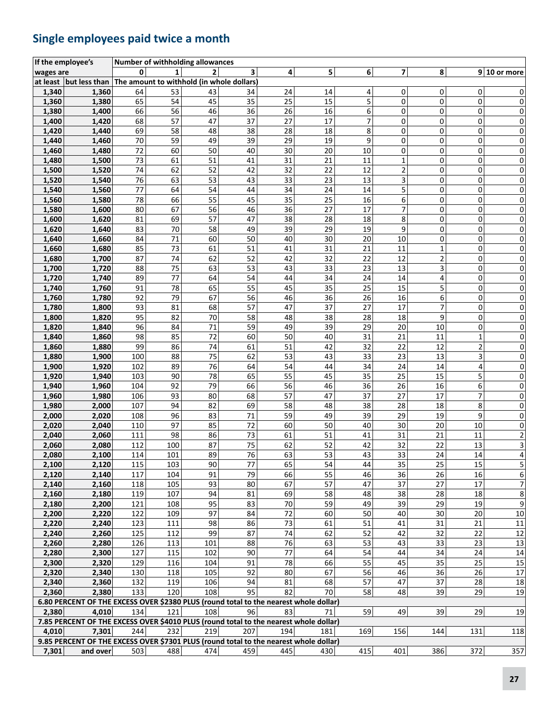### **Single employees paid twice a month**

|           | If the employee's                                                                     |     |              | Number of withholding allowances          |     |     |     |     |                         |                         |                |                         |
|-----------|---------------------------------------------------------------------------------------|-----|--------------|-------------------------------------------|-----|-----|-----|-----|-------------------------|-------------------------|----------------|-------------------------|
| wages are |                                                                                       | 0   | $\mathbf{1}$ | $\overline{2}$                            | 3   | 4   | 5   | 6   | $\overline{\mathbf{z}}$ | 8                       |                | $9 10$ or more          |
|           | at least $ $ but less than                                                            |     |              | The amount to withhold (in whole dollars) |     |     |     |     |                         |                         |                |                         |
| 1,340     | 1,360                                                                                 | 64  | 53           | 43                                        | 34  | 24  | 14  | 4   | 0                       | 0                       | 0              | 0                       |
| 1,360     | 1,380                                                                                 | 65  | 54           | 45                                        | 35  | 25  | 15  | 5   | $\mathbf 0$             | $\mathbf 0$             | 0              | $\pmb{0}$               |
| 1,380     | 1,400                                                                                 | 66  | 56           | 46                                        | 36  | 26  | 16  | 6   | 0                       | 0                       | 0              | $\pmb{0}$               |
| 1,400     | 1,420                                                                                 | 68  | 57           | 47                                        | 37  | 27  | 17  | 7   | 0                       | 0                       | 0              | 0                       |
| 1,420     | 1,440                                                                                 | 69  | 58           | 48                                        | 38  | 28  | 18  | 8   | 0                       | 0                       | $\mathbf 0$    | 0                       |
| 1,440     | 1,460                                                                                 | 70  | 59           | 49                                        | 39  | 29  | 19  | 9   | 0                       | 0                       | 0              | 0                       |
| 1,460     | 1,480                                                                                 | 72  | 60           | 50                                        | 40  | 30  | 20  | 10  | 0                       | 0                       | 0              | 0                       |
| 1,480     | 1,500                                                                                 | 73  | 61           | 51                                        | 41  | 31  | 21  | 11  | $\mathbf 1$             | $\mathsf 0$             | $\mathbf 0$    | $\pmb{0}$               |
| 1,500     | 1,520                                                                                 | 74  | 62           | 52                                        | 42  | 32  | 22  | 12  | $\mathbf 2$             | 0                       | 0              | 0                       |
| 1,520     | 1,540                                                                                 | 76  | 63           | 53                                        | 43  | 33  | 23  | 13  | 3                       | 0                       | 0              | 0                       |
| 1,540     | 1,560                                                                                 | 77  | 64           | 54                                        | 44  | 34  | 24  | 14  | 5                       | 0                       | 0              | 0                       |
| 1,560     | 1,580                                                                                 | 78  | 66           | 55                                        | 45  | 35  | 25  | 16  | 6                       | 0                       | 0              | 0                       |
| 1,580     | 1,600                                                                                 | 80  | 67           | 56                                        | 46  | 36  | 27  | 17  | 7                       | 0                       | 0              | 0                       |
| 1,600     | 1,620                                                                                 | 81  | 69           | 57                                        | 47  | 38  | 28  | 18  | 8                       | 0                       | 0              | 0                       |
| 1,620     | 1,640                                                                                 | 83  | 70           | 58                                        | 49  | 39  | 29  | 19  | 9                       | 0                       | 0              | 0                       |
| 1,640     | 1,660                                                                                 | 84  | 71           | 60                                        | 50  | 40  | 30  | 20  | 10                      | 0                       | 0              | 0                       |
| 1,660     | 1,680                                                                                 | 85  | 73           | 61                                        | 51  | 41  | 31  | 21  | 11                      | $\mathbf 1$             | $\mathbf 0$    | 0                       |
| 1,680     | 1,700                                                                                 | 87  | 74           | 62                                        | 52  | 42  | 32  | 22  | 12                      | $\overline{\mathbf{c}}$ | 0              | 0                       |
| 1,700     | 1,720                                                                                 | 88  | 75           | 63                                        | 53  | 43  | 33  | 23  | 13                      | 3                       | 0              | 0                       |
| 1,720     | 1,740                                                                                 | 89  | 77           | 64                                        | 54  | 44  | 34  | 24  | 14                      | 4                       | 0              | 0                       |
| 1,740     | 1,760                                                                                 | 91  | 78           | 65                                        | 55  | 45  | 35  | 25  | 15                      | 5                       | 0              | 0                       |
| 1,760     | 1,780                                                                                 | 92  | 79           | 67                                        | 56  | 46  | 36  | 26  | 16                      | 6                       | $\mathbf 0$    | 0                       |
| 1,780     | 1,800                                                                                 | 93  | 81           | 68                                        | 57  | 47  | 37  | 27  | 17                      | 7                       | 0              | 0                       |
| 1,800     | 1,820                                                                                 | 95  | 82           | 70                                        | 58  | 48  | 38  | 28  | 18                      | 9                       | 0              | 0                       |
| 1,820     | 1,840                                                                                 | 96  | 84           | 71                                        | 59  | 49  | 39  | 29  | 20                      | 10                      | 0              | 0                       |
| 1,840     | 1,860                                                                                 | 98  | 85           | 72                                        | 60  | 50  | 40  | 31  | 21                      | 11                      | 1              | 0                       |
| 1,860     | 1,880                                                                                 | 99  | 86           | 74                                        | 61  | 51  | 42  | 32  | 22                      | 12                      | $\overline{2}$ | 0                       |
| 1,880     | 1,900                                                                                 | 100 | 88           | 75                                        | 62  | 53  | 43  | 33  | 23                      | 13                      | 3              | 0                       |
| 1,900     | 1,920                                                                                 | 102 | 89           | 76                                        | 64  | 54  | 44  | 34  | 24                      | 14                      | 4              | 0                       |
| 1,920     | 1,940                                                                                 | 103 | 90           | 78                                        | 65  | 55  | 45  | 35  | 25                      | 15                      | 5              | 0                       |
| 1,940     | 1,960                                                                                 | 104 | 92           | 79                                        | 66  | 56  | 46  | 36  | 26                      | 16                      | 6              | 0                       |
| 1,960     | 1,980                                                                                 | 106 | 93           | 80                                        | 68  | 57  | 47  | 37  | 27                      | 17                      | $\overline{7}$ | 0                       |
| 1,980     | 2,000                                                                                 | 107 | 94           | 82                                        | 69  | 58  | 48  | 38  | 28                      | 18                      | 8              | 0                       |
| 2,000     | 2,020                                                                                 | 108 | 96           | 83                                        | 71  | 59  | 49  | 39  | 29                      | 19                      | 9              | 0                       |
| 2,020     | 2,040                                                                                 | 110 | 97           | 85                                        | 72  | 60  | 50  | 40  | 30                      | 20                      | 10             | 0                       |
| 2,040     | 2,060                                                                                 | 111 | 98           | 86                                        | 73  | 61  | 51  | 41  | 31                      | 21                      | 11             | $\overline{\mathbf{c}}$ |
| 2,060     | 2,080                                                                                 | 112 | 100          | 87                                        | 75  | 62  | 52  | 42  | 32                      | 22                      | 13             | 3                       |
| 2,080     | 2,100                                                                                 | 114 | 101          | 89                                        | 76  | 63  | 53  | 43  | 33                      | 24                      | 14             | 4                       |
| 2,100     | 2,120                                                                                 | 115 | 103          | 90                                        | 77  | 65  | 54  | 44  | 35                      | 25                      | 15             | 5                       |
| 2,120     | 2,140                                                                                 | 117 | 104          | 91                                        | 79  | 66  | 55  | 46  | 36                      | 26                      | 16             | 6                       |
| 2,140     | 2,160                                                                                 | 118 | 105          | 93                                        | 80  | 67  | 57  | 47  | 37                      | 27                      | 17             | $\overline{7}$          |
| 2,160     | 2,180                                                                                 | 119 | 107          | 94                                        | 81  | 69  | 58  | 48  | 38                      | 28                      | 18             | 8                       |
| 2,180     | 2,200                                                                                 | 121 | 108          | 95                                        | 83  | 70  | 59  | 49  | 39                      | 29                      | 19             | 9                       |
| 2,200     | 2,220                                                                                 | 122 | 109          | 97                                        | 84  | 72  | 60  | 50  | 40                      | 30                      | 20             | 10                      |
| 2,220     | 2,240                                                                                 | 123 | 111          | 98                                        | 86  | 73  | 61  | 51  | 41                      | 31                      | 21             | 11                      |
| 2,240     | 2,260                                                                                 | 125 | 112          | 99                                        | 87  | 74  | 62  | 52  | 42                      | 32                      | 22             | 12                      |
| 2,260     | 2,280                                                                                 | 126 | 113          | 101                                       | 88  | 76  | 63  | 53  | 43                      | 33                      | 23             | 13                      |
| 2,280     | 2,300                                                                                 | 127 | 115          | 102                                       | 90  | 77  | 64  | 54  | 44                      | 34                      | 24             | 14                      |
| 2,300     | 2,320                                                                                 | 129 | 116          | 104                                       | 91  | 78  | 66  | 55  | 45                      | 35                      | 25             | 15                      |
| 2,320     | 2,340                                                                                 | 130 | 118          | 105                                       | 92  | 80  | 67  | 56  | 46                      | 36                      | 26             | 17                      |
| 2,340     | 2,360                                                                                 | 132 | 119          | 106                                       | 94  | 81  | 68  | 57  | 47                      | 37                      | 28             | 18                      |
| 2,360     | 2,380                                                                                 | 133 | 120          | 108                                       | 95  | 82  | 70  | 58  | 48                      | 39                      | 29             | 19                      |
|           | 6.80 PERCENT OF THE EXCESS OVER \$2380 PLUS (round total to the nearest whole dollar) |     |              |                                           |     |     |     |     |                         |                         |                |                         |
| 2,380     | 4,010                                                                                 | 134 | 121          | 108                                       | 96  | 83  | 71  | 59  | 49                      | 39                      | 29             | 19                      |
|           | 7.85 PERCENT OF THE EXCESS OVER \$4010 PLUS (round total to the nearest whole dollar) |     |              |                                           |     |     |     |     |                         |                         |                |                         |
| 4,010     | 7,301                                                                                 | 244 | 232          | 219                                       | 207 | 194 | 181 | 169 | 156                     | 144                     | 131            | 118                     |
|           | 9.85 PERCENT OF THE EXCESS OVER \$7301 PLUS (round total to the nearest whole dollar) |     |              |                                           |     |     |     |     |                         |                         |                |                         |
| 7,301     | and over                                                                              | 503 | 488          | 474                                       | 459 | 445 | 430 | 415 | 401                     | 386                     | 372            | 357                     |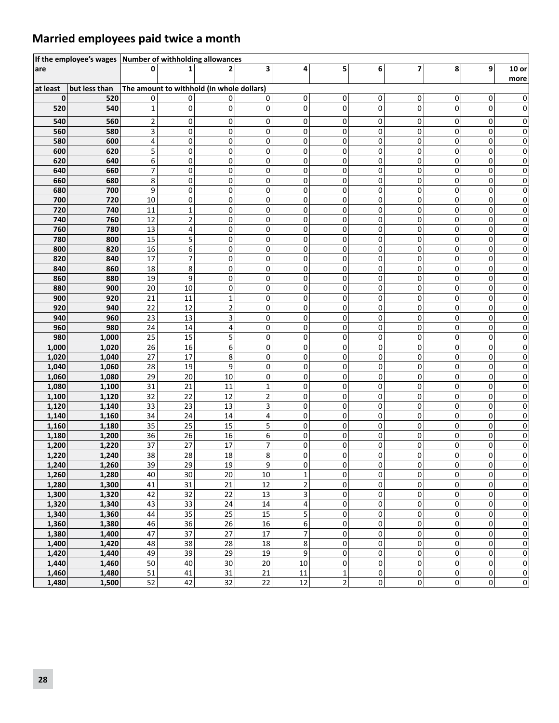### **Married employees paid twice a month**

|                | If the employee's wages Number of withholding allowances |                          |                                           |        |                |                 |             |        |                |                          |              |                 |
|----------------|----------------------------------------------------------|--------------------------|-------------------------------------------|--------|----------------|-----------------|-------------|--------|----------------|--------------------------|--------------|-----------------|
| are            |                                                          | <sup>0</sup>             |                                           |        | 3              | 4               | 5           | 6      | $\overline{7}$ | 8                        | 9            | $10$ or<br>more |
| at least       | but less than                                            |                          | The amount to withhold (in whole dollars) |        |                |                 |             |        |                |                          |              |                 |
| $\mathbf 0$    | 520                                                      | 0                        | 0                                         | 0      | 0              | 0               | 0           | 0      | 0              | 0                        | 0            | 0               |
| 520            | 540                                                      | $\mathbf{1}$             | 0                                         | 0      | $\Omega$       | 0               | 0           | 0      | 0              | $\Omega$                 | 0            | 0               |
| 540            | 560                                                      | $\overline{2}$           | 0                                         | 0      | 0              | 0               | 0           | 0      | 0              | 0                        | 0            | 0               |
| 560            | 580                                                      | 3                        | 0                                         | 0      | 0              | 0               | 0           | 0      | 0              | 0                        | 0            | 0               |
| 580            | 600                                                      | 4                        | 0                                         | 0      | 0              | 0               | $\mathsf 0$ | 0      | 0              | 0                        | 0            | 0               |
| 600            | 620                                                      | 5                        | 0                                         | 0      | 0              | 0               | 0           | 0      | 0              | 0                        | 0            | 0               |
| 620            | 640                                                      | $\boldsymbol{6}$         | 0                                         | 0      | 0              | 0               | 0           | 0      | 0              | 0                        | 0            | 0               |
| 640            | 660                                                      | $\overline{\mathcal{I}}$ | 0                                         | 0      | 0              | 0               | $\pmb{0}$   | 0      | $\mathsf 0$    | 0                        | 0            | 0               |
| 660            | 680                                                      | 8                        | 0                                         | 0      | 0              | 0               | 0           | 0      | 0              | 0                        | 0            | 0               |
| 680            | 700                                                      | 9                        | 0                                         | 0      | 0              | 0               | 0           | 0      | 0              | 0                        | 0            | 0               |
| 700            | 720                                                      | 10                       | 0                                         | 0      | 0              | 0               | 0           | 0      | 0              | 0                        | 0            | 0               |
| 720            | 740                                                      | 11                       | 1                                         | 0      | 0              | 0               | 0           | 0      | 0              | 0                        | 0            | 0               |
| 740            | 760                                                      | 12                       | $\overline{2}$                            | 0      | 0              | 0               | 0           | 0      | 0              | 0                        | 0            | 0               |
| 760            | 780                                                      | 13                       | 4                                         | 0      | $\mathbf 0$    | 0               | 0           | 0      | 0              | 0                        | 0            | 0               |
| 780            | 800                                                      | 15                       | 5                                         | 0      | 0              | 0               | 0           | 0      | 0              | 0                        | 0            | 0               |
| 800            | 820                                                      | 16                       | 6                                         | 0      | 0              | 0               | 0           | 0      | 0              | 0                        | 0            | 0               |
| 820            | 840                                                      | 17                       | 7                                         | 0      | $\pmb{0}$      | 0               | 0           | 0      | 0              | 0                        | 0            | 0               |
| 840            | 860                                                      | 18                       | 8                                         | 0      | 0              | 0               | 0           | 0      | 0              | 0                        | 0            | 0               |
| 860            | 880                                                      | 19                       | 9                                         | 0      | 0              | 0               | 0           | 0      | 0              | 0                        | 0            | 0               |
| 880            | 900                                                      | 20                       | 10                                        | 0      | 0              | 0               | 0           | 0      | 0              | 0                        | 0            | 0               |
| 900            | 920                                                      | 21                       | 11                                        | 1      | 0              | 0               | 0           | 0      | 0              | 0                        | 0            | 0               |
| 920            | 940                                                      | 22                       | 12                                        | 2      | 0              | 0               | 0           | 0      | 0              | 0                        | 0            | 0               |
| 940            | 960                                                      | $\overline{23}$          | 13                                        | 3      | 0              | 0               | 0           | 0      | 0              | 0                        | $\mathbf 0$  | 0               |
| 960            | 980                                                      | 24                       | 14                                        | 4      | 0              | 0               | 0           | 0      | 0              | 0                        | 0            | 0               |
| 980            | 1,000                                                    | 25                       | 15                                        | 5      | 0              | 0               | 0           | 0      | 0              | 0                        | 0            | 0               |
| 1,000          | 1,020                                                    | 26<br>27                 | 16                                        | 6      | $\mathbf 0$    | 0               | 0           | 0      | 0              | 0                        | 0<br>0       | 0               |
| 1,020<br>1,040 | 1,040<br>1,060                                           | 28                       | 17<br>19                                  | 8<br>9 | 0<br>0         | 0<br>0          | 0<br>0      | 0<br>0 | 0<br>0         | 0<br>0                   | 0            | 0               |
| 1,060          | 1,080                                                    | 29                       | 20                                        | 10     | $\mathbf 0$    | 0               | 0           | 0      | 0              | 0                        | $\mathbf{0}$ | 0<br>0          |
| 1,080          | 1,100                                                    | 31                       | 21                                        | 11     | $\mathbf{1}$   | 0               | 0           | 0      | 0              | 0                        | 0            | 0               |
| 1,100          | 1,120                                                    | 32                       | 22                                        | 12     | $\mathbf 2$    | 0               | 0           | 0      | 0              | 0                        | 0            | 0               |
| 1,120          | 1,140                                                    | 33                       | 23                                        | 13     | 3              | 0               | $\pmb{0}$   | 0      | 0              | 0                        | 0            | 0               |
| 1,140          | 1,160                                                    | 34                       | 24                                        | 14     | 4              | 0               | 0           | 0      | 0              | 0                        | 0            | 0               |
| 1,160          | 1,180                                                    | 35                       | 25                                        | 15     | 5              | 0               | 0           | 0      | 0              | 0                        | 0            | 0               |
| 1,180          | 1,200                                                    | 36                       | 26                                        | 16     | 6              | 0               | 0           | 0      | 0              | 0                        | 0            | 0               |
| 1,200          | 1,220                                                    | 37                       | 27                                        | 17     | $\overline{7}$ | 0               | 0           | 0      | 0              | 0                        | 0            | 0               |
| 1,220          | 1,240                                                    | 38                       | 28                                        | 18     | 8              | 0               | 0           | 0      | 0              | 0                        | 0            | 0               |
| 1,240          | 1,260                                                    | 39                       | 29                                        | 19     | 9              | 0               | 0           | 0      | 0              | $\mathsf{O}\hspace{1pt}$ | 0            | 0               |
| 1,260          | 1,280                                                    | 40                       | 30                                        | 20     | $10\,$         | $\mathbf 1$     | 0           | 0      | $\mathbf 0$    | 0                        | 0            | 0               |
| 1,280          | 1,300                                                    | 41                       | 31                                        | 21     | 12             | $\mathbf{2}$    | 0           | 0      | 0              | 0                        | 0            | 0               |
| 1,300          | 1,320                                                    | 42                       | 32                                        | 22     | 13             | 3               | 0           | 0      | $\pmb{0}$      | 0                        | 0            | 0               |
| 1,320          | 1,340                                                    | 43                       | 33                                        | 24     | 14             | $\vert 4 \vert$ | 0           | 0      | $\pmb{0}$      | 0                        | 0            | 0               |
| 1,340          | 1,360                                                    | 44                       | 35                                        | 25     | 15             | 5               | 0           | 0      | $\pmb{0}$      | 0                        | 0            | 0               |
| 1,360          | 1,380                                                    | 46                       | 36                                        | 26     | 16             | 6               | 0           | 0      | $\pmb{0}$      | 0                        | 0            | 0               |
| 1,380          | 1,400                                                    | 47                       | 37                                        | 27     | 17             | 7               | 0           | 0      | 0              | 0                        | 0            | 0               |
| 1,400          | 1,420                                                    | 48                       | 38                                        | 28     | $18\,$         | 8 <sup>1</sup>  | 0           | 0      | $\pmb{0}$      | $\Omega$                 | 0            | 0               |
| 1,420          | 1,440                                                    | 49                       | 39                                        | 29     | 19             | $\mathsf{g}$    | 0           | 0      | 0              | 0                        | 0            | 0               |
| 1,440          | 1,460                                                    | 50                       | 40                                        | 30     | 20             | $10\,$          | 0           | 0      | 0              | 0                        | 0            | 0               |
| 1,460          | 1,480                                                    | 51                       | 41                                        | 31     | 21             | $11\,$          | $\mathbf 1$ | 0      | 0              | $\mathsf 0$              | $\mathbf 0$  | $\bf{0}$        |
| 1,480          | 1,500                                                    | 52                       | 42                                        | 32     | 22             | 12              | $\mathbf 2$ | 0      | 0              | $\mathsf 0$              | 0            | 0               |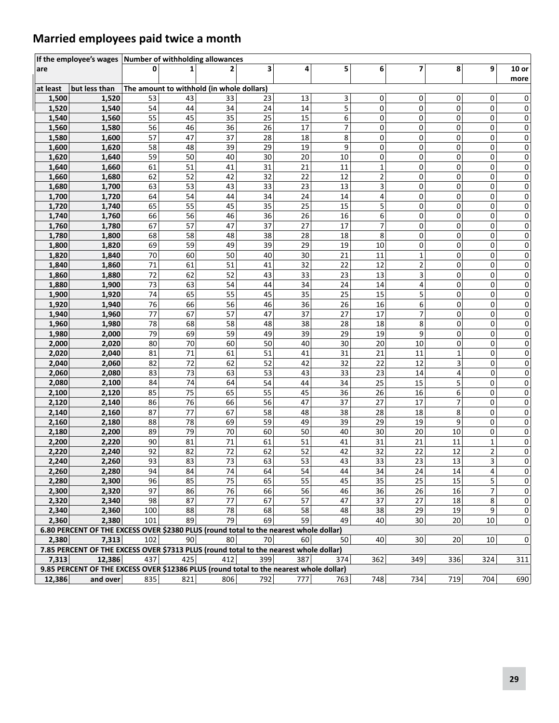### **Married employees paid twice a month**

|                | If the employee's wages Number of withholding allowances                               |          |          |                                           |          |          |          |                |                |          |                 |                 |
|----------------|----------------------------------------------------------------------------------------|----------|----------|-------------------------------------------|----------|----------|----------|----------------|----------------|----------|-----------------|-----------------|
| are            |                                                                                        | $\Omega$ |          |                                           | 3        | 4        | 5        | 6              | $\overline{7}$ | 8        | 9               | $10$ or<br>more |
| at least       | but less than                                                                          |          |          | The amount to withhold (in whole dollars) |          |          |          |                |                |          |                 |                 |
| 1,500          | 1,520                                                                                  | 53       | 43       | 33                                        | 23       | 13       | 3        | 0              | 0              | 0        | 0               | 0               |
| 1,520          | 1,540                                                                                  | 54       | 44       | 34                                        | 24       | 14       | 5        | 0              | 0              | 0        | 0               | 0               |
| 1,540          | 1,560                                                                                  | 55       | 45       | 35                                        | 25       | 15       | 6        | 0              | 0              | 0        | 0               | 0               |
| 1,560          | 1,580                                                                                  | 56       | 46       | 36                                        | 26       | 17       | 7        | 0              | 0              | 0        | 0               | 0               |
| 1,580          | 1,600                                                                                  | 57       | 47       | 37                                        | 28       | 18       | 8        | $\mathbf 0$    | 0              | 0        | 0               | 0               |
| 1,600          | 1,620                                                                                  | 58       | 48       | 39                                        | 29       | 19       | 9        | 0              | 0              | 0        | 0               | 0               |
| 1,620          | 1,640                                                                                  | 59       | 50       | 40                                        | 30       | 20       | 10       | 0              | 0              | 0        | 0               | 0               |
| 1,640          | 1,660                                                                                  | 61       | 51       | 41                                        | 31       | 21       | 11       | 1              | 0              | 0        | 0               | 0               |
| 1,660          | 1,680                                                                                  | 62       | 52       | 42                                        | 32       | 22       | 12       | $\mathbf 2$    | 0              | 0        | 0               | 0               |
| 1,680          | 1,700                                                                                  | 63       | 53       | 43                                        | 33       | 23       | 13       | 3              | 0              | 0        | 0               | 0               |
| 1,700          | 1,720                                                                                  | 64       | 54       | 44                                        | 34       | 24       | 14       | 4              | 0              | 0        | 0               | 0               |
| 1,720          | 1,740                                                                                  | 65       | 55       | 45                                        | 35       | 25       | 15       | 5              | 0              | 0        | 0               | 0               |
| 1,740          | 1,760                                                                                  | 66       | 56       | 46                                        | 36       | 26       | 16       | 6              | 0              | 0        | 0               | 0               |
| 1,760          | 1,780                                                                                  | 67       | 57       | 47                                        | 37       | 27       | 17       | $\overline{7}$ | 0              | 0        | 0               | 0               |
| 1,780          | 1,800                                                                                  | 68       | 58       | 48                                        | 38       | 28       | 18       | 8              | 0              | 0        | 0               | 0               |
| 1,800          | 1,820                                                                                  | 69       | 59       | 49                                        | 39       | 29       | 19       | 10             | 0              | 0        | 0               | 0               |
| 1,820          | 1,840                                                                                  | $70\,$   | 60       | 50                                        | 40       | 30       | 21       | 11             | $\mathbf 1$    | 0        | 0               | 0               |
| 1,840          | 1,860                                                                                  | 71       | 61       | 51                                        | 41       | 32       | 22       | 12             | $\mathbf 2$    | 0        | 0               | 0               |
| 1,860          | 1,880                                                                                  | 72       | 62       | 52                                        | 43       | 33       | 23       | 13             | 3              | 0        | 0               | 0               |
| 1,880          | 1,900                                                                                  | 73       | 63       | 54                                        | 44       | 34       | 24       | 14             | 4              | 0        | 0               | 0               |
| 1,900          | 1,920                                                                                  | 74       | 65       | 55                                        | 45       | 35       | 25       | 15             | 5              | 0        | 0               | 0               |
| 1,920          | 1,940                                                                                  | 76       | 66       | 56                                        | 46       | 36       | 26       | 16             | 6              | 0        | 0               | 0               |
| 1,940          | 1,960                                                                                  | 77       | 67       | 57                                        | 47       | 37       | 27       | 17             | $\overline{7}$ | 0        | 0               | 0               |
| 1,960          | 1,980                                                                                  | 78       | 68       | 58                                        | 48       | 38       | 28       | 18             | 8              | 0        | 0               | 0               |
| 1,980          | 2,000                                                                                  | 79       | 69       | 59                                        | 49       | 39       | 29       | 19             | 9              | 0        | 0               | 0               |
| 2,000          | 2,020                                                                                  | 80       | 70       | 60                                        | 50       | 40       | 30       | 20             | 10             | 0        | 0               | 0               |
| 2,020          | 2,040                                                                                  | 81       | 71       | 61                                        | 51       | 41       | 31       | 21             | 11             | 1        | 0               | 0               |
| 2,040          | 2,060                                                                                  | 82       | 72       | 62                                        | 52       | 42       | 32       | 22             | 12             |          | 0               | 0               |
| 2,060          | 2,080                                                                                  | 83       | 73       | 63                                        | 53       | 43       | 33       | 23             | 14             | 4        | 0               | 0               |
| 2,080          | 2,100                                                                                  | 84       | 74       | 64                                        | 54       | 44       | 34       | 25             | 15             | 5        | 0               | 0               |
| 2,100          | 2,120                                                                                  | 85       | 75       | 65                                        | 55       | 45       | 36       | 26             | 16             | 6        | 0               | 0               |
| 2,120          | 2,140                                                                                  | 86       | 76       | 66                                        | 56       | 47       | 37       | 27             | 17             | 7        | 0               | 0               |
| 2,140          | 2,160                                                                                  | 87       | 77       | 67                                        | 58       | 48       | 38       | 28             | 18             | 8        | 0               | 0               |
| 2,160          | 2,180                                                                                  | 88       | 78       | 69                                        | 59       | 49       | 39       | 29             | 19             | 9        | 0               | 0               |
| 2,180          | 2,200                                                                                  | 89       | 79       | 70                                        | 60       | 50       | 40       | 30             | 20             | 10       | 0               | 0               |
| 2,200          | 2,220                                                                                  | 90       | 81       | 71                                        | 61       | 51       | 41       | 31             | 21             | 11       | 1               | 0               |
| 2,220          | 2,240                                                                                  | 92       | 82       | 72                                        | 62       | 52       | 42       | 32             | 22             | 12       | 2               | 0               |
| 2,240          | 2,260                                                                                  | 93       | 83       | 73                                        | 63       | 53       | 43       | 33             | 23             | 13       | 3               | 0               |
| 2,260<br>2,280 | 2,280<br>2,300                                                                         | 94<br>96 | 84<br>85 | 74<br>75                                  | 64<br>65 | 54<br>55 | 44<br>45 | 34<br>35       | 24<br>25       | 14<br>15 | 4<br>5          | 0<br>0          |
| 2,300          | 2,320                                                                                  | 97       | 86       | 76                                        | 66       | 56       | 46       | 36             | 26             | 16       | 7               | 0               |
| 2,320          | 2,340                                                                                  | 98       | 87       | 77                                        | 67       | 57       | 47       | 37             | 27             | 18       | 8               | 0               |
| 2,340          | 2,360                                                                                  | 100      | 88       | 78                                        | 68       | 58       | 48       | 38             | 29             | 19       | 9               | 0               |
| 2,360          | 2,380                                                                                  | 101      | 89       | 79                                        | 69       | 59       | 49       | 40             | 30             | 20       | 10              | $\pmb{0}$       |
|                | 6.80 PERCENT OF THE EXCESS OVER \$2380 PLUS (round total to the nearest whole dollar)  |          |          |                                           |          |          |          |                |                |          |                 |                 |
| 2,380          | 7,313                                                                                  | 102      | 90       | 80                                        | 70       | 60       | 50       | 40             | 30             | 20       | 10 <sup>1</sup> | 0               |
|                | 7.85 PERCENT OF THE EXCESS OVER \$7313 PLUS (round total to the nearest whole dollar)  |          |          |                                           |          |          |          |                |                |          |                 |                 |
| 7,313          | 12,386                                                                                 | 437      | 425      | 412                                       | 399      | 387      | 374      | 362            | 349            | 336      | 324             | 311             |
|                | 9.85 PERCENT OF THE EXCESS OVER \$12386 PLUS (round total to the nearest whole dollar) |          |          |                                           |          |          |          |                |                |          |                 |                 |
| 12,386         | and over                                                                               | 835      | 821      | 806                                       | 792      | 777      | 763      | 748            | 734            | 719      | 704             | 690             |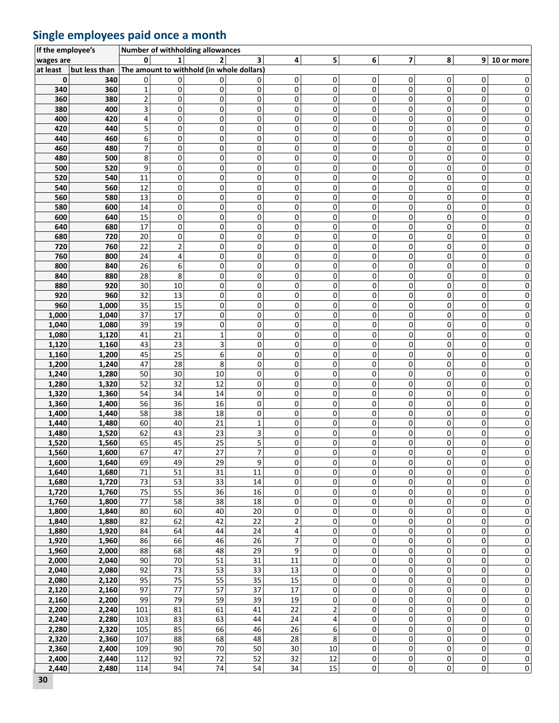### **Single employees paid once a month**

| If the employee's |               |                |                 | Number of withholding allowances          |              |                 |                         |             |                         |                     |             |                         |
|-------------------|---------------|----------------|-----------------|-------------------------------------------|--------------|-----------------|-------------------------|-------------|-------------------------|---------------------|-------------|-------------------------|
| wages are         |               |                |                 | $\overline{2}$                            | 3            | 4               | 5 <sup>1</sup>          | 6           | $\overline{\mathbf{z}}$ | 8                   |             | $9 10$ or more          |
| at least          | but less than |                |                 | The amount to withhold (in whole dollars) |              |                 |                         |             |                         |                     |             |                         |
| 0                 | 340           | 0              | 0               | 0                                         | 0            | 0               | 0                       | 0           | 0                       | 0                   | 0           | 0                       |
| 340               | 360           | $\mathbf{1}$   | 0               | 0                                         | 0            | 0               | 0                       | $\mathbf 0$ | 0                       | $\mathbf 0$         | $\mathbf 0$ | 0                       |
| 360               | 380           | $\overline{2}$ | 0               | 0                                         | 0            | 0               | 0                       | 0           | 0                       | 0                   | 0           | 0                       |
| 380               | 400           | 3              | 0               | 0                                         | 0            | 0               | 0                       | 0           | 0                       | 0                   | 0           | 0                       |
| 400               | 420           | 4              | 0               | 0                                         | 0            | 0               | 0                       | 0           | 0                       | 0                   | 0           | 0                       |
| 420               | 440           | 5              | 0               | 0                                         | 0            | 0               | 0                       | 0           | 0                       | 0                   | 0           | 0                       |
| 440               | 460           | 6              | 0               | $\mathsf 0$                               | $\mathsf 0$  | 0               | $\mathsf 0$             | 0           | 0                       | $\mathbf 0$         | 0           | 0                       |
| 460               | 480           | 7              | 0               | $\mathsf 0$                               | 0            | 0               | 0                       | 0           | $\mathbf 0$             | $\mathbf 0$         | 0           | 0                       |
| 480               | 500           | 8              | 0               | 0                                         | 0            | 0               | 0                       | 0           | 0                       | 0                   | 0           | 0                       |
| 500               | 520           | 9              | 0               | 0                                         | 0            | 0               | 0                       | 0           | 0                       | 0                   | 0           | 0                       |
| 520               | 540           | 11             | 0               | $\pmb{0}$                                 | 0            | $\mathsf 0$     | 0                       | 0           | 0                       | $\mathbf 0$         | 0           | 0                       |
| 540               | 560           | 12             | 0               | $\pmb{0}$                                 | 0            | 0               | 0                       | 0           | 0                       | 0                   | 0           | 0                       |
| 560               | 580           | 13             | 0               | $\pmb{0}$                                 | 0            | 0               | 0                       | 0           | 0                       | $\mathbf 0$         | 0           | 0                       |
| 580               | 600           | 14             | 0               | $\pmb{0}$                                 | 0            | 0               | 0                       | 0           | 0                       | 0                   | 0           | 0                       |
| 600               | 640           | 15             | 0               | 0                                         | 0            | 0               | 0                       | 0           | 0                       | 0                   | 0           | 0                       |
| 640               | 680           | 17             | 0               | 0                                         | 0            | 0               | 0                       | 0           | 0                       | 0                   | 0           | 0                       |
| 680               | 720           | $20\,$         | 0               | $\pmb{0}$                                 | 0            | 0               | 0                       | 0           | 0                       | 0                   | 0           | 0                       |
| 720               | 760           | 22             | $\overline{2}$  | $\pmb{0}$                                 | 0            | $\mathsf 0$     | 0                       | 0           | 0                       | 0                   | 0           | 0                       |
| 760               | 800           | 24             | 4               | $\pmb{0}$                                 | 0            | 0               | $\mathbf 0$             | 0           | 0                       | $\mathsf 0$         | 0           | 0                       |
| 800               | 840           | 26             | 6               | 0                                         | 0            | $\mathbf 0$     | $\mathbf 0$             | 0           | 0                       | 0                   | 0           | 0                       |
| 840               | 880           | 28             | 8               | $\pmb{0}$                                 | 0            | 0               | $\mathbf 0$             | 0           | 0                       | 0                   | 0           | 0                       |
| 880               | 920           | 30             | 10              | $\pmb{0}$                                 | 0            | 0               | $\mathbf 0$             | 0           | 0                       | 0                   | 0           | 0                       |
| 920               | 960           | 32             | 13              | $\mathbf 0$                               | 0            | 0               | $\mathbf 0$             | $\Omega$    | 0                       | 0                   | 0           | 0                       |
| 960               | 1,000         | 35             | 15              | 0                                         | 0            | 0               | 0                       | 0           | 0                       | 0                   | 0           | 0                       |
| 1,000             | 1,040         | 37             | 17              | 0                                         | 0            | 0               | 0                       | 0           | 0                       | 0                   | 0           | 0                       |
| 1,040             | 1,080         | 39             | 19              | $\pmb{0}$                                 | 0            | $\mathbf 0$     | $\mathbf 0$             | 0           | 0                       | $\mathbf 0$         | 0           | 0                       |
| 1,080             | 1,120         | 41             | 21              | $\mathbf 1$                               | 0            | 0               | $\mathbf 0$             | 0           | 0                       | $\mathbf 0$         | 0           | 0                       |
| 1,120             | 1,160         | 43             | 23              | 3                                         | 0            | 0               | 0                       | 0           | 0                       | $\mathsf 0$         | 0           | 0                       |
| 1,160             | 1,200         | 45             | 25              | 6                                         | 0            | 0               | $\Omega$                | 0           | 0                       | 0                   | 0           | 0                       |
| 1,200             | 1,240         | 47             | 28              | 8                                         | 0            | 0               | 0                       | 0           | 0                       | 0                   | 0           | 0                       |
| 1,240             | 1,280         | 50             | 30              | 10                                        | 0            | 0               | 0                       | 0           | $\mathbf 0$             | $\mathbf 0$         | 0           | 0                       |
| 1,280             | 1,320         | 52             | 32              | 12                                        | $\mathbf 0$  | 0               | 0                       | $\mathbf 0$ | $\mathbf 0$             | $\mathbf 0$         | $\mathbf 0$ | 0                       |
| 1,320             | 1,360         | 54             | 34              | 14                                        | 0            | 0               | 0                       | 0           | 0                       | 0                   | 0           | 0                       |
| 1,360             | 1,400         | 56             | 36              | 16                                        | 0            | 0               | 0                       | 0           | 0                       | 0                   | 0           | 0                       |
| 1,400             | 1,440         | 58             | 38              | 18                                        | 0            | 0               | 0                       | 0           | 0                       | 0                   | 0           | 0                       |
| 1,440             | 1,480         | 60             | 40              | 21                                        | $\mathbf{1}$ | 0               | 0                       | 0           | 0                       | 0                   | 0           | 0                       |
| 1,480             | 1,520         | 62             | 43              | 23                                        | 3            | 0               | 0                       | $\mathbf 0$ | 0                       | $\mathbf 0$         | 0           | 0                       |
| 1,520             | 1,560         | 65             | 45              | 25                                        | 5            | 0               | 0                       | 0           | 0                       | 0                   | 0           | $\mathbf 0$             |
| 1,560             | 1,600         | 67             | 47              | 27                                        | 7            | 0               | 0                       | 0           | $\Omega$                | $\Omega$            | 0           | 0                       |
| 1,600             | 1,640         | 69             | 49              | 29                                        | 9            | 0               | 0                       | 0           | 0                       | 0                   | 0           | 0                       |
| 1,640             | 1,680         | 71             | 51              | 31                                        | 11           | 0               | 0                       | 0           | 0                       | $\pmb{0}$           | $\pmb{0}$   | $\mathbf 0$             |
| 1,680             | 1,720         | 73             | 53              | $\overline{33}$                           | 14           | 0               | 0                       | 0           | 0                       | 0                   | 0           | $\mathbf 0$             |
| 1,720             | 1,760         | 75             | 55              | 36                                        | 16           | 0               | 0                       | 0           | 0                       | 0                   | 0           | 0                       |
| 1,760             | 1,800         | 77             | 58              | 38                                        | 18           | 0               | 0                       | 0           | 0                       | 0                   | 0           | $\mathbf 0$             |
| 1,800             | 1,840         | 80             | 60              | 40                                        | $20\,$       | 0               | 0                       | 0           | 0                       | $\pmb{0}$           | 0           | $\pmb{0}$               |
| 1,840             | 1,880         | 82             | 62              | 42                                        | 22           | $\overline{2}$  | 0                       | 0           | 0                       | 0                   | 0           | 0                       |
| 1,880             | 1,920         | 84             | 64              | 44                                        | 24           | 4               | 0                       | 0           | 0                       | 0                   | 0           | $\mathbf 0$             |
| 1,920             | 1,960         | 86             | 66              | 46                                        | 26           | 7               | 0                       | 0           | 0                       | 0                   | 0           | $\pmb{0}$               |
| 1,960             | 2,000         | 88             | 68              | 48                                        | 29           | 9               | 0                       | 0           | 0                       | 0                   | 0           | $\pmb{0}$               |
| 2,000             | 2,040         | 90             | $\overline{70}$ | 51                                        | 31           | 11              | 0                       | 0           | $\pmb{0}$               | $\pmb{0}$           | $\pmb{0}$   | $\mathbf 0$             |
| 2,040             | 2,080         | 92             | $\overline{73}$ | $\overline{53}$                           | 33           | 13              | 0                       | 0           | 0                       | $\pmb{0}$           | 0           | $\mathbf 0$             |
| 2,080             | 2,120         | 95             | 75              | 55                                        | 35           | 15              | 0                       | 0           | 0                       | 0                   | 0           | $\mathbf 0$             |
| 2,120             | 2,160         | 97             | 77              | 57                                        | 37           | 17              | 0                       | 0           | 0                       | 0                   | 0           | 0                       |
| 2,160             | 2,200         | 99             | 79              | 59                                        | 39           | 19              | 0                       | 0           | 0                       | $\pmb{0}$           | $\mathsf 0$ | $\pmb{0}$               |
| 2,200             | 2,240         | 101            | 81              | 61                                        | 41           | 22              | $\overline{2}$          | 0           | 0                       | $\pmb{0}$           | $\mathsf 0$ | $\mathbf 0$             |
| 2,240             | 2,280         | 103            | 83              | 63                                        | 44           | 24              | $\overline{\mathbf{4}}$ | 0           | $\pmb{0}$               | $\mathbf 0$         | $\pmb{0}$   | 0                       |
| 2,280             | 2,320         | 105            | 85              | 66                                        | 46           | 26              | 6                       | 0           | 0                       | 0                   | 0           | 0                       |
| 2,320             | 2,360         | 107            | 88              | 68                                        | 48           | 28              | 8                       | 0           | 0                       | 0                   | 0           | 0                       |
| 2,360             | 2,400         | 109            | 90              | 70                                        | 50           | 30              | 10                      | 0           | 0                       | $\mathsf{O}\xspace$ | $\pmb{0}$   | $\pmb{0}$               |
| 2,400             | 2,440         | 112            | 92              | $\overline{72}$                           | 52           | $\overline{32}$ | $\overline{12}$         | 0           | 0                       | 0                   | 0           | $\overline{0}$          |
| 2,440             |               |                | 94              | 74                                        | 54           | 34              | $\overline{15}$         | 0           | 0                       | $\mathbf 0$         | $\pmb{0}$   | $\overline{\mathbf{0}}$ |
|                   | 2,480         | 114            |                 |                                           |              |                 |                         |             |                         |                     |             |                         |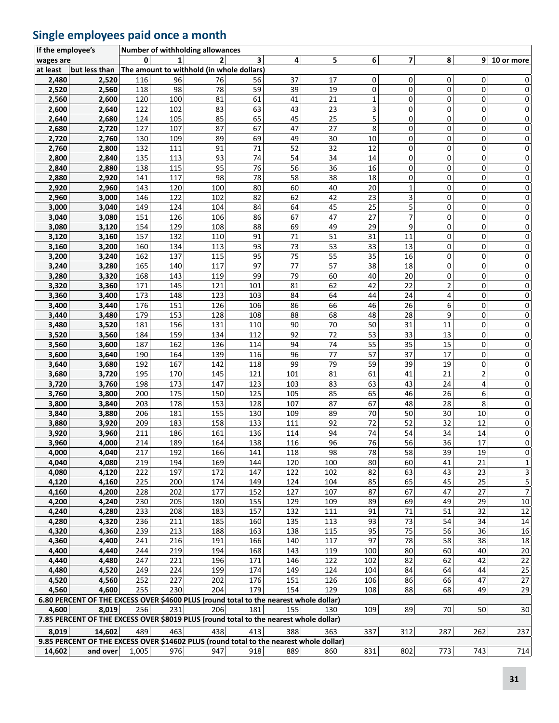### **Single employees paid once a month**

| If the employee's |                                                                                        |            |            | Number of withholding allowances          |            |            |                 |             |             |                |                |                        |
|-------------------|----------------------------------------------------------------------------------------|------------|------------|-------------------------------------------|------------|------------|-----------------|-------------|-------------|----------------|----------------|------------------------|
| wages are         |                                                                                        | 0          | 1          | 2                                         | 3          | 4          | 5               | $6 \mid$    | 7           | 8              |                | $9 10$ or more         |
| at least          | but less than                                                                          |            |            | The amount to withhold (in whole dollars) |            |            |                 |             |             |                |                |                        |
| 2,480             | 2,520                                                                                  | 116        | 96         | 76                                        | 56         | 37         | 17              | 0           | 0           | 0              | 0              | 0                      |
| 2,520             | 2,560                                                                                  | 118        | 98         | 78                                        | 59         | 39         | 19              | 0           | 0           | 0              | $\mathbf 0$    | $\mathbf 0$            |
| 2,560             | 2,600                                                                                  | 120        | 100        | 81                                        | 61         | 41         | 21              | $\mathbf 1$ | 0           | $\mathbf 0$    | 0              | 0                      |
| 2,600             | 2,640                                                                                  | 122        | 102        | 83                                        | 63         | 43         | 23              | 3           | 0           | 0              | 0              | $\pmb{0}$              |
| 2,640             | 2,680                                                                                  | 124        | 105        | 85                                        | 65         | 45         | 25              | 5           | 0           | 0              | 0              | $\pmb{0}$              |
| 2,680             | 2,720                                                                                  | 127        | 107        | 87                                        | 67         | 47         | 27              | 8           | 0           | 0              | 0              | 0                      |
| 2,720             | 2,760                                                                                  | 130        | 109        | 89                                        | 69         | 49         | 30              | $10\,$      | 0           | 0              | 0              | $\pmb{0}$              |
| 2,760             | 2,800                                                                                  | 132        | 111        | 91                                        | 71         | 52         | 32              | 12          | 0           | 0              | 0              | 0                      |
| 2,800             | 2,840                                                                                  | 135        | 113        | 93                                        | 74         | 54         | 34              | 14          | 0           | 0              | 0              | 0                      |
| 2,840             | 2,880                                                                                  | 138        | 115        | 95                                        | 76         | 56         | 36              | 16          | 0           | 0              | 0              | 0                      |
| 2,880             | 2,920                                                                                  | 141        | 117        | 98                                        | 78         | 58         | 38              | 18          | 0           | 0              | 0              | $\pmb{0}$              |
| 2,920             | 2,960                                                                                  | 143        | 120        | 100                                       | 80         | 60         | 40              | 20          | $\mathbf 1$ | 0              | 0              | 0                      |
| 2,960             | 3,000                                                                                  | 146        | 122        | 102                                       | 82         | 62         | 42              | 23          | 3           | 0              | 0              | 0                      |
| 3,000             | 3,040                                                                                  | 149        | 124        | 104                                       | 84         | 64         | 45              | 25          | 5           | 0              | 0              | $\pmb{0}$              |
| 3,040             | 3,080                                                                                  | 151        | 126        | 106                                       | 86         | 67         | 47              | 27          | 7           | 0              | 0              | 0                      |
| 3,080             | 3,120                                                                                  | 154        | 129        | 108                                       | 88         | 69         | 49              | 29          | 9           | 0              | 0              | 0                      |
| 3,120             | 3,160                                                                                  | 157        | 132        | 110                                       | 91         | 71         | 51              | 31          | 11          | 0              | 0              | 0                      |
| 3,160             | 3,200                                                                                  | 160        | 134        | 113                                       | 93         | 73         | 53              | 33          | 13          | 0              | 0              | 0                      |
| 3,200             | 3,240                                                                                  | 162        | 137        | 115                                       | 95         | 75         | 55              | 35          | 16          | 0              | 0              | 0                      |
| 3,240             | 3,280                                                                                  | 165        | 140        | 117                                       | 97         | 77         | 57              | 38          | 18          | 0              | 0              | 0                      |
| 3,280             | 3,320                                                                                  | 168        | 143        | 119                                       | 99         | 79         | 60              | 40          | 20          | 0              | 0              | 0                      |
| 3,320             | 3,360                                                                                  | 171        | 145        | 121                                       | 101        | 81         | 62              | 42          | 22          | $\overline{2}$ | 0              | 0                      |
| 3,360             | 3,400                                                                                  | 173        | 148        | 123                                       | 103        | 84         | 64              | 44          | 24          | 4              | 0              | 0                      |
| 3,400             | 3,440                                                                                  | 176        | 151        | 126                                       | 106        | 86         | 66              | 46          | 26          | 6              | 0              | $\pmb{0}$              |
| 3,440             | 3,480                                                                                  | 179        | 153        | 128                                       | 108        | 88         | 68              | 48          | 28          | 9              | 0              | 0                      |
| 3,480             | 3,520                                                                                  | 181        | 156        | 131                                       | 110        | 90         | 70              | 50          | 31          | 11             | 0              | $\mathbf 0$            |
| 3,520             | 3,560                                                                                  | 184        | 159        | 134                                       | 112        | 92         | $\overline{72}$ | 53          | 33          | 13             | 0              | 0                      |
| 3,560             | 3,600                                                                                  | 187        | 162        | 136                                       | 114        | 94         | 74              | 55          | 35          | 15             | 0              | $\pmb{0}$              |
| 3,600             | 3,640                                                                                  | 190        | 164        | 139                                       | 116        | 96         | 77              | 57          | 37          | 17             | 0              | 0                      |
| 3,640             | 3,680                                                                                  | 192        | 167        | 142                                       | 118        | 99         | 79              | 59          | 39          | 19             | 0              | $\pmb{0}$              |
| 3,680             | 3,720                                                                                  | 195        | 170        | 145                                       | 121        | 101        | 81              | 61          | 41          | 21             | $\overline{c}$ | $\mathbf 0$            |
| 3,720             | 3,760                                                                                  | 198        | 173        | 147                                       | 123        | 103        | 83              | 63          | 43          | 24             | 4              | $\mathbf 0$            |
| 3,760             | 3,800                                                                                  | 200        | 175        | 150                                       | 125        | 105        | 85              | 65          | 46          | 26             | 6              | 0                      |
| 3,800             | 3,840                                                                                  | 203        | 178        | 153                                       | 128        | 107        | 87              | 67          | 48          | 28             | 8              | 0                      |
| 3,840             | 3,880                                                                                  | 206        | 181        | 155                                       | 130        | 109        | 89<br>92        | 70<br>72    | 50          | 30             | 10             | $\pmb{0}$              |
| 3,880             | 3,920                                                                                  | 209        | 183<br>186 | 158<br>161                                | 133        | 111<br>114 | 94              | 74          | 52<br>54    | 32<br>34       | 12<br>14       | 0                      |
| 3,920<br>3,960    | 3,960<br>4,000                                                                         | 211<br>214 | 189        | 164                                       | 136<br>138 | 116        | 96              | 76          | 56          | 36             | 17             | $\pmb{0}$<br>$\pmb{0}$ |
| 4,000             | 4,040                                                                                  | 217        | 192        | 166                                       | 141        | 118        | 98              | 78          | 58          | 39             | 19             | $\mathbf 0$            |
| 4,040             | 4,080                                                                                  | 219        | 194        | 169                                       | 144        | 120        | 100             | 80          | 60          | 41             | 21             | $\mathbf 1$            |
| 4,080             | 4,120                                                                                  | 222        | 197        | 172                                       | 147        | 122        | 102             | 82          | 63          | 43             | 23             | $\overline{3}$         |
| 4,120             | 4,160                                                                                  | 225        | 200        | 174                                       | 149        | 124        | 104             | 85          | 65          | 45             | 25             | $\overline{5}$         |
| 4,160             | 4,200                                                                                  | 228        | 202        | 177                                       | 152        | 127        | 107             | 87          | 67          | 47             | 27             | $\overline{7}$         |
| 4,200             | 4,240                                                                                  | 230        | 205        | 180                                       | 155        | 129        | 109             | 89          | 69          | 49             | 29             | 10                     |
| 4,240             | 4,280                                                                                  | 233        | 208        | 183                                       | 157        | 132        | 111             | 91          | 71          | 51             | 32             | 12                     |
| 4,280             | 4,320                                                                                  | 236        | 211        | 185                                       | 160        | 135        | 113             | 93          | 73          | 54             | 34             | 14                     |
| 4,320             | 4,360                                                                                  | 239        | 213        | 188                                       | 163        | 138        | 115             | 95          | 75          | 56             | 36             | 16                     |
| 4,360             | 4,400                                                                                  | 241        | 216        | 191                                       | 166        | 140        | 117             | 97          | 78          | 58             | 38             | 18                     |
| 4,400             | 4,440                                                                                  | 244        | 219        | 194                                       | 168        | 143        | 119             | 100         | 80          | 60             | 40             | 20                     |
| 4,440             | 4,480                                                                                  | 247        | 221        | 196                                       | 171        | 146        | 122             | 102         | 82          | 62             | 42             | 22                     |
| 4,480             | 4,520                                                                                  | 249        | 224        | 199                                       | 174        | 149        | 124             | 104         | 84          | 64             | 44             | 25                     |
| 4,520             | 4,560                                                                                  | 252        | 227        | 202                                       | 176        | 151        | 126             | 106         | 86          | 66             | 47             | 27                     |
| 4,560             | 4,600                                                                                  | 255        | 230        | 204                                       | 179        | 154        | 129             | 108         | 88          | 68             | 49             | 29                     |
|                   | 6.80 PERCENT OF THE EXCESS OVER \$4600 PLUS (round total to the nearest whole dollar)  |            |            |                                           |            |            |                 |             |             |                |                |                        |
| 4,600             | 8,019                                                                                  | 256        | 231        | 206                                       | 181        | 155        | 130             | 109         | 89          | 70             | 50             | 30                     |
|                   | 7.85 PERCENT OF THE EXCESS OVER \$8019 PLUS (round total to the nearest whole dollar)  |            |            |                                           |            |            |                 |             |             |                |                |                        |
| 8,019             | 14,602                                                                                 | 489        | 463        | 438                                       | 413        | 388        | 363             | 337         | 312         | 287            | 262            | 237                    |
|                   | 9.85 PERCENT OF THE EXCESS OVER \$14602 PLUS (round total to the nearest whole dollar) |            |            |                                           |            |            |                 |             |             |                |                |                        |
| 14,602            | and over                                                                               | 1,005      | 976        | 947                                       | 918        | 889        | 860             | 831         | 802         | 773            | 743            | 714                    |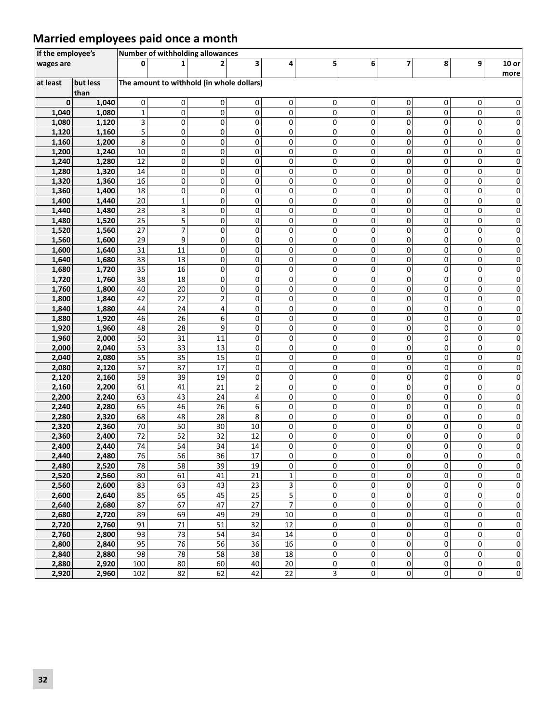### **Married employees paid once a month**

| If the employee's |                  |             | Number of withholding allowances          |                         |                            |           |        |           |                |                |           |                       |
|-------------------|------------------|-------------|-------------------------------------------|-------------------------|----------------------------|-----------|--------|-----------|----------------|----------------|-----------|-----------------------|
| wages are         |                  | ŋ           | 1                                         | 2                       | 3                          | 4         | 5      | 6         | $\overline{7}$ | 8              | 9         | $10$ or<br>more       |
| at least          | but less<br>than |             | The amount to withhold (in whole dollars) |                         |                            |           |        |           |                |                |           |                       |
| 0                 | 1,040            | 0           | 0                                         | 0                       | 0                          | 0         | 0      | 0         | 0              | 0              | 0         | 0                     |
| 1,040             | 1,080            | $\mathbf 1$ | 0                                         | $\pmb{0}$               | $\overline{0}$             | 0         | 0      | 0         | $\mathbf 0$    | 0              | 0         | 0                     |
| 1,080             | 1,120            | 3           | 0                                         | 0                       | $\overline{0}$             | 0         | 0      | 0         | 0              | 0              | 0         | 0                     |
| 1,120             | 1,160            | 5           | 0                                         | 0                       | 0                          | 0         | 0      | 0         | 0              | 0              | 0         | 0                     |
| 1,160             | 1,200            | 8           | $\pmb{0}$                                 | 0                       | $\pmb{0}$                  | $\pmb{0}$ | 0      | 0         | 0              | 0              | 0         | $\pmb{0}$             |
| 1,200             | 1,240            | 10          | $\pmb{0}$                                 | 0                       | $\pmb{0}$                  | 0         | 0      | 0         | $\Omega$       | $\overline{0}$ | 0         | 0                     |
| 1,240             | 1,280            | 12          | 0                                         | 0                       | $\mathbf{0}$               | 0         | 0      | 0         | 0              | 0              | 0         | 0                     |
| 1,280             | 1,320            | 14          | 0                                         | 0                       | $\mathbf{0}$               | 0         | 0      | 0         | 0              | 0              | 0         | 0                     |
| 1,320             | 1,360            | 16          | 0                                         | 0                       | 0                          | 0         | 0      | 0         | 0              | 0              | 0         | 0                     |
| 1,360             | 1,400            | 18          | $\mathbf 0$                               | 0                       | $\overline{0}$             | 0         | 0      | 0         | 0              | 0              | 0         | 0                     |
| 1,400             | 1,440            | 20          | $\mathbf 1$                               | 0                       | $\pmb{0}$                  | 0         | 0      | 0         | 0              | 0              | 0         | 0                     |
| 1,440             | 1,480            | 23          | 3                                         | 0                       | 0                          | 0         | 0      | 0         | 0              | 0              | 0         | 0                     |
| 1,480             | 1,520            | 25          | 5                                         | 0                       | 0                          | 0         | 0      | 0         | 0              | 0              | 0         | 0                     |
| 1,520             | 1,560            | 27          | $\overline{\phantom{a}}$                  | 0                       | 0                          | 0         | 0      | 0         | 0              | 0              | 0         | 0                     |
| 1,560             | 1,600            | 29          | 9                                         | 0                       | $\overline{0}$             | 0         | 0      | 0         | 0              | 0              | 0         | 0                     |
| 1,600             | 1,640            | 31          | 11                                        | 0                       | 0                          | 0         | 0      | 0         | 0              | 0              | 0         | 0                     |
| 1,640             | 1,680            | 33          | 13                                        | 0                       | $\sigma$                   | 0         | 0      | 0         | 0              | 0              | 0         | 0                     |
| 1,680             | 1,720            | 35          | 16                                        | 0                       | 0                          | 0         | 0      | 0         | 0              | 0              | 0         | 0                     |
| 1,720             | 1,760            | 38          | 18                                        | 0                       | $\overline{0}$             | 0         | 0      | 0         | 0              | 0              | 0         | 0                     |
| 1,760             | 1,800            | 40          | 20                                        | 0                       | $\overline{0}$             | 0         | 0      | 0         | 0              | 0              | 0         | 0                     |
| 1,800             | 1,840            | 42          | 22                                        | $\overline{\mathbf{c}}$ | $\overline{0}$             | 0         | 0      | 0         | 0              | 0              | 0         | 0                     |
| 1,840             | 1,880            | 44          | 24                                        | 4                       | $\overline{0}$             | 0         | 0      | 0         | 0              | 0              | 0         | 0                     |
| 1,880             | 1,920            | 46          | 26                                        | 6                       | 0                          | 0         | 0      | 0         | 0              | 0              | 0         | 0                     |
| 1,920             | 1,960            | 48          | 28                                        | 9                       | $\sigma$                   | 0         | 0      | 0         | 0              | 0              | 0         | $\mathbf 0$           |
| 1,960             | 2,000            | 50          | 31                                        | 11                      | $\sigma$                   | 0         | 0      | 0         | 0              | 0              | 0         | 0                     |
| 2,000             | 2,040            | 53          | 33<br>35                                  | 13                      | $\sigma$                   | 0         | 0<br>0 | 0         | 0<br>0         | 0<br>0         | 0<br>0    | 0                     |
| 2,040             | 2,080            | 55<br>57    | 37                                        | 15<br>17                | $\sigma$<br>$\overline{0}$ | 0<br>0    |        | 0<br>0    | 0              | 0              | 0         | 0                     |
| 2,080<br>2,120    | 2,120<br>2,160   | 59          | 39                                        | 19                      | $\sigma$                   | 0         | 0<br>0 | 0         | $\mathsf 0$    | 0              | 0         | 0<br>0                |
| 2,160             | 2,200            | 61          | 41                                        | 21                      | $\overline{2}$             | 0         | 0      | 0         | $\mathbf 0$    | 0              | 0         | 0                     |
| 2,200             | 2,240            | 63          | 43                                        | 24                      | $\vert$                    | 0         | 0      | 0         | 0              | 0              | 0         | 0                     |
| 2,240             | 2,280            | 65          | 46                                        | 26                      | $6 \mid$                   | 0         | 0      | 0         | 0              | 0              | 0         | 0                     |
| 2,280             | 2,320            | 68          | 48                                        | 28                      | 8                          | 0         | 0      | 0         | 0              | 0              | 0         | 0                     |
| 2,320             | 2,360            | 70          | 50                                        | 30                      | $10\,$                     | 0         | 0      | 0         | 0              | 0              | 0         | 0                     |
| 2,360             | 2,400            | 72          | 52                                        | 32                      | 12                         | 0         | 0      | 0         | 0              | 0              | 0         | $\pmb{0}$             |
| 2,400             | 2,440            | 74          | 54                                        | 34                      | 14                         | 0         | 0      | 0         | 0              | 0              | 0         | $\pmb{0}$             |
| 2,440             | 2,480            | 76          | 56                                        | 36                      | 17                         | 0         | 0      | 0         | 0              | 0              | 0         | $\pmb{0}$             |
| 2,480             | 2,520            | 78          | 58                                        | 39                      | 19                         | 0         | 0      | 0         | 0              | 0              | 0         | 0                     |
| 2,520             | 2,560            | 80          | 61                                        | 41                      | $\overline{21}$            | 1         | 0      | 0         | 0              | 0              | 0         | $\pmb{0}$             |
| 2,560             | 2,600            | 83          | 63                                        | 43                      | 23                         | 3         | 0      | 0         | 0              | 0              | 0         | $\pmb{0}$             |
| 2,600             | 2,640            | 85          | 65                                        | 45                      | 25                         | 5         | 0      | 0         | 0              | $\pmb{0}$      | 0         | $\pmb{0}$             |
| 2,640             | 2,680            | 87          | 67                                        | 47                      | 27                         | 7         | 0      | 0         | 0              | $\mathsf 0$    | 0         | $\pmb{0}$             |
| 2,680             | 2,720            | 89          | 69                                        | 49                      | 29                         | $10\,$    | 0      | 0         | 0              | $\overline{0}$ | 0         | $\pmb{0}$             |
| 2,720             | 2,760            | 91          | 71                                        | 51                      | 32                         | 12        | 0      | 0         | 0              | 0              | 0         | $\pmb{0}$             |
| 2,760             | 2,800            | 93          | 73                                        | 54                      | 34                         | 14        | 0      | 0         | 0              | 0              | 0         | 0                     |
| 2,800             | 2,840            | 95          | 76                                        | 56                      | 36                         | 16        | 0      | 0         | $\mathsf 0$    | 0              | 0         | $\bf{0}$              |
| 2,840             | 2,880            | 98          | 78                                        | 58                      | 38                         | 18        | 0      | 0         | 0              | 0              | 0         | $\overline{0}$        |
| 2,880             | 2,920            | 100         | 80                                        | 60                      | 40                         | $20\,$    | 0      | $\pmb{0}$ | $\pmb{0}$      | $\overline{0}$ | $\pmb{0}$ | $\pmb{0}$             |
| 2,920             | 2,960            | 102         | 82                                        | 62                      | 42                         | 22        | 3      | $\pmb{0}$ | 0              | $\overline{0}$ | 0         | $\overline{\text{o}}$ |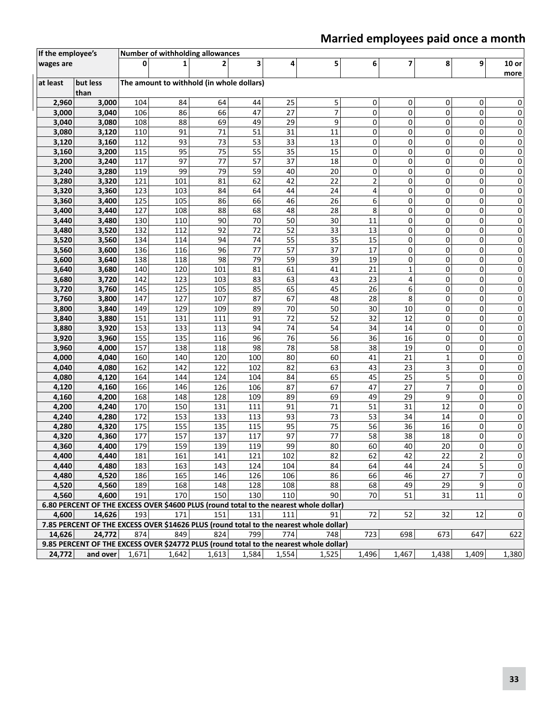### **Married employees paid once a month**

| If the employee's |                                                                                        |            | Number of withholding allowances          |            |          |          |          |                         |        |        |                |                 |
|-------------------|----------------------------------------------------------------------------------------|------------|-------------------------------------------|------------|----------|----------|----------|-------------------------|--------|--------|----------------|-----------------|
| wages are         |                                                                                        |            |                                           |            | 3        | 4        | 5        | 6                       | 7      | 8      | 9              | $10$ or<br>more |
| at least          | but less<br>than                                                                       |            | The amount to withhold (in whole dollars) |            |          |          |          |                         |        |        |                |                 |
| 2,960             | 3,000                                                                                  | 104        | 84                                        | 64         | 44       | 25       | 5        | 0                       | 0      | 0      | 0              | 0               |
| 3,000             | 3,040                                                                                  | 106        | 86                                        | 66         | 47       | 27       | 7        | 0                       | 0      | 0      | 0              | 0               |
| 3,040             | 3,080                                                                                  | 108        | 88                                        | 69         | 49       | 29       | 9        | 0                       | 0      | 0      | 0              | 0               |
| 3,080             | 3,120                                                                                  | 110        | 91                                        | 71         | 51       | 31       | 11       | 0                       | 0      | 0      | 0              | 0               |
| 3,120             | 3,160                                                                                  | 112        | 93                                        | 73         | 53       | 33       | 13       | $\mathsf 0$             | 0      | 0      | $\pmb{0}$      | 0               |
| 3,160             | 3,200                                                                                  | 115        | 95                                        | 75         | 55       | 35       | 15       | 0                       | 0      | 0      | 0              | 0               |
| 3,200             | 3,240                                                                                  | 117        | 97                                        | 77         | 57       | 37       | 18       | 0                       | 0      | 0      | 0              | 0               |
| 3,240             | 3,280                                                                                  | 119        | 99                                        | 79         | 59       | 40       | 20       | 0                       | 0      | 0      | 0              | 0               |
| 3,280             | 3,320                                                                                  | 121        | 101                                       | 81         | 62       | 42       | 22       | 2                       | 0      | 0      | 0              | 0               |
| 3,320             | 3,360                                                                                  | 123        | 103                                       | 84         | 64       | 44       | 24       | $\overline{\mathbf{4}}$ | 0      | 0      | 0              | 0               |
| 3,360             | 3,400                                                                                  | 125        | 105                                       | 86         | 66       | 46       | 26       | 6                       | 0      | 0      | 0              | 0               |
| 3,400             | 3,440                                                                                  | 127        | 108                                       | 88         | 68       | 48       | 28       | 8                       | 0      | 0      | 0              | 0               |
| 3,440             | 3,480                                                                                  | 130        | 110                                       | 90         | 70       | 50       | 30       | 11                      | 0      | 0      | 0              | 0               |
| 3,480             | 3,520                                                                                  | 132        | 112                                       | 92         | 72       | 52       | 33       | 13                      | 0      | 0      | 0              | 0               |
| 3,520             | 3,560                                                                                  | 134        | 114                                       | 94         | 74       | 55       | 35       | 15                      | 0      | 0      | 0              | 0               |
| 3,560             | 3,600                                                                                  | 136        | 116                                       | 96         | 77       | 57       | 37       | 17                      | 0      | 0      | 0              | 0               |
| 3,600             | 3,640                                                                                  | 138        | 118                                       | 98         | 79       | 59       | 39       | 19                      | 0      | 0      | 0              | 0               |
| 3,640             | 3,680                                                                                  | 140        | 120                                       | 101        | 81       | 61       | 41       | 21                      | 1      | 0      | 0              | 0               |
| 3,680             | 3,720                                                                                  | 142        | 123<br>125                                | 103        | 83<br>85 | 63<br>65 | 43<br>45 | 23<br>26                | 4<br>6 | 0<br>0 | 0<br>0         | 0               |
| 3,720             | 3,760                                                                                  | 145        | 127                                       | 105<br>107 | 87       | 67       | 48       | 28                      | 8      | 0      | 0              | 0               |
| 3,760             | 3,800                                                                                  | 147<br>149 | 129                                       | 109        | 89       | 70       | 50       | 30                      | 10     | 0      | 0              | 0<br>0          |
| 3,800<br>3,840    | 3,840<br>3,880                                                                         | 151        | 131                                       | 111        | 91       | 72       | 52       | 32                      | 12     | 0      | 0              | 0               |
| 3,880             | 3,920                                                                                  | 153        | 133                                       | 113        | 94       | 74       | 54       | 34                      | 14     | 0      | 0              | 0               |
| 3,920             | 3,960                                                                                  | 155        | 135                                       | 116        | 96       | 76       | 56       | 36                      | 16     | 0      | 0              | 0               |
| 3,960             | 4,000                                                                                  | 157        | 138                                       | 118        | 98       | 78       | 58       | 38                      | 19     | 0      | 0              | 0               |
| 4,000             | 4,040                                                                                  | 160        | 140                                       | 120        | 100      | 80       | 60       | 41                      | 21     | 1      | 0              | 0               |
| 4,040             | 4,080                                                                                  | 162        | 142                                       | 122        | 102      | 82       | 63       | 43                      | 23     | 3      | 0              | 0               |
| 4,080             | 4,120                                                                                  | 164        | 144                                       | 124        | 104      | 84       | 65       | 45                      | 25     | 5      | 0              | 0               |
| 4,120             | 4,160                                                                                  | 166        | 146                                       | 126        | 106      | 87       | 67       | 47                      | 27     | 7      | 0              | 0               |
| 4,160             | 4,200                                                                                  | 168        | 148                                       | 128        | 109      | 89       | 69       | 49                      | 29     | 9      | 0              | 0               |
| 4,200             | 4,240                                                                                  | 170        | 150                                       | 131        | 111      | 91       | 71       | 51                      | 31     | 12     | 0              | 0               |
| 4,240             | 4,280                                                                                  | 172        | 153                                       | 133        | 113      | 93       | 73       | 53                      | 34     | 14     | 0              | 0               |
| 4,280             | 4,320                                                                                  | 175        | 155                                       | 135        | 115      | 95       | 75       | 56                      | 36     | 16     | 0              | 0               |
| 4,320             | 4,360                                                                                  | 177        | 157                                       | 137        | 117      | 97       | 77       | 58                      | 38     | 18     | 0              | 0               |
| 4,360             | 4,400                                                                                  | 179        | 159                                       | 139        | 119      | 99       | 80       | 60                      | 40     | 20     | 0              | 0               |
| 4,400             | 4,440                                                                                  | 181        | 161                                       | 141        | 121      | 102      | 82       | 62                      | 42     | 22     | $\overline{2}$ | 0               |
| 4,440             | 4,480                                                                                  | 183        | 163                                       | 143        | 124      | 104      | 84       | 64                      | 44     | 24     | 5              | 0               |
| 4,480             | 4,520                                                                                  | 186        | 165                                       | 146        | 126      | 106      | 86       | 66                      | 46     | 27     | $\overline{7}$ | 0               |
| 4,520             | 4,560                                                                                  | 189        | 168                                       | 148        | 128      | 108      | 88       | 68                      | 49     | 29     | 9              | 0               |
| 4,560             | 4,600                                                                                  | 191        | 170                                       | 150        | 130      | 110      | 90       | 70                      | 51     | 31     | 11             | 0               |
|                   | 6.80 PERCENT OF THE EXCESS OVER \$4600 PLUS (round total to the nearest whole dollar)  |            |                                           |            |          |          |          |                         |        |        |                |                 |
| 4,600             | 14,626                                                                                 | 193        | 171                                       | 151        | 131      | 111      | 91       | 72                      | 52     | 32     | 12             | 0               |
|                   | 7.85 PERCENT OF THE EXCESS OVER \$14626 PLUS (round total to the nearest whole dollar) |            |                                           |            |          |          |          |                         |        |        |                |                 |
| 14,626            | 24,772                                                                                 | 874        | 849                                       | 824        | 799      | 774      | 748      | 723                     | 698    | 673    | 647            | 622             |
|                   | 9.85 PERCENT OF THE EXCESS OVER \$24772 PLUS (round total to the nearest whole dollar) |            |                                           |            |          |          |          |                         |        |        |                |                 |
| 24,772            | and over                                                                               | 1,671      | 1,642                                     | 1,613      | 1,584    | 1,554    | 1,525    | 1,496                   | 1,467  | 1,438  | 1,409          | 1,380           |